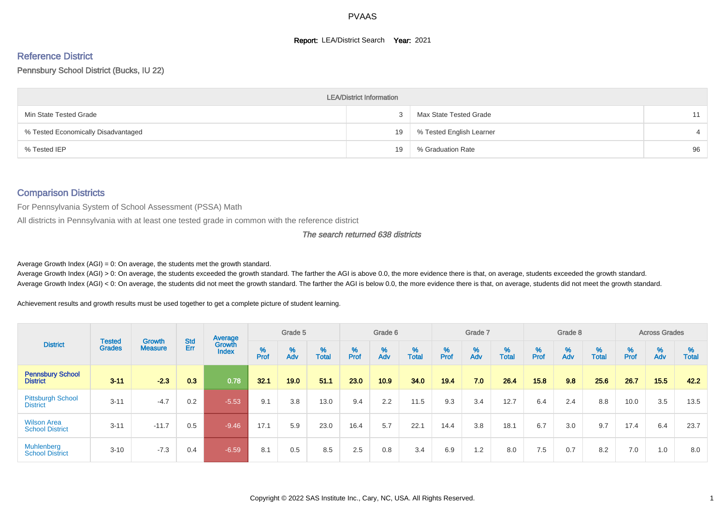#### **Report: LEA/District Search Year: 2021**

# Reference District

#### Pennsbury School District (Bucks, IU 22)

|                                     | <b>LEA/District Information</b> |                          |    |
|-------------------------------------|---------------------------------|--------------------------|----|
| Min State Tested Grade              |                                 | Max State Tested Grade   | 11 |
| % Tested Economically Disadvantaged | 19                              | % Tested English Learner |    |
| % Tested IEP                        | 19                              | % Graduation Rate        | 96 |

#### Comparison Districts

For Pennsylvania System of School Assessment (PSSA) Math

All districts in Pennsylvania with at least one tested grade in common with the reference district

#### The search returned 638 districts

Average Growth Index  $(AGI) = 0$ : On average, the students met the growth standard.

Average Growth Index (AGI) > 0: On average, the students exceeded the growth standard. The farther the AGI is above 0.0, the more evidence there is that, on average, students exceeded the growth standard. Average Growth Index (AGI) < 0: On average, the students did not meet the growth standard. The farther the AGI is below 0.0, the more evidence there is that, on average, students did not meet the growth standard.

Achievement results and growth results must be used together to get a complete picture of student learning.

|                                              |                                |                                 |                   | Average                |           | Grade 5  |                   |        | Grade 6  |                   |           | Grade 7  |            |           | Grade 8                       |                   |          | <b>Across Grades</b>          |                   |
|----------------------------------------------|--------------------------------|---------------------------------|-------------------|------------------------|-----------|----------|-------------------|--------|----------|-------------------|-----------|----------|------------|-----------|-------------------------------|-------------------|----------|-------------------------------|-------------------|
| <b>District</b>                              | <b>Tested</b><br><b>Grades</b> | <b>Growth</b><br><b>Measure</b> | <b>Std</b><br>Err | Growth<br><b>Index</b> | %<br>Prof | %<br>Adv | %<br><b>Total</b> | % Pref | %<br>Adv | %<br><b>Total</b> | %<br>Prof | %<br>Adv | %<br>Total | %<br>Prof | $\stackrel{\%}{\mathsf{Adv}}$ | %<br><b>Total</b> | $%$ Prof | $\stackrel{\%}{\mathsf{Adv}}$ | %<br><b>Total</b> |
| <b>Pennsbury School</b><br><b>District</b>   | $3 - 11$                       | $-2.3$                          | 0.3               | 0.78                   | 32.1      | 19.0     | 51.1              | 23.0   | 10.9     | 34.0              | 19.4      | 7.0      | 26.4       | 15.8      | 9.8                           | 25.6              | 26.7     | 15.5                          | 42.2              |
| <b>Pittsburgh School</b><br><b>District</b>  | $3 - 11$                       | $-4.7$                          | 0.2               | $-5.53$                | 9.1       | 3.8      | 13.0              | 9.4    | 2.2      | 11.5              | 9.3       | 3.4      | 12.7       | 6.4       | 2.4                           | 8.8               | 10.0     | 3.5                           | 13.5              |
| <b>Wilson Area</b><br><b>School District</b> | $3 - 11$                       | $-11.7$                         | 0.5               | $-9.46$                | 17.1      | 5.9      | 23.0              | 16.4   | 5.7      | 22.1              | 14.4      | 3.8      | 18.1       | 6.7       | 3.0                           | 9.7               | 17.4     | 6.4                           | 23.7              |
| <b>Muhlenberg</b><br><b>School District</b>  | $3 - 10$                       | $-7.3$                          | 0.4               | $-6.59$                | 8.1       | 0.5      | 8.5               | 2.5    | 0.8      | 3.4               | 6.9       | 1.2      | 8.0        | 7.5       | 0.7                           | 8.2               | 7.0      | 1.0                           | 8.0               |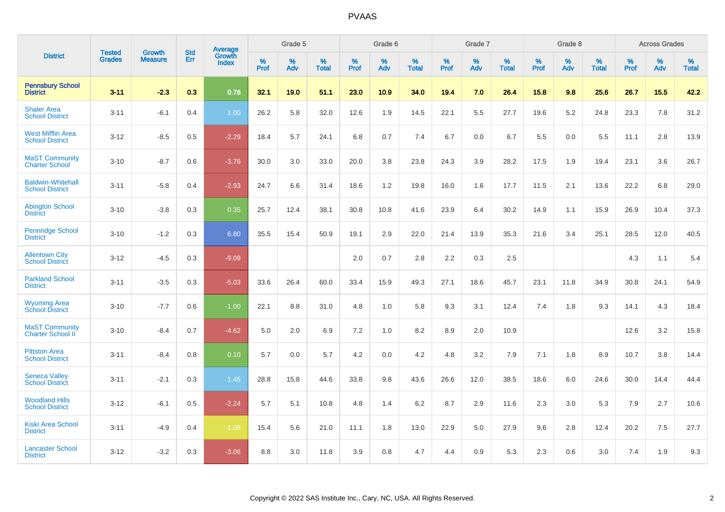|                                                    | <b>Tested</b> | <b>Growth</b>  | <b>Std</b> | Average<br>Growth |              | Grade 5  |                      |                     | Grade 6  |                      |              | Grade 7  |                      |              | Grade 8  |                      |                  | <b>Across Grades</b> |                   |
|----------------------------------------------------|---------------|----------------|------------|-------------------|--------------|----------|----------------------|---------------------|----------|----------------------|--------------|----------|----------------------|--------------|----------|----------------------|------------------|----------------------|-------------------|
| <b>District</b>                                    | <b>Grades</b> | <b>Measure</b> | Err        | <b>Index</b>      | $\%$<br>Prof | %<br>Adv | $\%$<br><b>Total</b> | $\%$<br><b>Prof</b> | %<br>Adv | $\%$<br><b>Total</b> | $\%$<br>Prof | %<br>Adv | $\%$<br><b>Total</b> | $\%$<br>Prof | %<br>Adv | $\%$<br><b>Total</b> | %<br><b>Prof</b> | %<br>Adv             | %<br><b>Total</b> |
| <b>Pennsbury School</b><br><b>District</b>         | $3 - 11$      | $-2.3$         | 0.3        | 0.78              | 32.1         | 19.0     | 51.1                 | 23.0                | 10.9     | 34.0                 | 19.4         | 7.0      | 26.4                 | 15.8         | 9.8      | 25.6                 | 26.7             | 15.5                 | 42.2              |
| <b>Shaler Area</b><br><b>School District</b>       | $3 - 11$      | $-6.1$         | 0.4        | 1.00              | 26.2         | 5.8      | 32.0                 | 12.6                | 1.9      | 14.5                 | 22.1         | 5.5      | 27.7                 | 19.6         | 5.2      | 24.8                 | 23.3             | 7.8                  | 31.2              |
| <b>West Mifflin Area</b><br><b>School District</b> | $3 - 12$      | $-8.5$         | 0.5        | $-2.29$           | 18.4         | 5.7      | 24.1                 | 6.8                 | 0.7      | 7.4                  | 6.7          | 0.0      | 6.7                  | 5.5          | 0.0      | 5.5                  | 11.1             | 2.8                  | 13.9              |
| <b>MaST Community</b><br><b>Charter School</b>     | $3 - 10$      | $-8.7$         | 0.6        | $-3.76$           | 30.0         | 3.0      | 33.0                 | 20.0                | 3.8      | 23.8                 | 24.3         | 3.9      | 28.2                 | 17.5         | 1.9      | 19.4                 | 23.1             | 3.6                  | 26.7              |
| <b>Baldwin-Whitehall</b><br><b>School District</b> | $3 - 11$      | $-5.8$         | 0.4        | $-2.93$           | 24.7         | 6.6      | 31.4                 | 18.6                | 1.2      | 19.8                 | 16.0         | 1.6      | 17.7                 | 11.5         | 2.1      | 13.6                 | 22.2             | 6.8                  | 29.0              |
| <b>Abington School</b><br><b>District</b>          | $3 - 10$      | $-3.8$         | 0.3        | 0.35              | 25.7         | 12.4     | 38.1                 | 30.8                | 10.8     | 41.6                 | 23.9         | 6.4      | 30.2                 | 14.9         | 1.1      | 15.9                 | 26.9             | 10.4                 | 37.3              |
| Pennridge School<br><b>District</b>                | $3 - 10$      | $-1.2$         | 0.3        | 6.80              | 35.5         | 15.4     | 50.9                 | 19.1                | 2.9      | 22.0                 | 21.4         | 13.9     | 35.3                 | 21.6         | 3.4      | 25.1                 | 28.5             | 12.0                 | 40.5              |
| <b>Allentown City</b><br><b>School District</b>    | $3 - 12$      | $-4.5$         | 0.3        | $-9.09$           |              |          |                      | 2.0                 | 0.7      | 2.8                  | 2.2          | 0.3      | 2.5                  |              |          |                      | 4.3              | 1.1                  | 5.4               |
| <b>Parkland School</b><br><b>District</b>          | $3 - 11$      | $-3.5$         | 0.3        | $-5.03$           | 33.6         | 26.4     | 60.0                 | 33.4                | 15.9     | 49.3                 | 27.1         | 18.6     | 45.7                 | 23.1         | 11.8     | 34.9                 | 30.8             | 24.1                 | 54.9              |
| <b>Wyoming Area</b><br><b>School District</b>      | $3 - 10$      | $-7.7$         | 0.6        | $-1.00$           | 22.1         | 8.8      | 31.0                 | 4.8                 | 1.0      | 5.8                  | 9.3          | 3.1      | 12.4                 | 7.4          | 1.8      | 9.3                  | 14.1             | 4.3                  | 18.4              |
| <b>MaST Community</b><br>Charter School II         | $3 - 10$      | $-8.4$         | 0.7        | $-4.62$           | 5.0          | 2.0      | 6.9                  | 7.2                 | 1.0      | 8.2                  | 8.9          | 2.0      | 10.9                 |              |          |                      | 12.6             | 3.2                  | 15.8              |
| <b>Pittston Area</b><br><b>School District</b>     | $3 - 11$      | $-8.4$         | 0.8        | 0.10              | 5.7          | 0.0      | 5.7                  | 4.2                 | 0.0      | 4.2                  | 4.8          | 3.2      | 7.9                  | 7.1          | 1.8      | 8.9                  | 10.7             | 3.8                  | 14.4              |
| <b>Seneca Valley</b><br><b>School District</b>     | $3 - 11$      | $-2.1$         | 0.3        | 1.45              | 28.8         | 15.8     | 44.6                 | 33.8                | 9.8      | 43.6                 | 26.6         | 12.0     | 38.5                 | 18.6         | 6.0      | 24.6                 | 30.0             | 14.4                 | 44.4              |
| <b>Woodland Hills</b><br><b>School District</b>    | $3 - 12$      | $-6.1$         | 0.5        | $-2.24$           | 5.7          | 5.1      | 10.8                 | 4.8                 | 1.4      | 6.2                  | 8.7          | 2.9      | 11.6                 | 2.3          | 3.0      | 5.3                  | 7.9              | 2.7                  | 10.6              |
| <b>Kiski Area School</b><br><b>District</b>        | $3 - 11$      | $-4.9$         | 0.4        | $-1.08$           | 15.4         | 5.6      | 21.0                 | 11.1                | 1.8      | 13.0                 | 22.9         | 5.0      | 27.9                 | 9.6          | 2.8      | 12.4                 | 20.2             | 7.5                  | 27.7              |
| <b>Lancaster School</b><br><b>District</b>         | $3 - 12$      | $-3.2$         | 0.3        | $-3.06$           | 8.8          | 3.0      | 11.8                 | 3.9                 | 0.8      | 4.7                  | 4.4          | 0.9      | 5.3                  | 2.3          | 0.6      | 3.0                  | 7.4              | 1.9                  | 9.3               |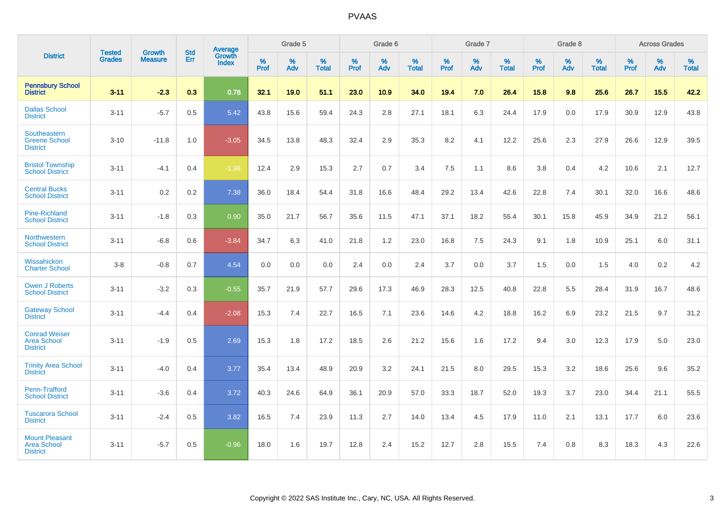|                                                                |                                | <b>Growth</b>  | <b>Std</b> | Average                |           | Grade 5  |                   |           | Grade 6  |                   |           | Grade 7  |                   |           | Grade 8  |                   |           | <b>Across Grades</b> |                   |
|----------------------------------------------------------------|--------------------------------|----------------|------------|------------------------|-----------|----------|-------------------|-----------|----------|-------------------|-----------|----------|-------------------|-----------|----------|-------------------|-----------|----------------------|-------------------|
| <b>District</b>                                                | <b>Tested</b><br><b>Grades</b> | <b>Measure</b> | Err        | Growth<br><b>Index</b> | %<br>Prof | %<br>Adv | %<br><b>Total</b> | %<br>Prof | %<br>Adv | %<br><b>Total</b> | %<br>Prof | %<br>Adv | %<br><b>Total</b> | %<br>Prof | %<br>Adv | %<br><b>Total</b> | %<br>Prof | %<br>Adv             | %<br><b>Total</b> |
| <b>Pennsbury School</b><br><b>District</b>                     | $3 - 11$                       | $-2.3$         | 0.3        | 0.78                   | 32.1      | 19.0     | 51.1              | 23.0      | 10.9     | 34.0              | 19.4      | 7.0      | 26.4              | 15.8      | 9.8      | 25.6              | 26.7      | 15.5                 | 42.2              |
| <b>Dallas School</b><br><b>District</b>                        | $3 - 11$                       | $-5.7$         | 0.5        | 5.42                   | 43.8      | 15.6     | 59.4              | 24.3      | 2.8      | 27.1              | 18.1      | 6.3      | 24.4              | 17.9      | 0.0      | 17.9              | 30.9      | 12.9                 | 43.8              |
| <b>Southeastern</b><br><b>Greene School</b><br><b>District</b> | $3 - 10$                       | $-11.8$        | 1.0        | $-3.05$                | 34.5      | 13.8     | 48.3              | 32.4      | 2.9      | 35.3              | 8.2       | 4.1      | 12.2              | 25.6      | 2.3      | 27.9              | 26.6      | 12.9                 | 39.5              |
| <b>Bristol Township</b><br><b>School District</b>              | $3 - 11$                       | $-4.1$         | 0.4        | $-1.98$                | 12.4      | 2.9      | 15.3              | 2.7       | 0.7      | 3.4               | 7.5       | 1.1      | 8.6               | 3.8       | 0.4      | 4.2               | 10.6      | 2.1                  | 12.7              |
| <b>Central Bucks</b><br><b>School District</b>                 | $3 - 11$                       | 0.2            | 0.2        | 7.38                   | 36.0      | 18.4     | 54.4              | 31.8      | 16.6     | 48.4              | 29.2      | 13.4     | 42.6              | 22.8      | 7.4      | 30.1              | 32.0      | 16.6                 | 48.6              |
| <b>Pine-Richland</b><br><b>School District</b>                 | $3 - 11$                       | $-1.8$         | 0.3        | 0.90                   | 35.0      | 21.7     | 56.7              | 35.6      | 11.5     | 47.1              | 37.1      | 18.2     | 55.4              | 30.1      | 15.8     | 45.9              | 34.9      | 21.2                 | 56.1              |
| Northwestern<br><b>School District</b>                         | $3 - 11$                       | $-6.8$         | 0.6        | $-3.84$                | 34.7      | 6.3      | 41.0              | 21.8      | 1.2      | 23.0              | 16.8      | 7.5      | 24.3              | 9.1       | 1.8      | 10.9              | 25.1      | 6.0                  | 31.1              |
| Wissahickon<br><b>Charter School</b>                           | $3 - 8$                        | $-0.8$         | 0.7        | 4.54                   | 0.0       | 0.0      | 0.0               | 2.4       | $0.0\,$  | 2.4               | 3.7       | 0.0      | 3.7               | 1.5       | 0.0      | 1.5               | 4.0       | $0.2\,$              | 4.2               |
| <b>Owen J Roberts</b><br><b>School District</b>                | $3 - 11$                       | $-3.2$         | 0.3        | $-0.55$                | 35.7      | 21.9     | 57.7              | 29.6      | 17.3     | 46.9              | 28.3      | 12.5     | 40.8              | 22.8      | 5.5      | 28.4              | 31.9      | 16.7                 | 48.6              |
| <b>Gateway School</b><br><b>District</b>                       | $3 - 11$                       | $-4.4$         | 0.4        | $-2.08$                | 15.3      | 7.4      | 22.7              | 16.5      | 7.1      | 23.6              | 14.6      | 4.2      | 18.8              | 16.2      | 6.9      | 23.2              | 21.5      | 9.7                  | 31.2              |
| <b>Conrad Weiser</b><br><b>Area School</b><br><b>District</b>  | $3 - 11$                       | $-1.9$         | 0.5        | 2.69                   | 15.3      | 1.8      | 17.2              | 18.5      | 2.6      | 21.2              | 15.6      | 1.6      | 17.2              | 9.4       | 3.0      | 12.3              | 17.9      | 5.0                  | 23.0              |
| <b>Trinity Area School</b><br><b>District</b>                  | $3 - 11$                       | $-4.0$         | 0.4        | 3.77                   | 35.4      | 13.4     | 48.9              | 20.9      | 3.2      | 24.1              | 21.5      | 8.0      | 29.5              | 15.3      | 3.2      | 18.6              | 25.6      | 9.6                  | 35.2              |
| <b>Penn-Trafford</b><br><b>School District</b>                 | $3 - 11$                       | $-3.6$         | 0.4        | 3.72                   | 40.3      | 24.6     | 64.9              | 36.1      | 20.9     | 57.0              | 33.3      | 18.7     | 52.0              | 19.3      | 3.7      | 23.0              | 34.4      | 21.1                 | 55.5              |
| <b>Tuscarora School</b><br><b>District</b>                     | $3 - 11$                       | $-2.4$         | 0.5        | 3.82                   | 16.5      | 7.4      | 23.9              | 11.3      | 2.7      | 14.0              | 13.4      | 4.5      | 17.9              | 11.0      | 2.1      | 13.1              | 17.7      | 6.0                  | 23.6              |
| <b>Mount Pleasant</b><br><b>Area School</b><br><b>District</b> | $3 - 11$                       | $-5.7$         | 0.5        | $-0.96$                | 18.0      | 1.6      | 19.7              | 12.8      | 2.4      | 15.2              | 12.7      | 2.8      | 15.5              | 7.4       | 0.8      | 8.3               | 18.3      | 4.3                  | 22.6              |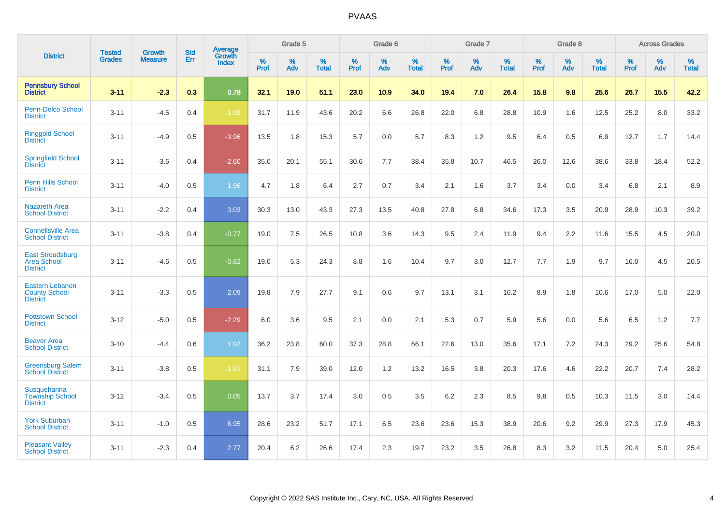|                                                                   |                                |                                 | <b>Std</b> | Average                       |           | Grade 5  |                   |           | Grade 6  |                   |           | Grade 7  |                   |           | Grade 8  |                   |           | <b>Across Grades</b> |                   |
|-------------------------------------------------------------------|--------------------------------|---------------------------------|------------|-------------------------------|-----------|----------|-------------------|-----------|----------|-------------------|-----------|----------|-------------------|-----------|----------|-------------------|-----------|----------------------|-------------------|
| <b>District</b>                                                   | <b>Tested</b><br><b>Grades</b> | <b>Growth</b><br><b>Measure</b> | Err        | <b>Growth</b><br><b>Index</b> | %<br>Prof | %<br>Adv | %<br><b>Total</b> | %<br>Prof | %<br>Adv | %<br><b>Total</b> | %<br>Prof | %<br>Adv | %<br><b>Total</b> | %<br>Prof | %<br>Adv | %<br><b>Total</b> | %<br>Prof | %<br>Adv             | %<br><b>Total</b> |
| <b>Pennsbury School</b><br><b>District</b>                        | $3 - 11$                       | $-2.3$                          | 0.3        | 0.78                          | 32.1      | 19.0     | 51.1              | 23.0      | 10.9     | 34.0              | 19.4      | 7.0      | 26.4              | 15.8      | 9.8      | 25.6              | 26.7      | 15.5                 | 42.2              |
| <b>Penn-Delco School</b><br><b>District</b>                       | $3 - 11$                       | $-4.5$                          | 0.4        | $-1.99$                       | 31.7      | 11.9     | 43.6              | 20.2      | 6.6      | 26.8              | 22.0      | 6.8      | 28.8              | 10.9      | 1.6      | 12.5              | 25.2      | 8.0                  | 33.2              |
| <b>Ringgold School</b><br><b>District</b>                         | $3 - 11$                       | $-4.9$                          | 0.5        | $-3.96$                       | 13.5      | 1.8      | 15.3              | 5.7       | 0.0      | 5.7               | 8.3       | 1.2      | 9.5               | 6.4       | 0.5      | 6.9               | 12.7      | 1.7                  | 14.4              |
| <b>Springfield School</b><br><b>District</b>                      | $3 - 11$                       | $-3.6$                          | 0.4        | $-2.60$                       | 35.0      | 20.1     | 55.1              | 30.6      | 7.7      | 38.4              | 35.8      | 10.7     | 46.5              | 26.0      | 12.6     | 38.6              | 33.8      | 18.4                 | 52.2              |
| Penn Hills School<br><b>District</b>                              | $3 - 11$                       | $-4.0$                          | 0.5        | 1.96                          | 4.7       | 1.8      | 6.4               | 2.7       | 0.7      | 3.4               | 2.1       | 1.6      | 3.7               | 3.4       | 0.0      | 3.4               | 6.8       | 2.1                  | 8.9               |
| <b>Nazareth Area</b><br><b>School District</b>                    | $3 - 11$                       | $-2.2$                          | 0.4        | 3.03                          | 30.3      | 13.0     | 43.3              | 27.3      | 13.5     | 40.8              | 27.8      | 6.8      | 34.6              | 17.3      | 3.5      | 20.9              | 28.9      | 10.3                 | 39.2              |
| <b>Connellsville Area</b><br><b>School District</b>               | $3 - 11$                       | $-3.8$                          | 0.4        | $-0.77$                       | 19.0      | 7.5      | 26.5              | 10.8      | 3.6      | 14.3              | 9.5       | 2.4      | 11.9              | 9.4       | 2.2      | 11.6              | 15.5      | 4.5                  | 20.0              |
| <b>East Stroudsburg</b><br><b>Area School</b><br><b>District</b>  | $3 - 11$                       | $-4.6$                          | 0.5        | $-0.82$                       | 19.0      | 5.3      | 24.3              | 8.8       | 1.6      | 10.4              | 9.7       | 3.0      | 12.7              | 7.7       | 1.9      | 9.7               | 16.0      | 4.5                  | 20.5              |
| <b>Eastern Lebanon</b><br><b>County School</b><br><b>District</b> | $3 - 11$                       | $-3.3$                          | 0.5        | 2.09                          | 19.8      | 7.9      | 27.7              | 9.1       | 0.6      | 9.7               | 13.1      | 3.1      | 16.2              | 8.9       | 1.8      | 10.6              | 17.0      | 5.0                  | 22.0              |
| <b>Pottstown School</b><br><b>District</b>                        | $3 - 12$                       | $-5.0$                          | 0.5        | $-2.29$                       | 6.0       | 3.6      | 9.5               | 2.1       | 0.0      | 2.1               | 5.3       | 0.7      | 5.9               | 5.6       | 0.0      | 5.6               | 6.5       | 1.2                  | 7.7               |
| <b>Beaver Area</b><br><b>School District</b>                      | $3 - 10$                       | $-4.4$                          | 0.6        | 1.92                          | 36.2      | 23.8     | 60.0              | 37.3      | 28.8     | 66.1              | 22.6      | 13.0     | 35.6              | 17.1      | 7.2      | 24.3              | 29.2      | 25.6                 | 54.8              |
| <b>Greensburg Salem</b><br><b>School District</b>                 | $3 - 11$                       | $-3.8$                          | 0.5        | $-1.81$                       | 31.1      | 7.9      | 39.0              | 12.0      | 1.2      | 13.2              | 16.5      | 3.8      | 20.3              | 17.6      | 4.6      | 22.2              | 20.7      | 7.4                  | 28.2              |
| Susquehanna<br><b>Township School</b><br><b>District</b>          | $3 - 12$                       | $-3.4$                          | 0.5        | 0.05                          | 13.7      | 3.7      | 17.4              | 3.0       | 0.5      | 3.5               | 6.2       | 2.3      | 8.5               | 9.8       | 0.5      | 10.3              | 11.5      | 3.0                  | 14.4              |
| <b>York Suburban</b><br><b>School District</b>                    | $3 - 11$                       | $-1.0$                          | 0.5        | 6.95                          | 28.6      | 23.2     | 51.7              | 17.1      | 6.5      | 23.6              | 23.6      | 15.3     | 38.9              | 20.6      | 9.2      | 29.9              | 27.3      | 17.9                 | 45.3              |
| <b>Pleasant Valley</b><br><b>School District</b>                  | $3 - 11$                       | $-2.3$                          | 0.4        | 2.77                          | 20.4      | 6.2      | 26.6              | 17.4      | 2.3      | 19.7              | 23.2      | 3.5      | 26.8              | 8.3       | 3.2      | 11.5              | 20.4      | 5.0                  | 25.4              |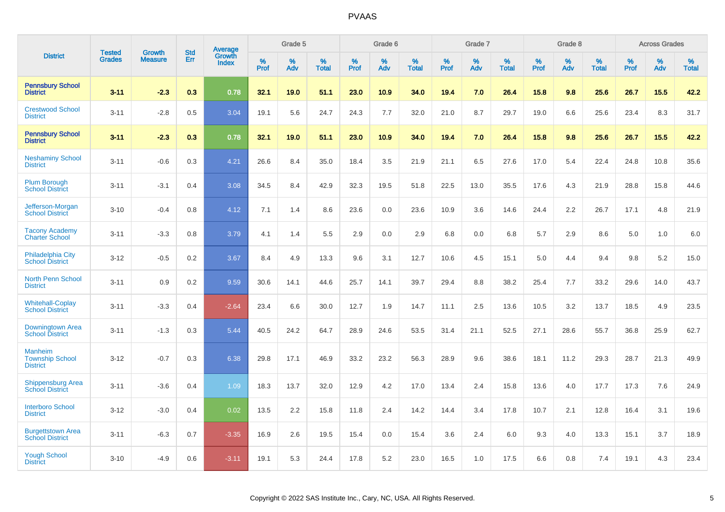|                                                             | <b>Tested</b> | <b>Growth</b>  | <b>Std</b> | Average<br>Growth |                     | Grade 5  |                      |              | Grade 6  |                      |              | Grade 7  |                      |              | Grade 8  |                      |              | <b>Across Grades</b> |                      |
|-------------------------------------------------------------|---------------|----------------|------------|-------------------|---------------------|----------|----------------------|--------------|----------|----------------------|--------------|----------|----------------------|--------------|----------|----------------------|--------------|----------------------|----------------------|
| <b>District</b>                                             | <b>Grades</b> | <b>Measure</b> | Err        | <b>Index</b>      | $\%$<br><b>Prof</b> | %<br>Adv | $\%$<br><b>Total</b> | $\%$<br>Prof | %<br>Adv | $\%$<br><b>Total</b> | $\%$<br>Prof | %<br>Adv | $\%$<br><b>Total</b> | $\%$<br>Prof | %<br>Adv | $\%$<br><b>Total</b> | $\%$<br>Prof | $\%$<br>Adv          | $\%$<br><b>Total</b> |
| <b>Pennsbury School</b><br><b>District</b>                  | $3 - 11$      | $-2.3$         | 0.3        | 0.78              | 32.1                | 19.0     | 51.1                 | 23.0         | 10.9     | 34.0                 | 19.4         | 7.0      | 26.4                 | 15.8         | 9.8      | 25.6                 | 26.7         | 15.5                 | 42.2                 |
| <b>Crestwood School</b><br><b>District</b>                  | $3 - 11$      | $-2.8$         | 0.5        | 3.04              | 19.1                | 5.6      | 24.7                 | 24.3         | 7.7      | 32.0                 | 21.0         | 8.7      | 29.7                 | 19.0         | 6.6      | 25.6                 | 23.4         | 8.3                  | 31.7                 |
| <b>Pennsbury School</b><br><b>District</b>                  | $3 - 11$      | $-2.3$         | 0.3        | 0.78              | 32.1                | 19.0     | 51.1                 | 23.0         | 10.9     | 34.0                 | 19.4         | 7.0      | 26.4                 | 15.8         | 9.8      | 25.6                 | 26.7         | 15.5                 | 42.2                 |
| <b>Neshaminy School</b><br><b>District</b>                  | $3 - 11$      | $-0.6$         | 0.3        | 4.21              | 26.6                | 8.4      | 35.0                 | 18.4         | 3.5      | 21.9                 | 21.1         | 6.5      | 27.6                 | 17.0         | 5.4      | 22.4                 | 24.8         | 10.8                 | 35.6                 |
| <b>Plum Borough</b><br><b>School District</b>               | $3 - 11$      | $-3.1$         | 0.4        | 3.08              | 34.5                | 8.4      | 42.9                 | 32.3         | 19.5     | 51.8                 | 22.5         | 13.0     | 35.5                 | 17.6         | 4.3      | 21.9                 | 28.8         | 15.8                 | 44.6                 |
| Jefferson-Morgan<br><b>School District</b>                  | $3 - 10$      | $-0.4$         | 0.8        | 4.12              | 7.1                 | 1.4      | 8.6                  | 23.6         | 0.0      | 23.6                 | 10.9         | 3.6      | 14.6                 | 24.4         | 2.2      | 26.7                 | 17.1         | 4.8                  | 21.9                 |
| <b>Tacony Academy</b><br><b>Charter School</b>              | $3 - 11$      | $-3.3$         | 0.8        | 3.79              | 4.1                 | 1.4      | 5.5                  | 2.9          | 0.0      | 2.9                  | 6.8          | 0.0      | 6.8                  | 5.7          | 2.9      | 8.6                  | 5.0          | 1.0                  | $6.0\,$              |
| <b>Philadelphia City</b><br><b>School District</b>          | $3 - 12$      | $-0.5$         | 0.2        | 3.67              | 8.4                 | 4.9      | 13.3                 | 9.6          | 3.1      | 12.7                 | 10.6         | 4.5      | 15.1                 | 5.0          | 4.4      | 9.4                  | 9.8          | 5.2                  | 15.0                 |
| <b>North Penn School</b><br><b>District</b>                 | $3 - 11$      | 0.9            | 0.2        | 9.59              | 30.6                | 14.1     | 44.6                 | 25.7         | 14.1     | 39.7                 | 29.4         | 8.8      | 38.2                 | 25.4         | 7.7      | 33.2                 | 29.6         | 14.0                 | 43.7                 |
| <b>Whitehall-Coplay</b><br><b>School District</b>           | $3 - 11$      | $-3.3$         | 0.4        | $-2.64$           | 23.4                | 6.6      | 30.0                 | 12.7         | 1.9      | 14.7                 | 11.1         | 2.5      | 13.6                 | 10.5         | 3.2      | 13.7                 | 18.5         | 4.9                  | 23.5                 |
| Downingtown Area<br><b>School District</b>                  | $3 - 11$      | $-1.3$         | 0.3        | 5.44              | 40.5                | 24.2     | 64.7                 | 28.9         | 24.6     | 53.5                 | 31.4         | 21.1     | 52.5                 | 27.1         | 28.6     | 55.7                 | 36.8         | 25.9                 | 62.7                 |
| <b>Manheim</b><br><b>Township School</b><br><b>District</b> | $3 - 12$      | $-0.7$         | 0.3        | 6.38              | 29.8                | 17.1     | 46.9                 | 33.2         | 23.2     | 56.3                 | 28.9         | 9.6      | 38.6                 | 18.1         | 11.2     | 29.3                 | 28.7         | 21.3                 | 49.9                 |
| <b>Shippensburg Area</b><br><b>School District</b>          | $3 - 11$      | $-3.6$         | 0.4        | 1.09              | 18.3                | 13.7     | 32.0                 | 12.9         | 4.2      | 17.0                 | 13.4         | 2.4      | 15.8                 | 13.6         | 4.0      | 17.7                 | 17.3         | 7.6                  | 24.9                 |
| <b>Interboro School</b><br><b>District</b>                  | $3 - 12$      | $-3.0$         | 0.4        | 0.02              | 13.5                | 2.2      | 15.8                 | 11.8         | 2.4      | 14.2                 | 14.4         | 3.4      | 17.8                 | 10.7         | 2.1      | 12.8                 | 16.4         | 3.1                  | 19.6                 |
| <b>Burgettstown Area</b><br><b>School District</b>          | $3 - 11$      | $-6.3$         | 0.7        | $-3.35$           | 16.9                | 2.6      | 19.5                 | 15.4         | 0.0      | 15.4                 | 3.6          | 2.4      | 6.0                  | 9.3          | 4.0      | 13.3                 | 15.1         | 3.7                  | 18.9                 |
| <b>Yough School</b><br><b>District</b>                      | $3 - 10$      | $-4.9$         | 0.6        | $-3.11$           | 19.1                | 5.3      | 24.4                 | 17.8         | 5.2      | 23.0                 | 16.5         | 1.0      | 17.5                 | 6.6          | 0.8      | 7.4                  | 19.1         | 4.3                  | 23.4                 |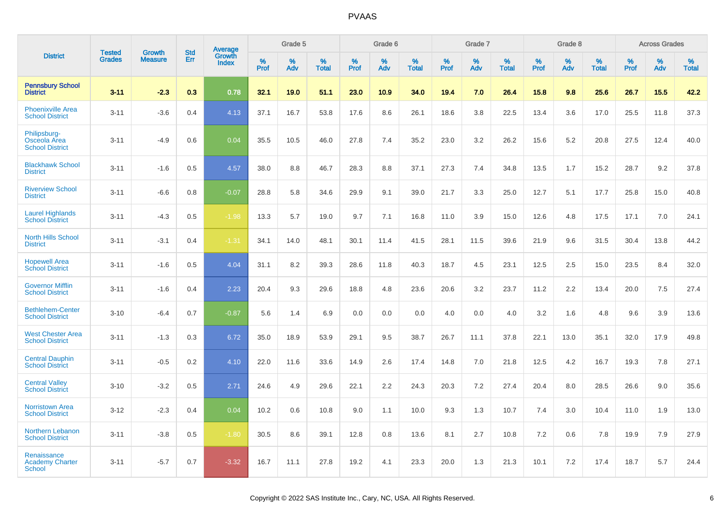|                                                        | <b>Tested</b> | <b>Growth</b>  | <b>Std</b> | Average                |                     | Grade 5  |                   |                     | Grade 6  |                   |                     | Grade 7  |                   |                     | Grade 8  |                   |              | <b>Across Grades</b> |                   |
|--------------------------------------------------------|---------------|----------------|------------|------------------------|---------------------|----------|-------------------|---------------------|----------|-------------------|---------------------|----------|-------------------|---------------------|----------|-------------------|--------------|----------------------|-------------------|
| <b>District</b>                                        | <b>Grades</b> | <b>Measure</b> | Err        | Growth<br><b>Index</b> | $\%$<br><b>Prof</b> | %<br>Adv | %<br><b>Total</b> | $\%$<br><b>Prof</b> | %<br>Adv | %<br><b>Total</b> | $\%$<br><b>Prof</b> | %<br>Adv | %<br><b>Total</b> | $\%$<br><b>Prof</b> | %<br>Adv | %<br><b>Total</b> | $\%$<br>Prof | %<br>Adv             | %<br><b>Total</b> |
| <b>Pennsbury School</b><br><b>District</b>             | $3 - 11$      | $-2.3$         | 0.3        | 0.78                   | 32.1                | 19.0     | 51.1              | 23.0                | 10.9     | 34.0              | 19.4                | 7.0      | 26.4              | 15.8                | 9.8      | 25.6              | 26.7         | 15.5                 | 42.2              |
| <b>Phoenixville Area</b><br><b>School District</b>     | $3 - 11$      | $-3.6$         | 0.4        | 4.13                   | 37.1                | 16.7     | 53.8              | 17.6                | 8.6      | 26.1              | 18.6                | 3.8      | 22.5              | 13.4                | 3.6      | 17.0              | 25.5         | 11.8                 | 37.3              |
| Philipsburg-<br>Osceola Area<br><b>School District</b> | $3 - 11$      | $-4.9$         | 0.6        | 0.04                   | 35.5                | 10.5     | 46.0              | 27.8                | 7.4      | 35.2              | 23.0                | 3.2      | 26.2              | 15.6                | 5.2      | 20.8              | 27.5         | 12.4                 | 40.0              |
| <b>Blackhawk School</b><br><b>District</b>             | $3 - 11$      | $-1.6$         | 0.5        | 4.57                   | 38.0                | 8.8      | 46.7              | 28.3                | 8.8      | 37.1              | 27.3                | 7.4      | 34.8              | 13.5                | 1.7      | 15.2              | 28.7         | 9.2                  | 37.8              |
| <b>Riverview School</b><br><b>District</b>             | $3 - 11$      | $-6.6$         | 0.8        | $-0.07$                | 28.8                | 5.8      | 34.6              | 29.9                | 9.1      | 39.0              | 21.7                | 3.3      | 25.0              | 12.7                | 5.1      | 17.7              | 25.8         | 15.0                 | 40.8              |
| <b>Laurel Highlands</b><br><b>School District</b>      | $3 - 11$      | $-4.3$         | 0.5        | $-1.98$                | 13.3                | 5.7      | 19.0              | 9.7                 | 7.1      | 16.8              | 11.0                | 3.9      | 15.0              | 12.6                | 4.8      | 17.5              | 17.1         | 7.0                  | 24.1              |
| <b>North Hills School</b><br><b>District</b>           | $3 - 11$      | $-3.1$         | 0.4        | $-1.31$                | 34.1                | 14.0     | 48.1              | 30.1                | 11.4     | 41.5              | 28.1                | 11.5     | 39.6              | 21.9                | 9.6      | 31.5              | 30.4         | 13.8                 | 44.2              |
| <b>Hopewell Area</b><br><b>School District</b>         | $3 - 11$      | $-1.6$         | 0.5        | 4.04                   | 31.1                | 8.2      | 39.3              | 28.6                | 11.8     | 40.3              | 18.7                | 4.5      | 23.1              | 12.5                | 2.5      | 15.0              | 23.5         | 8.4                  | 32.0              |
| <b>Governor Mifflin</b><br><b>School District</b>      | $3 - 11$      | $-1.6$         | 0.4        | 2.23                   | 20.4                | 9.3      | 29.6              | 18.8                | 4.8      | 23.6              | 20.6                | 3.2      | 23.7              | 11.2                | 2.2      | 13.4              | 20.0         | 7.5                  | 27.4              |
| <b>Bethlehem-Center</b><br><b>School District</b>      | $3 - 10$      | $-6.4$         | 0.7        | $-0.87$                | 5.6                 | 1.4      | 6.9               | 0.0                 | 0.0      | 0.0               | 4.0                 | 0.0      | 4.0               | 3.2                 | 1.6      | 4.8               | 9.6          | 3.9                  | 13.6              |
| <b>West Chester Area</b><br><b>School District</b>     | $3 - 11$      | $-1.3$         | 0.3        | 6.72                   | 35.0                | 18.9     | 53.9              | 29.1                | 9.5      | 38.7              | 26.7                | 11.1     | 37.8              | 22.1                | 13.0     | 35.1              | 32.0         | 17.9                 | 49.8              |
| <b>Central Dauphin</b><br><b>School District</b>       | $3 - 11$      | $-0.5$         | 0.2        | 4.10                   | 22.0                | 11.6     | 33.6              | 14.9                | 2.6      | 17.4              | 14.8                | 7.0      | 21.8              | 12.5                | 4.2      | 16.7              | 19.3         | 7.8                  | 27.1              |
| <b>Central Valley</b><br><b>School District</b>        | $3 - 10$      | $-3.2$         | 0.5        | 2.71                   | 24.6                | 4.9      | 29.6              | 22.1                | 2.2      | 24.3              | 20.3                | 7.2      | 27.4              | 20.4                | 8.0      | 28.5              | 26.6         | 9.0                  | 35.6              |
| <b>Norristown Area</b><br><b>School District</b>       | $3 - 12$      | $-2.3$         | 0.4        | 0.04                   | 10.2                | 0.6      | 10.8              | 9.0                 | 1.1      | 10.0              | 9.3                 | 1.3      | 10.7              | 7.4                 | 3.0      | 10.4              | 11.0         | 1.9                  | 13.0              |
| Northern Lebanon<br><b>School District</b>             | $3 - 11$      | $-3.8$         | 0.5        | $-1.80$                | 30.5                | 8.6      | 39.1              | 12.8                | 0.8      | 13.6              | 8.1                 | 2.7      | 10.8              | 7.2                 | 0.6      | 7.8               | 19.9         | 7.9                  | 27.9              |
| Renaissance<br><b>Academy Charter</b><br><b>School</b> | $3 - 11$      | $-5.7$         | 0.7        | $-3.32$                | 16.7                | 11.1     | 27.8              | 19.2                | 4.1      | 23.3              | 20.0                | 1.3      | 21.3              | 10.1                | 7.2      | 17.4              | 18.7         | 5.7                  | 24.4              |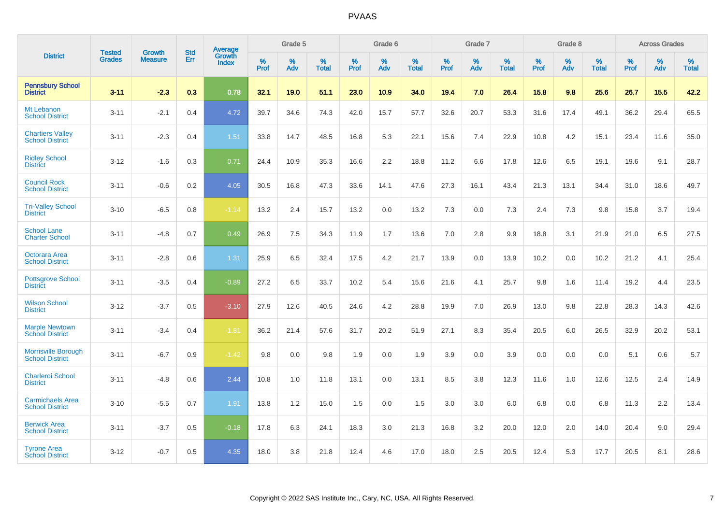|                                                      |                                |                                 | <b>Std</b> | Average                |           | Grade 5  |                   |           | Grade 6  |                   |              | Grade 7  |                   |              | Grade 8  |                   |           | <b>Across Grades</b> |            |
|------------------------------------------------------|--------------------------------|---------------------------------|------------|------------------------|-----------|----------|-------------------|-----------|----------|-------------------|--------------|----------|-------------------|--------------|----------|-------------------|-----------|----------------------|------------|
| <b>District</b>                                      | <b>Tested</b><br><b>Grades</b> | <b>Growth</b><br><b>Measure</b> | Err        | Growth<br><b>Index</b> | %<br>Prof | %<br>Adv | %<br><b>Total</b> | %<br>Prof | %<br>Adv | %<br><b>Total</b> | $\%$<br>Prof | %<br>Adv | %<br><b>Total</b> | $\%$<br>Prof | %<br>Adv | %<br><b>Total</b> | %<br>Prof | %<br>Adv             | %<br>Total |
| <b>Pennsbury School</b><br><b>District</b>           | $3 - 11$                       | $-2.3$                          | 0.3        | 0.78                   | 32.1      | 19.0     | 51.1              | 23.0      | 10.9     | 34.0              | 19.4         | 7.0      | 26.4              | 15.8         | 9.8      | 25.6              | 26.7      | 15.5                 | 42.2       |
| Mt Lebanon<br><b>School District</b>                 | $3 - 11$                       | $-2.1$                          | 0.4        | 4.72                   | 39.7      | 34.6     | 74.3              | 42.0      | 15.7     | 57.7              | 32.6         | 20.7     | 53.3              | 31.6         | 17.4     | 49.1              | 36.2      | 29.4                 | 65.5       |
| <b>Chartiers Valley</b><br><b>School District</b>    | $3 - 11$                       | $-2.3$                          | 0.4        | 1.51                   | 33.8      | 14.7     | 48.5              | 16.8      | 5.3      | 22.1              | 15.6         | 7.4      | 22.9              | 10.8         | 4.2      | 15.1              | 23.4      | 11.6                 | 35.0       |
| <b>Ridley School</b><br><b>District</b>              | $3 - 12$                       | $-1.6$                          | 0.3        | 0.71                   | 24.4      | 10.9     | 35.3              | 16.6      | 2.2      | 18.8              | 11.2         | 6.6      | 17.8              | 12.6         | 6.5      | 19.1              | 19.6      | 9.1                  | 28.7       |
| <b>Council Rock</b><br><b>School District</b>        | $3 - 11$                       | $-0.6$                          | 0.2        | 4.05                   | 30.5      | 16.8     | 47.3              | 33.6      | 14.1     | 47.6              | 27.3         | 16.1     | 43.4              | 21.3         | 13.1     | 34.4              | 31.0      | 18.6                 | 49.7       |
| <b>Tri-Valley School</b><br><b>District</b>          | $3 - 10$                       | $-6.5$                          | 0.8        | $-1.14$                | 13.2      | 2.4      | 15.7              | 13.2      | 0.0      | 13.2              | 7.3          | 0.0      | 7.3               | 2.4          | 7.3      | 9.8               | 15.8      | 3.7                  | 19.4       |
| <b>School Lane</b><br><b>Charter School</b>          | $3 - 11$                       | $-4.8$                          | 0.7        | 0.49                   | 26.9      | 7.5      | 34.3              | 11.9      | 1.7      | 13.6              | 7.0          | 2.8      | 9.9               | 18.8         | 3.1      | 21.9              | 21.0      | 6.5                  | 27.5       |
| Octorara Area<br><b>School District</b>              | $3 - 11$                       | $-2.8$                          | 0.6        | 1.31                   | 25.9      | 6.5      | 32.4              | 17.5      | 4.2      | 21.7              | 13.9         | 0.0      | 13.9              | 10.2         | 0.0      | 10.2              | 21.2      | 4.1                  | 25.4       |
| <b>Pottsgrove School</b><br><b>District</b>          | $3 - 11$                       | $-3.5$                          | 0.4        | $-0.89$                | 27.2      | 6.5      | 33.7              | 10.2      | 5.4      | 15.6              | 21.6         | 4.1      | 25.7              | 9.8          | 1.6      | 11.4              | 19.2      | 4.4                  | 23.5       |
| <b>Wilson School</b><br><b>District</b>              | $3 - 12$                       | $-3.7$                          | 0.5        | $-3.10$                | 27.9      | 12.6     | 40.5              | 24.6      | 4.2      | 28.8              | 19.9         | 7.0      | 26.9              | 13.0         | 9.8      | 22.8              | 28.3      | 14.3                 | 42.6       |
| <b>Marple Newtown</b><br><b>School District</b>      | $3 - 11$                       | $-3.4$                          | 0.4        | $-1.81$                | 36.2      | 21.4     | 57.6              | 31.7      | 20.2     | 51.9              | 27.1         | 8.3      | 35.4              | 20.5         | 6.0      | 26.5              | 32.9      | 20.2                 | 53.1       |
| <b>Morrisville Borough</b><br><b>School District</b> | $3 - 11$                       | $-6.7$                          | 0.9        | $-1.42$                | 9.8       | 0.0      | 9.8               | 1.9       | 0.0      | 1.9               | 3.9          | 0.0      | 3.9               | 0.0          | 0.0      | 0.0               | 5.1       | 0.6                  | 5.7        |
| <b>Charleroi School</b><br><b>District</b>           | $3 - 11$                       | $-4.8$                          | 0.6        | 2.44                   | 10.8      | 1.0      | 11.8              | 13.1      | 0.0      | 13.1              | 8.5          | 3.8      | 12.3              | 11.6         | 1.0      | 12.6              | 12.5      | 2.4                  | 14.9       |
| <b>Carmichaels Area</b><br><b>School District</b>    | $3 - 10$                       | $-5.5$                          | 0.7        | 1.91                   | 13.8      | 1.2      | 15.0              | 1.5       | 0.0      | 1.5               | 3.0          | 3.0      | 6.0               | 6.8          | 0.0      | 6.8               | 11.3      | 2.2                  | 13.4       |
| <b>Berwick Area</b><br><b>School District</b>        | $3 - 11$                       | $-3.7$                          | 0.5        | $-0.18$                | 17.8      | 6.3      | 24.1              | 18.3      | 3.0      | 21.3              | 16.8         | 3.2      | 20.0              | 12.0         | 2.0      | 14.0              | 20.4      | 9.0                  | 29.4       |
| <b>Tyrone Area</b><br><b>School District</b>         | $3 - 12$                       | $-0.7$                          | 0.5        | 4.35                   | 18.0      | 3.8      | 21.8              | 12.4      | 4.6      | 17.0              | 18.0         | 2.5      | 20.5              | 12.4         | 5.3      | 17.7              | 20.5      | 8.1                  | 28.6       |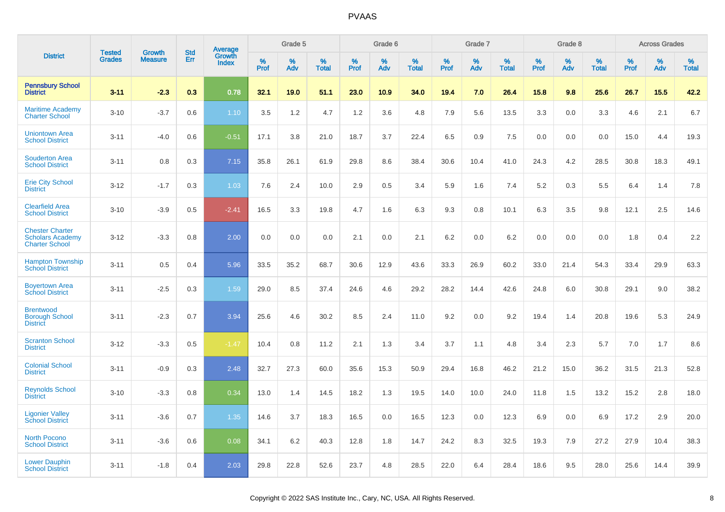|                                                                            | <b>Tested</b> |                                 | <b>Std</b> | Average                |              | Grade 5  |                   |              | Grade 6  |                   |              | Grade 7  |                   |              | Grade 8  |                   |              | <b>Across Grades</b> |                   |
|----------------------------------------------------------------------------|---------------|---------------------------------|------------|------------------------|--------------|----------|-------------------|--------------|----------|-------------------|--------------|----------|-------------------|--------------|----------|-------------------|--------------|----------------------|-------------------|
| <b>District</b>                                                            | <b>Grades</b> | <b>Growth</b><br><b>Measure</b> | Err        | Growth<br><b>Index</b> | $\%$<br>Prof | %<br>Adv | %<br><b>Total</b> | $\%$<br>Prof | %<br>Adv | %<br><b>Total</b> | $\%$<br>Prof | %<br>Adv | %<br><b>Total</b> | $\%$<br>Prof | %<br>Adv | %<br><b>Total</b> | $\%$<br>Prof | %<br>Adv             | %<br><b>Total</b> |
| <b>Pennsbury School</b><br><b>District</b>                                 | $3 - 11$      | $-2.3$                          | 0.3        | 0.78                   | 32.1         | 19.0     | 51.1              | 23.0         | 10.9     | 34.0              | 19.4         | 7.0      | 26.4              | 15.8         | 9.8      | 25.6              | 26.7         | 15.5                 | 42.2              |
| <b>Maritime Academy</b><br><b>Charter School</b>                           | $3 - 10$      | $-3.7$                          | 0.6        | 1.10                   | 3.5          | 1.2      | 4.7               | 1.2          | 3.6      | 4.8               | 7.9          | 5.6      | 13.5              | 3.3          | 0.0      | 3.3               | 4.6          | 2.1                  | 6.7               |
| <b>Uniontown Area</b><br><b>School District</b>                            | $3 - 11$      | $-4.0$                          | 0.6        | $-0.51$                | 17.1         | 3.8      | 21.0              | 18.7         | 3.7      | 22.4              | 6.5          | 0.9      | 7.5               | 0.0          | 0.0      | 0.0               | 15.0         | 4.4                  | 19.3              |
| <b>Souderton Area</b><br><b>School District</b>                            | $3 - 11$      | 0.8                             | 0.3        | 7.15                   | 35.8         | 26.1     | 61.9              | 29.8         | 8.6      | 38.4              | 30.6         | 10.4     | 41.0              | 24.3         | 4.2      | 28.5              | 30.8         | 18.3                 | 49.1              |
| <b>Erie City School</b><br><b>District</b>                                 | $3 - 12$      | $-1.7$                          | 0.3        | 1.03                   | 7.6          | 2.4      | 10.0              | 2.9          | 0.5      | 3.4               | 5.9          | 1.6      | 7.4               | 5.2          | 0.3      | 5.5               | 6.4          | 1.4                  | 7.8               |
| <b>Clearfield Area</b><br><b>School District</b>                           | $3 - 10$      | $-3.9$                          | 0.5        | $-2.41$                | 16.5         | 3.3      | 19.8              | 4.7          | 1.6      | 6.3               | 9.3          | 0.8      | 10.1              | 6.3          | 3.5      | 9.8               | 12.1         | 2.5                  | 14.6              |
| <b>Chester Charter</b><br><b>Scholars Academy</b><br><b>Charter School</b> | $3 - 12$      | $-3.3$                          | 0.8        | 2.00                   | 0.0          | 0.0      | 0.0               | 2.1          | 0.0      | 2.1               | 6.2          | 0.0      | 6.2               | 0.0          | 0.0      | 0.0               | 1.8          | 0.4                  | 2.2               |
| <b>Hampton Township</b><br><b>School District</b>                          | $3 - 11$      | 0.5                             | 0.4        | 5.96                   | 33.5         | 35.2     | 68.7              | 30.6         | 12.9     | 43.6              | 33.3         | 26.9     | 60.2              | 33.0         | 21.4     | 54.3              | 33.4         | 29.9                 | 63.3              |
| <b>Boyertown Area</b><br><b>School District</b>                            | $3 - 11$      | $-2.5$                          | 0.3        | 1.59                   | 29.0         | 8.5      | 37.4              | 24.6         | 4.6      | 29.2              | 28.2         | 14.4     | 42.6              | 24.8         | 6.0      | 30.8              | 29.1         | 9.0                  | 38.2              |
| <b>Brentwood</b><br><b>Borough School</b><br><b>District</b>               | $3 - 11$      | $-2.3$                          | 0.7        | 3.94                   | 25.6         | 4.6      | 30.2              | 8.5          | 2.4      | 11.0              | 9.2          | 0.0      | 9.2               | 19.4         | 1.4      | 20.8              | 19.6         | 5.3                  | 24.9              |
| <b>Scranton School</b><br><b>District</b>                                  | $3 - 12$      | $-3.3$                          | 0.5        | $-1.47$                | 10.4         | 0.8      | 11.2              | 2.1          | 1.3      | 3.4               | 3.7          | 1.1      | 4.8               | 3.4          | 2.3      | 5.7               | 7.0          | 1.7                  | 8.6               |
| <b>Colonial School</b><br><b>District</b>                                  | $3 - 11$      | $-0.9$                          | 0.3        | 2.48                   | 32.7         | 27.3     | 60.0              | 35.6         | 15.3     | 50.9              | 29.4         | 16.8     | 46.2              | 21.2         | 15.0     | 36.2              | 31.5         | 21.3                 | 52.8              |
| <b>Reynolds School</b><br><b>District</b>                                  | $3 - 10$      | $-3.3$                          | 0.8        | 0.34                   | 13.0         | 1.4      | 14.5              | 18.2         | 1.3      | 19.5              | 14.0         | 10.0     | 24.0              | 11.8         | 1.5      | 13.2              | 15.2         | 2.8                  | 18.0              |
| <b>Ligonier Valley</b><br><b>School District</b>                           | $3 - 11$      | $-3.6$                          | 0.7        | 1.35                   | 14.6         | 3.7      | 18.3              | 16.5         | 0.0      | 16.5              | 12.3         | 0.0      | 12.3              | 6.9          | 0.0      | 6.9               | 17.2         | 2.9                  | 20.0              |
| <b>North Pocono</b><br><b>School District</b>                              | $3 - 11$      | $-3.6$                          | 0.6        | 0.08                   | 34.1         | 6.2      | 40.3              | 12.8         | 1.8      | 14.7              | 24.2         | 8.3      | 32.5              | 19.3         | 7.9      | 27.2              | 27.9         | 10.4                 | 38.3              |
| <b>Lower Dauphin</b><br><b>School District</b>                             | $3 - 11$      | $-1.8$                          | 0.4        | 2.03                   | 29.8         | 22.8     | 52.6              | 23.7         | 4.8      | 28.5              | 22.0         | 6.4      | 28.4              | 18.6         | 9.5      | 28.0              | 25.6         | 14.4                 | 39.9              |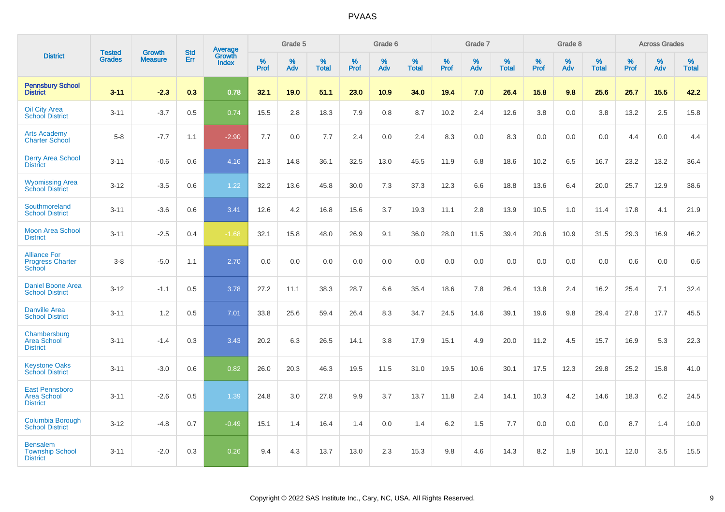|                                                                |                                |                                 | <b>Std</b> | <b>Average</b>  |                     | Grade 5  |                   |           | Grade 6  |                   |           | Grade 7  |                   |           | Grade 8  |                   |              | <b>Across Grades</b> |                   |
|----------------------------------------------------------------|--------------------------------|---------------------------------|------------|-----------------|---------------------|----------|-------------------|-----------|----------|-------------------|-----------|----------|-------------------|-----------|----------|-------------------|--------------|----------------------|-------------------|
| <b>District</b>                                                | <b>Tested</b><br><b>Grades</b> | <b>Growth</b><br><b>Measure</b> | Err        | Growth<br>Index | $\%$<br><b>Prof</b> | %<br>Adv | %<br><b>Total</b> | %<br>Prof | %<br>Adv | %<br><b>Total</b> | %<br>Prof | %<br>Adv | %<br><b>Total</b> | %<br>Prof | %<br>Adv | %<br><b>Total</b> | $\%$<br>Prof | %<br>Adv             | %<br><b>Total</b> |
| <b>Pennsbury School</b><br><b>District</b>                     | $3 - 11$                       | $-2.3$                          | 0.3        | 0.78            | 32.1                | 19.0     | 51.1              | 23.0      | 10.9     | 34.0              | 19.4      | 7.0      | 26.4              | 15.8      | 9.8      | 25.6              | 26.7         | 15.5                 | 42.2              |
| <b>Oil City Area</b><br><b>School District</b>                 | $3 - 11$                       | $-3.7$                          | 0.5        | 0.74            | 15.5                | 2.8      | 18.3              | 7.9       | 0.8      | 8.7               | 10.2      | 2.4      | 12.6              | 3.8       | 0.0      | 3.8               | 13.2         | 2.5                  | 15.8              |
| <b>Arts Academy</b><br><b>Charter School</b>                   | $5-8$                          | $-7.7$                          | 1.1        | $-2.90$         | 7.7                 | 0.0      | 7.7               | 2.4       | 0.0      | 2.4               | 8.3       | 0.0      | 8.3               | 0.0       | 0.0      | 0.0               | 4.4          | 0.0                  | 4.4               |
| <b>Derry Area School</b><br><b>District</b>                    | $3 - 11$                       | $-0.6$                          | 0.6        | 4.16            | 21.3                | 14.8     | 36.1              | 32.5      | 13.0     | 45.5              | 11.9      | 6.8      | 18.6              | 10.2      | 6.5      | 16.7              | 23.2         | 13.2                 | 36.4              |
| <b>Wyomissing Area</b><br><b>School District</b>               | $3 - 12$                       | $-3.5$                          | 0.6        | 1.22            | 32.2                | 13.6     | 45.8              | 30.0      | 7.3      | 37.3              | 12.3      | 6.6      | 18.8              | 13.6      | 6.4      | 20.0              | 25.7         | 12.9                 | 38.6              |
| Southmoreland<br><b>School District</b>                        | $3 - 11$                       | $-3.6$                          | 0.6        | 3.41            | 12.6                | 4.2      | 16.8              | 15.6      | 3.7      | 19.3              | 11.1      | 2.8      | 13.9              | 10.5      | 1.0      | 11.4              | 17.8         | 4.1                  | 21.9              |
| <b>Moon Area School</b><br><b>District</b>                     | $3 - 11$                       | $-2.5$                          | 0.4        | $-1.68$         | 32.1                | 15.8     | 48.0              | 26.9      | 9.1      | 36.0              | 28.0      | 11.5     | 39.4              | 20.6      | 10.9     | 31.5              | 29.3         | 16.9                 | 46.2              |
| <b>Alliance For</b><br><b>Progress Charter</b><br>School       | $3 - 8$                        | $-5.0$                          | 1.1        | 2.70            | 0.0                 | 0.0      | 0.0               | 0.0       | 0.0      | 0.0               | 0.0       | 0.0      | 0.0               | 0.0       | 0.0      | 0.0               | 0.6          | 0.0                  | 0.6               |
| <b>Daniel Boone Area</b><br><b>School District</b>             | $3 - 12$                       | $-1.1$                          | 0.5        | 3.78            | 27.2                | 11.1     | 38.3              | 28.7      | 6.6      | 35.4              | 18.6      | 7.8      | 26.4              | 13.8      | 2.4      | 16.2              | 25.4         | 7.1                  | 32.4              |
| <b>Danville Area</b><br><b>School District</b>                 | $3 - 11$                       | 1.2                             | 0.5        | 7.01            | 33.8                | 25.6     | 59.4              | 26.4      | 8.3      | 34.7              | 24.5      | 14.6     | 39.1              | 19.6      | 9.8      | 29.4              | 27.8         | 17.7                 | 45.5              |
| Chambersburg<br><b>Area School</b><br><b>District</b>          | $3 - 11$                       | $-1.4$                          | 0.3        | 3.43            | 20.2                | 6.3      | 26.5              | 14.1      | 3.8      | 17.9              | 15.1      | 4.9      | 20.0              | 11.2      | 4.5      | 15.7              | 16.9         | 5.3                  | 22.3              |
| <b>Keystone Oaks</b><br><b>School District</b>                 | $3 - 11$                       | $-3.0$                          | 0.6        | 0.82            | 26.0                | 20.3     | 46.3              | 19.5      | 11.5     | 31.0              | 19.5      | 10.6     | 30.1              | 17.5      | 12.3     | 29.8              | 25.2         | 15.8                 | 41.0              |
| <b>East Pennsboro</b><br><b>Area School</b><br><b>District</b> | $3 - 11$                       | $-2.6$                          | 0.5        | 1.39            | 24.8                | 3.0      | 27.8              | 9.9       | 3.7      | 13.7              | 11.8      | 2.4      | 14.1              | 10.3      | 4.2      | 14.6              | 18.3         | 6.2                  | 24.5              |
| <b>Columbia Borough</b><br><b>School District</b>              | $3 - 12$                       | $-4.8$                          | 0.7        | $-0.49$         | 15.1                | 1.4      | 16.4              | 1.4       | 0.0      | 1.4               | 6.2       | 1.5      | 7.7               | 0.0       | 0.0      | 0.0               | 8.7          | 1.4                  | 10.0              |
| <b>Bensalem</b><br><b>Township School</b><br><b>District</b>   | $3 - 11$                       | $-2.0$                          | 0.3        | 0.26            | 9.4                 | 4.3      | 13.7              | 13.0      | 2.3      | 15.3              | 9.8       | 4.6      | 14.3              | 8.2       | 1.9      | 10.1              | 12.0         | 3.5                  | 15.5              |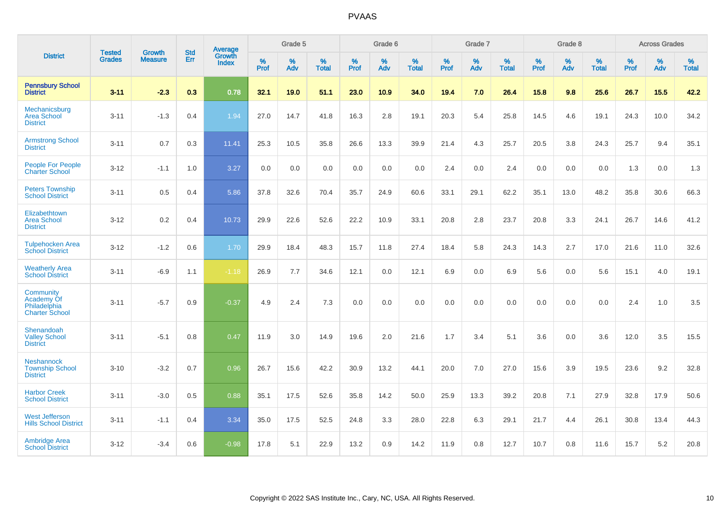|                                                                  |                                |                                 | <b>Std</b> | Average                       |              | Grade 5  |                   |           | Grade 6  |                   |           | Grade 7  |                   |           | Grade 8  |                   |           | <b>Across Grades</b> |                   |
|------------------------------------------------------------------|--------------------------------|---------------------------------|------------|-------------------------------|--------------|----------|-------------------|-----------|----------|-------------------|-----------|----------|-------------------|-----------|----------|-------------------|-----------|----------------------|-------------------|
| <b>District</b>                                                  | <b>Tested</b><br><b>Grades</b> | <b>Growth</b><br><b>Measure</b> | <b>Err</b> | <b>Growth</b><br><b>Index</b> | $\%$<br>Prof | %<br>Adv | %<br><b>Total</b> | %<br>Prof | %<br>Adv | %<br><b>Total</b> | %<br>Prof | %<br>Adv | %<br><b>Total</b> | %<br>Prof | %<br>Adv | %<br><b>Total</b> | %<br>Prof | %<br>Adv             | %<br><b>Total</b> |
| <b>Pennsbury School</b><br><b>District</b>                       | $3 - 11$                       | $-2.3$                          | 0.3        | 0.78                          | 32.1         | 19.0     | 51.1              | 23.0      | 10.9     | 34.0              | 19.4      | 7.0      | 26.4              | 15.8      | 9.8      | 25.6              | 26.7      | 15.5                 | 42.2              |
| Mechanicsburg<br><b>Area School</b><br><b>District</b>           | $3 - 11$                       | $-1.3$                          | 0.4        | 1.94                          | 27.0         | 14.7     | 41.8              | 16.3      | 2.8      | 19.1              | 20.3      | 5.4      | 25.8              | 14.5      | 4.6      | 19.1              | 24.3      | 10.0                 | 34.2              |
| <b>Armstrong School</b><br><b>District</b>                       | $3 - 11$                       | 0.7                             | 0.3        | 11.41                         | 25.3         | 10.5     | 35.8              | 26.6      | 13.3     | 39.9              | 21.4      | 4.3      | 25.7              | 20.5      | 3.8      | 24.3              | 25.7      | 9.4                  | 35.1              |
| <b>People For People</b><br><b>Charter School</b>                | $3 - 12$                       | $-1.1$                          | 1.0        | 3.27                          | 0.0          | 0.0      | 0.0               | 0.0       | 0.0      | 0.0               | 2.4       | 0.0      | 2.4               | 0.0       | 0.0      | 0.0               | 1.3       | 0.0                  | 1.3               |
| <b>Peters Township</b><br><b>School District</b>                 | $3 - 11$                       | 0.5                             | 0.4        | 5.86                          | 37.8         | 32.6     | 70.4              | 35.7      | 24.9     | 60.6              | 33.1      | 29.1     | 62.2              | 35.1      | 13.0     | 48.2              | 35.8      | 30.6                 | 66.3              |
| Elizabethtown<br><b>Area School</b><br><b>District</b>           | $3 - 12$                       | 0.2                             | 0.4        | 10.73                         | 29.9         | 22.6     | 52.6              | 22.2      | 10.9     | 33.1              | 20.8      | 2.8      | 23.7              | 20.8      | 3.3      | 24.1              | 26.7      | 14.6                 | 41.2              |
| <b>Tulpehocken Area</b><br><b>School District</b>                | $3 - 12$                       | $-1.2$                          | 0.6        | 1.70                          | 29.9         | 18.4     | 48.3              | 15.7      | 11.8     | 27.4              | 18.4      | 5.8      | 24.3              | 14.3      | 2.7      | 17.0              | 21.6      | 11.0                 | 32.6              |
| <b>Weatherly Area</b><br><b>School District</b>                  | $3 - 11$                       | $-6.9$                          | 1.1        | $-1.18$                       | 26.9         | 7.7      | 34.6              | 12.1      | 0.0      | 12.1              | 6.9       | $0.0\,$  | 6.9               | 5.6       | $0.0\,$  | 5.6               | 15.1      | 4.0                  | 19.1              |
| Community<br>Academy Of<br>Philadelphia<br><b>Charter School</b> | $3 - 11$                       | $-5.7$                          | 0.9        | $-0.37$                       | 4.9          | 2.4      | 7.3               | 0.0       | 0.0      | 0.0               | 0.0       | 0.0      | 0.0               | 0.0       | 0.0      | 0.0               | 2.4       | 1.0                  | 3.5               |
| Shenandoah<br><b>Valley School</b><br><b>District</b>            | $3 - 11$                       | $-5.1$                          | 0.8        | 0.47                          | 11.9         | 3.0      | 14.9              | 19.6      | 2.0      | 21.6              | 1.7       | 3.4      | 5.1               | 3.6       | 0.0      | 3.6               | 12.0      | 3.5                  | 15.5              |
| <b>Neshannock</b><br><b>Township School</b><br><b>District</b>   | $3 - 10$                       | $-3.2$                          | 0.7        | 0.96                          | 26.7         | 15.6     | 42.2              | 30.9      | 13.2     | 44.1              | 20.0      | 7.0      | 27.0              | 15.6      | 3.9      | 19.5              | 23.6      | 9.2                  | 32.8              |
| <b>Harbor Creek</b><br><b>School District</b>                    | $3 - 11$                       | $-3.0$                          | 0.5        | 0.88                          | 35.1         | 17.5     | 52.6              | 35.8      | 14.2     | 50.0              | 25.9      | 13.3     | 39.2              | 20.8      | 7.1      | 27.9              | 32.8      | 17.9                 | 50.6              |
| <b>West Jefferson</b><br><b>Hills School District</b>            | $3 - 11$                       | $-1.1$                          | 0.4        | 3.34                          | 35.0         | 17.5     | 52.5              | 24.8      | 3.3      | 28.0              | 22.8      | 6.3      | 29.1              | 21.7      | 4.4      | 26.1              | 30.8      | 13.4                 | 44.3              |
| <b>Ambridge Area</b><br><b>School District</b>                   | $3 - 12$                       | $-3.4$                          | 0.6        | $-0.98$                       | 17.8         | 5.1      | 22.9              | 13.2      | 0.9      | 14.2              | 11.9      | 0.8      | 12.7              | 10.7      | 0.8      | 11.6              | 15.7      | 5.2                  | 20.8              |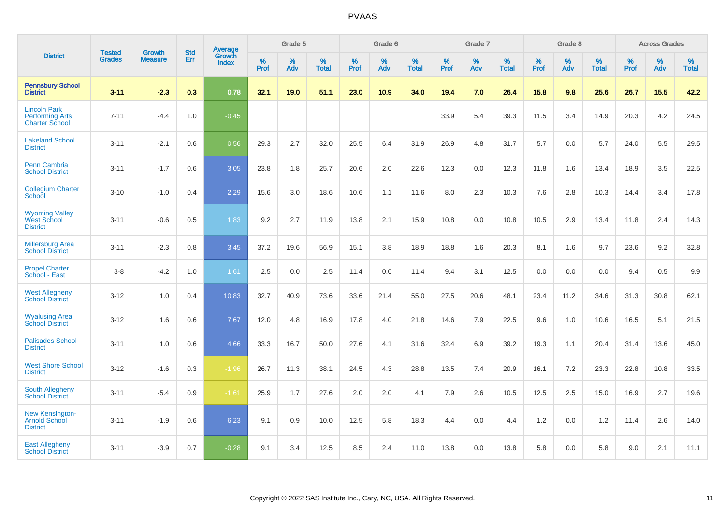|                                                                        | <b>Tested</b> | <b>Growth</b>  | <b>Std</b> | Average                       |           | Grade 5  |                   |           | Grade 6  |                   |           | Grade 7  |                   |           | Grade 8  |                   |           | <b>Across Grades</b> |                   |
|------------------------------------------------------------------------|---------------|----------------|------------|-------------------------------|-----------|----------|-------------------|-----------|----------|-------------------|-----------|----------|-------------------|-----------|----------|-------------------|-----------|----------------------|-------------------|
| <b>District</b>                                                        | <b>Grades</b> | <b>Measure</b> | Err        | <b>Growth</b><br><b>Index</b> | %<br>Prof | %<br>Adv | %<br><b>Total</b> | %<br>Prof | %<br>Adv | %<br><b>Total</b> | %<br>Prof | %<br>Adv | %<br><b>Total</b> | %<br>Prof | %<br>Adv | %<br><b>Total</b> | %<br>Prof | %<br>Adv             | %<br><b>Total</b> |
| <b>Pennsbury School</b><br><b>District</b>                             | $3 - 11$      | $-2.3$         | 0.3        | 0.78                          | 32.1      | 19.0     | 51.1              | 23.0      | 10.9     | 34.0              | 19.4      | 7.0      | 26.4              | 15.8      | 9.8      | 25.6              | 26.7      | 15.5                 | 42.2              |
| <b>Lincoln Park</b><br><b>Performing Arts</b><br><b>Charter School</b> | $7 - 11$      | $-4.4$         | 1.0        | $-0.45$                       |           |          |                   |           |          |                   | 33.9      | 5.4      | 39.3              | 11.5      | 3.4      | 14.9              | 20.3      | 4.2                  | 24.5              |
| <b>Lakeland School</b><br><b>District</b>                              | $3 - 11$      | $-2.1$         | 0.6        | 0.56                          | 29.3      | 2.7      | 32.0              | 25.5      | 6.4      | 31.9              | 26.9      | 4.8      | 31.7              | 5.7       | 0.0      | 5.7               | 24.0      | 5.5                  | 29.5              |
| <b>Penn Cambria</b><br><b>School District</b>                          | $3 - 11$      | $-1.7$         | 0.6        | 3.05                          | 23.8      | 1.8      | 25.7              | 20.6      | 2.0      | 22.6              | 12.3      | 0.0      | 12.3              | 11.8      | 1.6      | 13.4              | 18.9      | 3.5                  | 22.5              |
| <b>Collegium Charter</b><br>School                                     | $3 - 10$      | $-1.0$         | 0.4        | 2.29                          | 15.6      | 3.0      | 18.6              | 10.6      | 1.1      | 11.6              | 8.0       | 2.3      | 10.3              | 7.6       | 2.8      | 10.3              | 14.4      | 3.4                  | 17.8              |
| <b>Wyoming Valley</b><br>West School<br><b>District</b>                | $3 - 11$      | $-0.6$         | 0.5        | 1.83                          | 9.2       | 2.7      | 11.9              | 13.8      | 2.1      | 15.9              | 10.8      | 0.0      | 10.8              | 10.5      | 2.9      | 13.4              | 11.8      | 2.4                  | 14.3              |
| <b>Millersburg Area</b><br><b>School District</b>                      | $3 - 11$      | $-2.3$         | 0.8        | 3.45                          | 37.2      | 19.6     | 56.9              | 15.1      | 3.8      | 18.9              | 18.8      | 1.6      | 20.3              | 8.1       | 1.6      | 9.7               | 23.6      | 9.2                  | 32.8              |
| <b>Propel Charter</b><br>School - East                                 | $3 - 8$       | $-4.2$         | 1.0        | 1.61                          | 2.5       | 0.0      | 2.5               | 11.4      | 0.0      | 11.4              | 9.4       | 3.1      | 12.5              | 0.0       | 0.0      | 0.0               | 9.4       | 0.5                  | 9.9               |
| <b>West Allegheny</b><br><b>School District</b>                        | $3 - 12$      | 1.0            | 0.4        | 10.83                         | 32.7      | 40.9     | 73.6              | 33.6      | 21.4     | 55.0              | 27.5      | 20.6     | 48.1              | 23.4      | 11.2     | 34.6              | 31.3      | 30.8                 | 62.1              |
| <b>Wyalusing Area</b><br><b>School District</b>                        | $3 - 12$      | 1.6            | 0.6        | 7.67                          | 12.0      | 4.8      | 16.9              | 17.8      | 4.0      | 21.8              | 14.6      | 7.9      | 22.5              | 9.6       | 1.0      | 10.6              | 16.5      | 5.1                  | 21.5              |
| <b>Palisades School</b><br><b>District</b>                             | $3 - 11$      | 1.0            | 0.6        | 4.66                          | 33.3      | 16.7     | 50.0              | 27.6      | 4.1      | 31.6              | 32.4      | 6.9      | 39.2              | 19.3      | 1.1      | 20.4              | 31.4      | 13.6                 | 45.0              |
| <b>West Shore School</b><br><b>District</b>                            | $3 - 12$      | $-1.6$         | 0.3        | $-1.96$                       | 26.7      | 11.3     | 38.1              | 24.5      | 4.3      | 28.8              | 13.5      | 7.4      | 20.9              | 16.1      | 7.2      | 23.3              | 22.8      | 10.8                 | 33.5              |
| <b>South Allegheny</b><br><b>School District</b>                       | $3 - 11$      | $-5.4$         | 0.9        | $-1.61$                       | 25.9      | 1.7      | 27.6              | 2.0       | 2.0      | 4.1               | 7.9       | 2.6      | 10.5              | 12.5      | 2.5      | 15.0              | 16.9      | 2.7                  | 19.6              |
| <b>New Kensington-</b><br><b>Arnold School</b><br><b>District</b>      | $3 - 11$      | $-1.9$         | 0.6        | 6.23                          | 9.1       | 0.9      | 10.0              | 12.5      | 5.8      | 18.3              | 4.4       | $0.0\,$  | 4.4               | 1.2       | $0.0\,$  | 1.2               | 11.4      | 2.6                  | 14.0              |
| <b>East Allegheny</b><br><b>School District</b>                        | $3 - 11$      | $-3.9$         | 0.7        | $-0.28$                       | 9.1       | 3.4      | 12.5              | 8.5       | 2.4      | 11.0              | 13.8      | 0.0      | 13.8              | 5.8       | 0.0      | 5.8               | 9.0       | 2.1                  | 11.1              |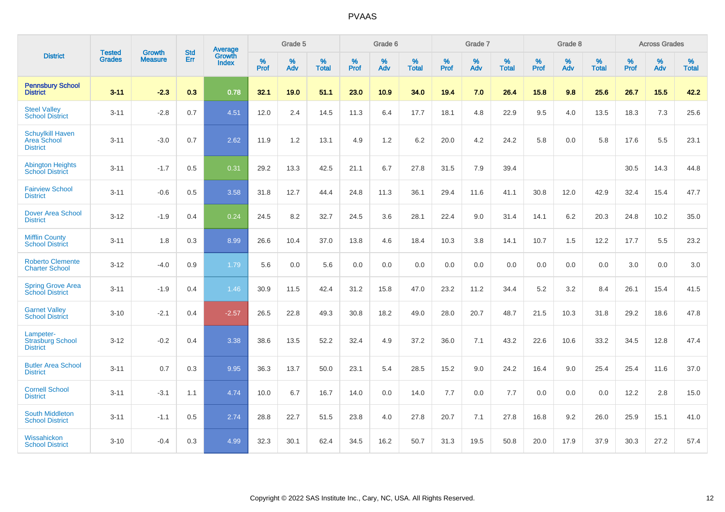|                                                                  | <b>Tested</b> | <b>Growth</b>  | <b>Std</b> | Average                |           | Grade 5  |                   |                  | Grade 6  |                   |           | Grade 7  |                   |           | Grade 8  |                   |           | <b>Across Grades</b> |                   |
|------------------------------------------------------------------|---------------|----------------|------------|------------------------|-----------|----------|-------------------|------------------|----------|-------------------|-----------|----------|-------------------|-----------|----------|-------------------|-----------|----------------------|-------------------|
| <b>District</b>                                                  | <b>Grades</b> | <b>Measure</b> | Err        | Growth<br><b>Index</b> | %<br>Prof | %<br>Adv | %<br><b>Total</b> | %<br><b>Prof</b> | %<br>Adv | %<br><b>Total</b> | %<br>Prof | %<br>Adv | %<br><b>Total</b> | %<br>Prof | %<br>Adv | %<br><b>Total</b> | %<br>Prof | %<br>Adv             | %<br><b>Total</b> |
| <b>Pennsbury School</b><br><b>District</b>                       | $3 - 11$      | $-2.3$         | 0.3        | 0.78                   | 32.1      | 19.0     | 51.1              | 23.0             | 10.9     | 34.0              | 19.4      | 7.0      | 26.4              | 15.8      | 9.8      | 25.6              | 26.7      | 15.5                 | 42.2              |
| <b>Steel Valley</b><br><b>School District</b>                    | $3 - 11$      | $-2.8$         | 0.7        | 4.51                   | 12.0      | 2.4      | 14.5              | 11.3             | 6.4      | 17.7              | 18.1      | 4.8      | 22.9              | 9.5       | 4.0      | 13.5              | 18.3      | 7.3                  | 25.6              |
| <b>Schuylkill Haven</b><br><b>Area School</b><br><b>District</b> | $3 - 11$      | $-3.0$         | 0.7        | 2.62                   | 11.9      | 1.2      | 13.1              | 4.9              | 1.2      | 6.2               | 20.0      | 4.2      | 24.2              | 5.8       | 0.0      | 5.8               | 17.6      | 5.5                  | 23.1              |
| <b>Abington Heights</b><br><b>School District</b>                | $3 - 11$      | $-1.7$         | 0.5        | 0.31                   | 29.2      | 13.3     | 42.5              | 21.1             | 6.7      | 27.8              | 31.5      | 7.9      | 39.4              |           |          |                   | 30.5      | 14.3                 | 44.8              |
| <b>Fairview School</b><br><b>District</b>                        | $3 - 11$      | $-0.6$         | 0.5        | 3.58                   | 31.8      | 12.7     | 44.4              | 24.8             | 11.3     | 36.1              | 29.4      | 11.6     | 41.1              | 30.8      | 12.0     | 42.9              | 32.4      | 15.4                 | 47.7              |
| <b>Dover Area School</b><br><b>District</b>                      | $3 - 12$      | $-1.9$         | 0.4        | 0.24                   | 24.5      | 8.2      | 32.7              | 24.5             | 3.6      | 28.1              | 22.4      | 9.0      | 31.4              | 14.1      | $6.2\,$  | 20.3              | 24.8      | 10.2                 | 35.0              |
| <b>Mifflin County</b><br><b>School District</b>                  | $3 - 11$      | 1.8            | 0.3        | 8.99                   | 26.6      | 10.4     | 37.0              | 13.8             | 4.6      | 18.4              | 10.3      | 3.8      | 14.1              | 10.7      | 1.5      | 12.2              | 17.7      | 5.5                  | 23.2              |
| <b>Roberto Clemente</b><br><b>Charter School</b>                 | $3 - 12$      | $-4.0$         | 0.9        | 1.79                   | 5.6       | 0.0      | 5.6               | 0.0              | 0.0      | 0.0               | 0.0       | 0.0      | 0.0               | 0.0       | 0.0      | 0.0               | 3.0       | 0.0                  | 3.0               |
| <b>Spring Grove Area</b><br><b>School District</b>               | $3 - 11$      | $-1.9$         | 0.4        | 1.46                   | 30.9      | 11.5     | 42.4              | 31.2             | 15.8     | 47.0              | 23.2      | 11.2     | 34.4              | 5.2       | 3.2      | 8.4               | 26.1      | 15.4                 | 41.5              |
| <b>Garnet Valley</b><br><b>School District</b>                   | $3 - 10$      | $-2.1$         | 0.4        | $-2.57$                | 26.5      | 22.8     | 49.3              | 30.8             | 18.2     | 49.0              | 28.0      | 20.7     | 48.7              | 21.5      | 10.3     | 31.8              | 29.2      | 18.6                 | 47.8              |
| Lampeter-<br><b>Strasburg School</b><br><b>District</b>          | $3 - 12$      | $-0.2$         | 0.4        | 3.38                   | 38.6      | 13.5     | 52.2              | 32.4             | 4.9      | 37.2              | 36.0      | 7.1      | 43.2              | 22.6      | 10.6     | 33.2              | 34.5      | 12.8                 | 47.4              |
| <b>Butler Area School</b><br><b>District</b>                     | $3 - 11$      | 0.7            | 0.3        | 9.95                   | 36.3      | 13.7     | 50.0              | 23.1             | 5.4      | 28.5              | 15.2      | 9.0      | 24.2              | 16.4      | 9.0      | 25.4              | 25.4      | 11.6                 | 37.0              |
| <b>Cornell School</b><br><b>District</b>                         | $3 - 11$      | $-3.1$         | 1.1        | 4.74                   | 10.0      | 6.7      | 16.7              | 14.0             | 0.0      | 14.0              | $7.7$     | 0.0      | 7.7               | 0.0       | 0.0      | 0.0               | 12.2      | $2.8\,$              | 15.0              |
| <b>South Middleton</b><br><b>School District</b>                 | $3 - 11$      | $-1.1$         | 0.5        | 2.74                   | 28.8      | 22.7     | 51.5              | 23.8             | 4.0      | 27.8              | 20.7      | 7.1      | 27.8              | 16.8      | 9.2      | 26.0              | 25.9      | 15.1                 | 41.0              |
| Wissahickon<br><b>School District</b>                            | $3 - 10$      | $-0.4$         | 0.3        | 4.99                   | 32.3      | 30.1     | 62.4              | 34.5             | 16.2     | 50.7              | 31.3      | 19.5     | 50.8              | 20.0      | 17.9     | 37.9              | 30.3      | 27.2                 | 57.4              |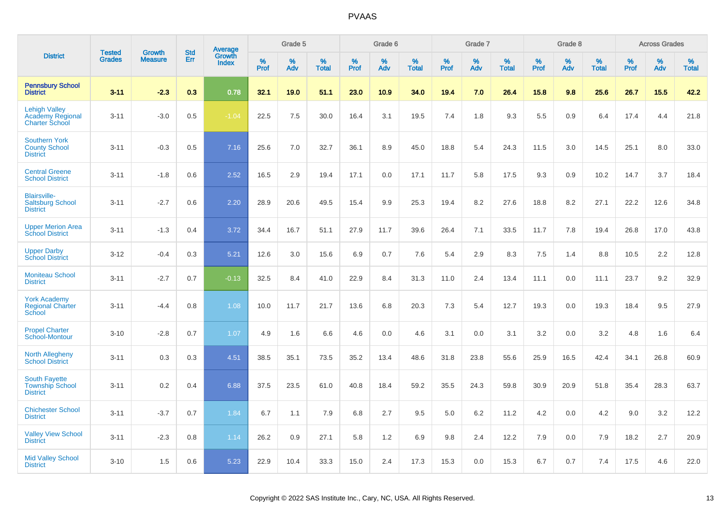|                                                                          |                                |                                 | <b>Std</b> |                                          |                     | Grade 5  |                   |              | Grade 6  |                   |           | Grade 7  |                   |           | Grade 8  |                   |              | <b>Across Grades</b> |                   |
|--------------------------------------------------------------------------|--------------------------------|---------------------------------|------------|------------------------------------------|---------------------|----------|-------------------|--------------|----------|-------------------|-----------|----------|-------------------|-----------|----------|-------------------|--------------|----------------------|-------------------|
| <b>District</b>                                                          | <b>Tested</b><br><b>Grades</b> | <b>Growth</b><br><b>Measure</b> | Err        | <b>Average</b><br>Growth<br><b>Index</b> | $\%$<br><b>Prof</b> | %<br>Adv | %<br><b>Total</b> | $\%$<br>Prof | %<br>Adv | %<br><b>Total</b> | %<br>Prof | %<br>Adv | %<br><b>Total</b> | %<br>Prof | %<br>Adv | %<br><b>Total</b> | $\%$<br>Prof | %<br>Adv             | %<br><b>Total</b> |
| <b>Pennsbury School</b><br><b>District</b>                               | $3 - 11$                       | $-2.3$                          | 0.3        | 0.78                                     | 32.1                | 19.0     | 51.1              | 23.0         | 10.9     | 34.0              | 19.4      | 7.0      | 26.4              | 15.8      | 9.8      | 25.6              | 26.7         | 15.5                 | 42.2              |
| <b>Lehigh Valley</b><br><b>Academy Regional</b><br><b>Charter School</b> | $3 - 11$                       | $-3.0$                          | 0.5        | $-1.04$                                  | 22.5                | 7.5      | 30.0              | 16.4         | 3.1      | 19.5              | 7.4       | 1.8      | 9.3               | 5.5       | 0.9      | 6.4               | 17.4         | 4.4                  | 21.8              |
| <b>Southern York</b><br><b>County School</b><br><b>District</b>          | $3 - 11$                       | $-0.3$                          | 0.5        | 7.16                                     | 25.6                | 7.0      | 32.7              | 36.1         | 8.9      | 45.0              | 18.8      | 5.4      | 24.3              | 11.5      | 3.0      | 14.5              | 25.1         | 8.0                  | 33.0              |
| <b>Central Greene</b><br><b>School District</b>                          | $3 - 11$                       | $-1.8$                          | 0.6        | 2.52                                     | 16.5                | 2.9      | 19.4              | 17.1         | 0.0      | 17.1              | 11.7      | 5.8      | 17.5              | 9.3       | 0.9      | 10.2              | 14.7         | 3.7                  | 18.4              |
| <b>Blairsville-</b><br><b>Saltsburg School</b><br><b>District</b>        | $3 - 11$                       | $-2.7$                          | 0.6        | 2.20                                     | 28.9                | 20.6     | 49.5              | 15.4         | 9.9      | 25.3              | 19.4      | 8.2      | 27.6              | 18.8      | 8.2      | 27.1              | 22.2         | 12.6                 | 34.8              |
| <b>Upper Merion Area</b><br><b>School District</b>                       | $3 - 11$                       | $-1.3$                          | 0.4        | 3.72                                     | 34.4                | 16.7     | 51.1              | 27.9         | 11.7     | 39.6              | 26.4      | 7.1      | 33.5              | 11.7      | 7.8      | 19.4              | 26.8         | 17.0                 | 43.8              |
| <b>Upper Darby</b><br><b>School District</b>                             | $3 - 12$                       | $-0.4$                          | 0.3        | 5.21                                     | 12.6                | 3.0      | 15.6              | 6.9          | 0.7      | 7.6               | 5.4       | 2.9      | 8.3               | 7.5       | 1.4      | 8.8               | 10.5         | 2.2                  | 12.8              |
| <b>Moniteau School</b><br><b>District</b>                                | $3 - 11$                       | $-2.7$                          | 0.7        | $-0.13$                                  | 32.5                | 8.4      | 41.0              | 22.9         | 8.4      | 31.3              | 11.0      | 2.4      | 13.4              | 11.1      | 0.0      | 11.1              | 23.7         | 9.2                  | 32.9              |
| <b>York Academy</b><br><b>Regional Charter</b><br>School                 | $3 - 11$                       | $-4.4$                          | 0.8        | 1.08                                     | 10.0                | 11.7     | 21.7              | 13.6         | 6.8      | 20.3              | 7.3       | 5.4      | 12.7              | 19.3      | 0.0      | 19.3              | 18.4         | 9.5                  | 27.9              |
| <b>Propel Charter</b><br>School-Montour                                  | $3 - 10$                       | $-2.8$                          | 0.7        | 1.07                                     | 4.9                 | 1.6      | 6.6               | 4.6          | 0.0      | 4.6               | 3.1       | 0.0      | 3.1               | 3.2       | 0.0      | 3.2               | 4.8          | 1.6                  | 6.4               |
| <b>North Allegheny</b><br><b>School District</b>                         | $3 - 11$                       | 0.3                             | 0.3        | 4.51                                     | 38.5                | 35.1     | 73.5              | 35.2         | 13.4     | 48.6              | 31.8      | 23.8     | 55.6              | 25.9      | 16.5     | 42.4              | 34.1         | 26.8                 | 60.9              |
| <b>South Fayette</b><br><b>Township School</b><br><b>District</b>        | $3 - 11$                       | 0.2                             | 0.4        | 6.88                                     | 37.5                | 23.5     | 61.0              | 40.8         | 18.4     | 59.2              | 35.5      | 24.3     | 59.8              | 30.9      | 20.9     | 51.8              | 35.4         | 28.3                 | 63.7              |
| <b>Chichester School</b><br><b>District</b>                              | $3 - 11$                       | $-3.7$                          | 0.7        | 1.84                                     | 6.7                 | 1.1      | 7.9               | 6.8          | 2.7      | 9.5               | 5.0       | 6.2      | 11.2              | 4.2       | 0.0      | 4.2               | 9.0          | 3.2                  | 12.2              |
| <b>Valley View School</b><br><b>District</b>                             | $3 - 11$                       | $-2.3$                          | 0.8        | 1.14                                     | 26.2                | 0.9      | 27.1              | 5.8          | 1.2      | 6.9               | 9.8       | 2.4      | 12.2              | 7.9       | 0.0      | 7.9               | 18.2         | 2.7                  | 20.9              |
| <b>Mid Valley School</b><br><b>District</b>                              | $3 - 10$                       | 1.5                             | 0.6        | 5.23                                     | 22.9                | 10.4     | 33.3              | 15.0         | 2.4      | 17.3              | 15.3      | 0.0      | 15.3              | 6.7       | 0.7      | 7.4               | 17.5         | 4.6                  | 22.0              |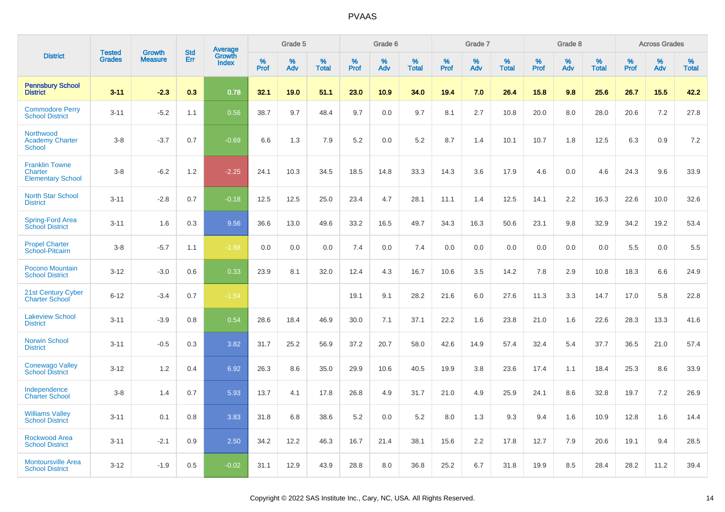|                                                              | <b>Tested</b> |                                 | <b>Std</b> |                                          |              | Grade 5  |                   |              | Grade 6  |                   |              | Grade 7  |                   |              | Grade 8  |                   |              | <b>Across Grades</b> |                   |
|--------------------------------------------------------------|---------------|---------------------------------|------------|------------------------------------------|--------------|----------|-------------------|--------------|----------|-------------------|--------------|----------|-------------------|--------------|----------|-------------------|--------------|----------------------|-------------------|
| <b>District</b>                                              | <b>Grades</b> | <b>Growth</b><br><b>Measure</b> | Err        | <b>Average</b><br>Growth<br><b>Index</b> | $\%$<br>Prof | %<br>Adv | %<br><b>Total</b> | $\%$<br>Prof | %<br>Adv | %<br><b>Total</b> | $\%$<br>Prof | %<br>Adv | %<br><b>Total</b> | $\%$<br>Prof | %<br>Adv | %<br><b>Total</b> | $\%$<br>Prof | %<br>Adv             | %<br><b>Total</b> |
| <b>Pennsbury School</b><br><b>District</b>                   | $3 - 11$      | $-2.3$                          | 0.3        | 0.78                                     | 32.1         | 19.0     | 51.1              | 23.0         | 10.9     | 34.0              | 19.4         | 7.0      | 26.4              | 15.8         | 9.8      | 25.6              | 26.7         | 15.5                 | 42.2              |
| <b>Commodore Perry</b><br><b>School District</b>             | $3 - 11$      | $-5.2$                          | 1.1        | 0.56                                     | 38.7         | 9.7      | 48.4              | 9.7          | 0.0      | 9.7               | 8.1          | 2.7      | 10.8              | 20.0         | 8.0      | 28.0              | 20.6         | 7.2                  | 27.8              |
| Northwood<br><b>Academy Charter</b><br><b>School</b>         | $3 - 8$       | $-3.7$                          | 0.7        | $-0.69$                                  | 6.6          | 1.3      | 7.9               | 5.2          | 0.0      | 5.2               | 8.7          | 1.4      | 10.1              | 10.7         | 1.8      | 12.5              | 6.3          | 0.9                  | 7.2               |
| <b>Franklin Towne</b><br>Charter<br><b>Elementary School</b> | $3 - 8$       | $-6.2$                          | 1.2        | $-2.25$                                  | 24.1         | 10.3     | 34.5              | 18.5         | 14.8     | 33.3              | 14.3         | 3.6      | 17.9              | 4.6          | 0.0      | 4.6               | 24.3         | 9.6                  | 33.9              |
| <b>North Star School</b><br><b>District</b>                  | $3 - 11$      | $-2.8$                          | 0.7        | $-0.18$                                  | 12.5         | 12.5     | 25.0              | 23.4         | 4.7      | 28.1              | 11.1         | 1.4      | 12.5              | 14.1         | 2.2      | 16.3              | 22.6         | 10.0                 | 32.6              |
| Spring-Ford Area<br><b>School District</b>                   | $3 - 11$      | 1.6                             | 0.3        | 9.56                                     | 36.6         | 13.0     | 49.6              | 33.2         | 16.5     | 49.7              | 34.3         | 16.3     | 50.6              | 23.1         | 9.8      | 32.9              | 34.2         | 19.2                 | 53.4              |
| <b>Propel Charter</b><br>School-Pitcairn                     | $3 - 8$       | $-5.7$                          | 1.1        | $-1.88$                                  | 0.0          | 0.0      | 0.0               | 7.4          | 0.0      | 7.4               | 0.0          | 0.0      | 0.0               | 0.0          | 0.0      | 0.0               | 5.5          | 0.0                  | 5.5               |
| Pocono Mountain<br><b>School District</b>                    | $3 - 12$      | $-3.0$                          | 0.6        | 0.33                                     | 23.9         | 8.1      | 32.0              | 12.4         | 4.3      | 16.7              | 10.6         | 3.5      | 14.2              | 7.8          | 2.9      | 10.8              | 18.3         | 6.6                  | 24.9              |
| 21st Century Cyber<br><b>Charter School</b>                  | $6 - 12$      | $-3.4$                          | 0.7        | $-1.54$                                  |              |          |                   | 19.1         | 9.1      | 28.2              | 21.6         | 6.0      | 27.6              | 11.3         | 3.3      | 14.7              | 17.0         | 5.8                  | 22.8              |
| <b>Lakeview School</b><br><b>District</b>                    | $3 - 11$      | $-3.9$                          | 0.8        | 0.54                                     | 28.6         | 18.4     | 46.9              | 30.0         | 7.1      | 37.1              | 22.2         | 1.6      | 23.8              | 21.0         | 1.6      | 22.6              | 28.3         | 13.3                 | 41.6              |
| <b>Norwin School</b><br><b>District</b>                      | $3 - 11$      | $-0.5$                          | 0.3        | 3.82                                     | 31.7         | 25.2     | 56.9              | 37.2         | 20.7     | 58.0              | 42.6         | 14.9     | 57.4              | 32.4         | 5.4      | 37.7              | 36.5         | 21.0                 | 57.4              |
| <b>Conewago Valley</b><br><b>School District</b>             | $3 - 12$      | 1.2                             | 0.4        | 6.92                                     | 26.3         | 8.6      | 35.0              | 29.9         | 10.6     | 40.5              | 19.9         | 3.8      | 23.6              | 17.4         | 1.1      | 18.4              | 25.3         | 8.6                  | 33.9              |
| Independence<br><b>Charter School</b>                        | $3 - 8$       | 1.4                             | 0.7        | 5.93                                     | 13.7         | 4.1      | 17.8              | 26.8         | 4.9      | 31.7              | 21.0         | 4.9      | 25.9              | 24.1         | 8.6      | 32.8              | 19.7         | 7.2                  | 26.9              |
| <b>Williams Valley</b><br><b>School District</b>             | $3 - 11$      | 0.1                             | 0.8        | 3.83                                     | 31.8         | 6.8      | 38.6              | 5.2          | 0.0      | 5.2               | 8.0          | 1.3      | 9.3               | 9.4          | 1.6      | 10.9              | 12.8         | 1.6                  | 14.4              |
| <b>Rockwood Area</b><br><b>School District</b>               | $3 - 11$      | $-2.1$                          | 0.9        | 2.50                                     | 34.2         | 12.2     | 46.3              | 16.7         | 21.4     | 38.1              | 15.6         | 2.2      | 17.8              | 12.7         | 7.9      | 20.6              | 19.1         | 9.4                  | 28.5              |
| <b>Montoursville Area</b><br><b>School District</b>          | $3 - 12$      | $-1.9$                          | 0.5        | $-0.02$                                  | 31.1         | 12.9     | 43.9              | 28.8         | 8.0      | 36.8              | 25.2         | 6.7      | 31.8              | 19.9         | 8.5      | 28.4              | 28.2         | 11.2                 | 39.4              |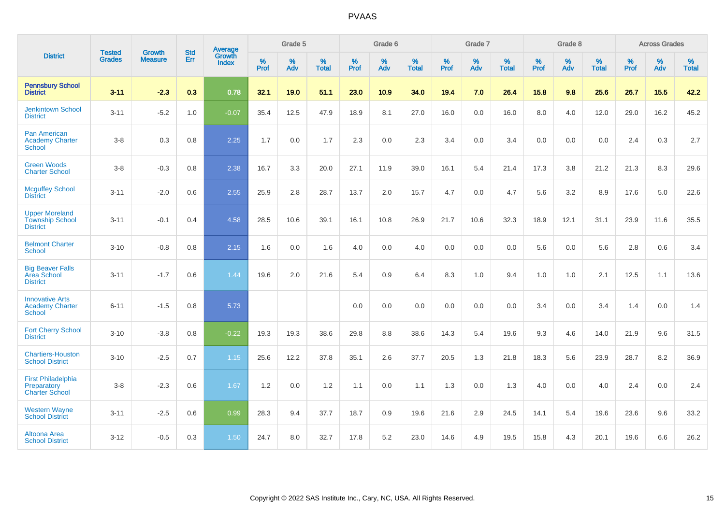|                                                                    | <b>Tested</b> | <b>Growth</b>  | <b>Std</b> | Average                |                     | Grade 5  |                   |                     | Grade 6  |                   |              | Grade 7  |                   |                     | Grade 8  |                   |                     | <b>Across Grades</b> |                   |
|--------------------------------------------------------------------|---------------|----------------|------------|------------------------|---------------------|----------|-------------------|---------------------|----------|-------------------|--------------|----------|-------------------|---------------------|----------|-------------------|---------------------|----------------------|-------------------|
| <b>District</b>                                                    | <b>Grades</b> | <b>Measure</b> | Err        | Growth<br><b>Index</b> | $\%$<br><b>Prof</b> | %<br>Adv | %<br><b>Total</b> | $\%$<br><b>Prof</b> | %<br>Adv | %<br><b>Total</b> | $\%$<br>Prof | %<br>Adv | %<br><b>Total</b> | $\%$<br><b>Prof</b> | %<br>Adv | %<br><b>Total</b> | $\%$<br><b>Prof</b> | %<br>Adv             | %<br><b>Total</b> |
| <b>Pennsbury School</b><br><b>District</b>                         | $3 - 11$      | $-2.3$         | 0.3        | 0.78                   | 32.1                | 19.0     | 51.1              | 23.0                | 10.9     | 34.0              | 19.4         | 7.0      | 26.4              | 15.8                | 9.8      | 25.6              | 26.7                | 15.5                 | 42.2              |
| <b>Jenkintown School</b><br><b>District</b>                        | $3 - 11$      | $-5.2$         | 1.0        | $-0.07$                | 35.4                | 12.5     | 47.9              | 18.9                | 8.1      | 27.0              | 16.0         | 0.0      | 16.0              | 8.0                 | 4.0      | 12.0              | 29.0                | 16.2                 | 45.2              |
| <b>Pan American</b><br><b>Academy Charter</b><br><b>School</b>     | $3 - 8$       | 0.3            | 0.8        | 2.25                   | 1.7                 | 0.0      | 1.7               | 2.3                 | 0.0      | 2.3               | 3.4          | 0.0      | 3.4               | 0.0                 | 0.0      | 0.0               | 2.4                 | 0.3                  | 2.7               |
| <b>Green Woods</b><br><b>Charter School</b>                        | $3 - 8$       | $-0.3$         | 0.8        | 2.38                   | 16.7                | 3.3      | 20.0              | 27.1                | 11.9     | 39.0              | 16.1         | 5.4      | 21.4              | 17.3                | 3.8      | 21.2              | 21.3                | 8.3                  | 29.6              |
| <b>Mcguffey School</b><br><b>District</b>                          | $3 - 11$      | $-2.0$         | 0.6        | 2.55                   | 25.9                | 2.8      | 28.7              | 13.7                | 2.0      | 15.7              | 4.7          | 0.0      | 4.7               | 5.6                 | 3.2      | 8.9               | 17.6                | 5.0                  | 22.6              |
| <b>Upper Moreland</b><br><b>Township School</b><br><b>District</b> | $3 - 11$      | $-0.1$         | 0.4        | 4.58                   | 28.5                | 10.6     | 39.1              | 16.1                | 10.8     | 26.9              | 21.7         | 10.6     | 32.3              | 18.9                | 12.1     | 31.1              | 23.9                | 11.6                 | 35.5              |
| <b>Belmont Charter</b><br><b>School</b>                            | $3 - 10$      | $-0.8$         | 0.8        | 2.15                   | 1.6                 | $0.0\,$  | 1.6               | 4.0                 | 0.0      | 4.0               | 0.0          | 0.0      | 0.0               | 5.6                 | $0.0\,$  | 5.6               | 2.8                 | $0.6\,$              | 3.4               |
| <b>Big Beaver Falls</b><br>Area School<br><b>District</b>          | $3 - 11$      | $-1.7$         | 0.6        | 1.44                   | 19.6                | 2.0      | 21.6              | 5.4                 | 0.9      | 6.4               | 8.3          | 1.0      | 9.4               | 1.0                 | 1.0      | 2.1               | 12.5                | 1.1                  | 13.6              |
| <b>Innovative Arts</b><br><b>Academy Charter</b><br>School         | $6 - 11$      | $-1.5$         | 0.8        | 5.73                   |                     |          |                   | 0.0                 | 0.0      | 0.0               | 0.0          | 0.0      | 0.0               | 3.4                 | 0.0      | 3.4               | 1.4                 | 0.0                  | 1.4               |
| <b>Fort Cherry School</b><br><b>District</b>                       | $3 - 10$      | $-3.8$         | 0.8        | $-0.22$                | 19.3                | 19.3     | 38.6              | 29.8                | 8.8      | 38.6              | 14.3         | 5.4      | 19.6              | 9.3                 | 4.6      | 14.0              | 21.9                | 9.6                  | 31.5              |
| <b>Chartiers-Houston</b><br><b>School District</b>                 | $3 - 10$      | $-2.5$         | 0.7        | 1.15                   | 25.6                | 12.2     | 37.8              | 35.1                | 2.6      | 37.7              | 20.5         | 1.3      | 21.8              | 18.3                | 5.6      | 23.9              | 28.7                | 8.2                  | 36.9              |
| <b>First Philadelphia</b><br>Preparatory<br><b>Charter School</b>  | $3 - 8$       | $-2.3$         | 0.6        | 1.67                   | 1.2                 | 0.0      | 1.2               | 1.1                 | 0.0      | 1.1               | 1.3          | 0.0      | 1.3               | 4.0                 | 0.0      | 4.0               | 2.4                 | 0.0                  | 2.4               |
| <b>Western Wayne</b><br><b>School District</b>                     | $3 - 11$      | $-2.5$         | 0.6        | 0.99                   | 28.3                | 9.4      | 37.7              | 18.7                | 0.9      | 19.6              | 21.6         | 2.9      | 24.5              | 14.1                | 5.4      | 19.6              | 23.6                | 9.6                  | 33.2              |
| Altoona Area<br><b>School District</b>                             | $3 - 12$      | $-0.5$         | 0.3        | 1.50                   | 24.7                | 8.0      | 32.7              | 17.8                | 5.2      | 23.0              | 14.6         | 4.9      | 19.5              | 15.8                | 4.3      | 20.1              | 19.6                | 6.6                  | 26.2              |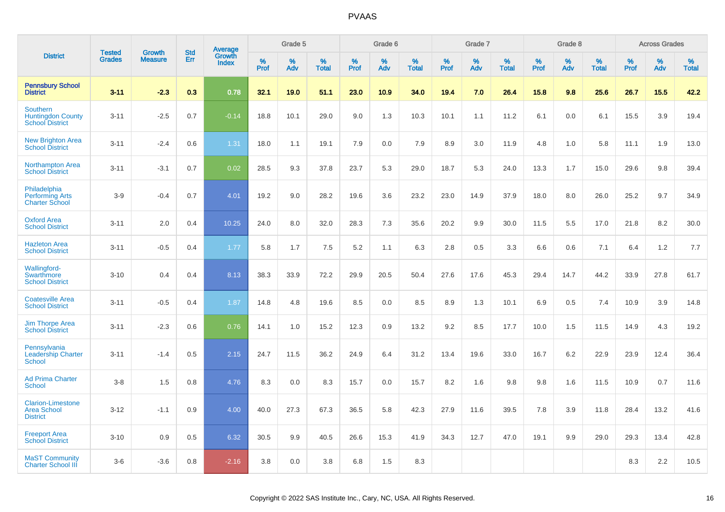|                                                                   | <b>Tested</b> | <b>Growth</b>  | <b>Std</b> | Average                |              | Grade 5  |                   |              | Grade 6  |                   |           | Grade 7  |                   |           | Grade 8  |                   |              | <b>Across Grades</b> |                   |
|-------------------------------------------------------------------|---------------|----------------|------------|------------------------|--------------|----------|-------------------|--------------|----------|-------------------|-----------|----------|-------------------|-----------|----------|-------------------|--------------|----------------------|-------------------|
| <b>District</b>                                                   | <b>Grades</b> | <b>Measure</b> | Err        | Growth<br><b>Index</b> | $\%$<br>Prof | %<br>Adv | %<br><b>Total</b> | $\%$<br>Prof | %<br>Adv | %<br><b>Total</b> | %<br>Prof | %<br>Adv | %<br><b>Total</b> | %<br>Prof | %<br>Adv | %<br><b>Total</b> | $\%$<br>Prof | %<br>Adv             | %<br><b>Total</b> |
| <b>Pennsbury School</b><br><b>District</b>                        | $3 - 11$      | $-2.3$         | 0.3        | 0.78                   | 32.1         | 19.0     | 51.1              | 23.0         | 10.9     | 34.0              | 19.4      | 7.0      | 26.4              | 15.8      | 9.8      | 25.6              | 26.7         | 15.5                 | 42.2              |
| Southern<br><b>Huntingdon County</b><br><b>School District</b>    | $3 - 11$      | $-2.5$         | 0.7        | $-0.14$                | 18.8         | 10.1     | 29.0              | 9.0          | 1.3      | 10.3              | 10.1      | 1.1      | 11.2              | 6.1       | 0.0      | 6.1               | 15.5         | 3.9                  | 19.4              |
| <b>New Brighton Area</b><br><b>School District</b>                | $3 - 11$      | $-2.4$         | 0.6        | 1.31                   | 18.0         | 1.1      | 19.1              | 7.9          | 0.0      | 7.9               | 8.9       | 3.0      | 11.9              | 4.8       | 1.0      | 5.8               | 11.1         | 1.9                  | 13.0              |
| <b>Northampton Area</b><br><b>School District</b>                 | $3 - 11$      | $-3.1$         | 0.7        | 0.02                   | 28.5         | 9.3      | 37.8              | 23.7         | 5.3      | 29.0              | 18.7      | 5.3      | 24.0              | 13.3      | 1.7      | 15.0              | 29.6         | 9.8                  | 39.4              |
| Philadelphia<br><b>Performing Arts</b><br><b>Charter School</b>   | $3-9$         | $-0.4$         | 0.7        | 4.01                   | 19.2         | 9.0      | 28.2              | 19.6         | 3.6      | 23.2              | 23.0      | 14.9     | 37.9              | 18.0      | 8.0      | 26.0              | 25.2         | 9.7                  | 34.9              |
| <b>Oxford Area</b><br><b>School District</b>                      | $3 - 11$      | 2.0            | 0.4        | 10.25                  | 24.0         | 8.0      | 32.0              | 28.3         | 7.3      | 35.6              | 20.2      | 9.9      | 30.0              | 11.5      | 5.5      | 17.0              | 21.8         | 8.2                  | 30.0              |
| <b>Hazleton Area</b><br><b>School District</b>                    | $3 - 11$      | $-0.5$         | 0.4        | 1.77                   | 5.8          | 1.7      | 7.5               | 5.2          | 1.1      | 6.3               | 2.8       | 0.5      | 3.3               | 6.6       | 0.6      | 7.1               | 6.4          | 1.2                  | 7.7               |
| <b>Wallingford-</b><br>Swarthmore<br><b>School District</b>       | $3 - 10$      | 0.4            | 0.4        | 8.13                   | 38.3         | 33.9     | 72.2              | 29.9         | 20.5     | 50.4              | 27.6      | 17.6     | 45.3              | 29.4      | 14.7     | 44.2              | 33.9         | 27.8                 | 61.7              |
| <b>Coatesville Area</b><br><b>School District</b>                 | $3 - 11$      | $-0.5$         | 0.4        | 1.87                   | 14.8         | 4.8      | 19.6              | 8.5          | 0.0      | 8.5               | 8.9       | 1.3      | 10.1              | 6.9       | 0.5      | 7.4               | 10.9         | 3.9                  | 14.8              |
| <b>Jim Thorpe Area</b><br><b>School District</b>                  | $3 - 11$      | $-2.3$         | 0.6        | 0.76                   | 14.1         | 1.0      | 15.2              | 12.3         | 0.9      | 13.2              | 9.2       | 8.5      | 17.7              | 10.0      | 1.5      | 11.5              | 14.9         | 4.3                  | 19.2              |
| Pennsylvania<br><b>Leadership Charter</b><br><b>School</b>        | $3 - 11$      | $-1.4$         | 0.5        | 2.15                   | 24.7         | 11.5     | 36.2              | 24.9         | 6.4      | 31.2              | 13.4      | 19.6     | 33.0              | 16.7      | 6.2      | 22.9              | 23.9         | 12.4                 | 36.4              |
| <b>Ad Prima Charter</b><br><b>School</b>                          | $3-8$         | 1.5            | 0.8        | 4.76                   | 8.3          | 0.0      | 8.3               | 15.7         | 0.0      | 15.7              | 8.2       | 1.6      | 9.8               | 9.8       | 1.6      | 11.5              | 10.9         | 0.7                  | 11.6              |
| <b>Clarion-Limestone</b><br><b>Area School</b><br><b>District</b> | $3 - 12$      | $-1.1$         | 0.9        | 4.00                   | 40.0         | 27.3     | 67.3              | 36.5         | 5.8      | 42.3              | 27.9      | 11.6     | 39.5              | 7.8       | 3.9      | 11.8              | 28.4         | 13.2                 | 41.6              |
| <b>Freeport Area</b><br><b>School District</b>                    | $3 - 10$      | 0.9            | 0.5        | 6.32                   | 30.5         | 9.9      | 40.5              | 26.6         | 15.3     | 41.9              | 34.3      | 12.7     | 47.0              | 19.1      | 9.9      | 29.0              | 29.3         | 13.4                 | 42.8              |
| <b>MaST Community</b><br><b>Charter School III</b>                | $3-6$         | $-3.6$         | 0.8        | $-2.16$                | 3.8          | 0.0      | 3.8               | 6.8          | 1.5      | 8.3               |           |          |                   |           |          |                   | 8.3          | 2.2                  | 10.5              |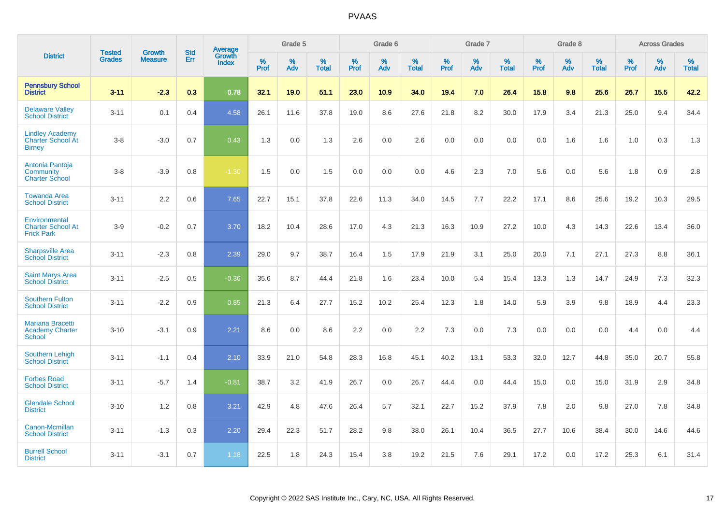|                                                                     |                                | <b>Growth</b>  | <b>Std</b> |                                          |              | Grade 5  |                   |           | Grade 6  |                   |              | Grade 7  |                   |              | Grade 8  |                   |              | <b>Across Grades</b> |                   |
|---------------------------------------------------------------------|--------------------------------|----------------|------------|------------------------------------------|--------------|----------|-------------------|-----------|----------|-------------------|--------------|----------|-------------------|--------------|----------|-------------------|--------------|----------------------|-------------------|
| <b>District</b>                                                     | <b>Tested</b><br><b>Grades</b> | <b>Measure</b> | <b>Err</b> | <b>Average</b><br>Growth<br><b>Index</b> | $\%$<br>Prof | %<br>Adv | %<br><b>Total</b> | %<br>Prof | %<br>Adv | %<br><b>Total</b> | $\%$<br>Prof | %<br>Adv | %<br><b>Total</b> | $\%$<br>Prof | %<br>Adv | %<br><b>Total</b> | $\%$<br>Prof | %<br>Adv             | %<br><b>Total</b> |
| <b>Pennsbury School</b><br><b>District</b>                          | $3 - 11$                       | $-2.3$         | 0.3        | 0.78                                     | 32.1         | 19.0     | 51.1              | 23.0      | 10.9     | 34.0              | 19.4         | 7.0      | 26.4              | 15.8         | 9.8      | 25.6              | 26.7         | 15.5                 | 42.2              |
| <b>Delaware Valley</b><br><b>School District</b>                    | $3 - 11$                       | 0.1            | 0.4        | 4.58                                     | 26.1         | 11.6     | 37.8              | 19.0      | 8.6      | 27.6              | 21.8         | 8.2      | 30.0              | 17.9         | 3.4      | 21.3              | 25.0         | 9.4                  | 34.4              |
| <b>Lindley Academy</b><br><b>Charter School At</b><br><b>Birney</b> | $3 - 8$                        | $-3.0$         | 0.7        | 0.43                                     | 1.3          | 0.0      | 1.3               | 2.6       | 0.0      | 2.6               | 0.0          | 0.0      | 0.0               | 0.0          | 1.6      | 1.6               | 1.0          | 0.3                  | 1.3               |
| Antonia Pantoja<br>Community<br><b>Charter School</b>               | $3 - 8$                        | $-3.9$         | 0.8        | $-1.30$                                  | 1.5          | 0.0      | 1.5               | 0.0       | 0.0      | 0.0               | 4.6          | 2.3      | 7.0               | 5.6          | 0.0      | 5.6               | 1.8          | 0.9                  | 2.8               |
| <b>Towanda Area</b><br><b>School District</b>                       | $3 - 11$                       | 2.2            | 0.6        | 7.65                                     | 22.7         | 15.1     | 37.8              | 22.6      | 11.3     | 34.0              | 14.5         | 7.7      | 22.2              | 17.1         | 8.6      | 25.6              | 19.2         | 10.3                 | 29.5              |
| Environmental<br><b>Charter School At</b><br><b>Frick Park</b>      | $3-9$                          | $-0.2$         | 0.7        | 3.70                                     | 18.2         | 10.4     | 28.6              | 17.0      | 4.3      | 21.3              | 16.3         | 10.9     | 27.2              | 10.0         | 4.3      | 14.3              | 22.6         | 13.4                 | 36.0              |
| <b>Sharpsville Area</b><br><b>School District</b>                   | $3 - 11$                       | $-2.3$         | 0.8        | 2.39                                     | 29.0         | 9.7      | 38.7              | 16.4      | 1.5      | 17.9              | 21.9         | 3.1      | 25.0              | 20.0         | 7.1      | 27.1              | 27.3         | 8.8                  | 36.1              |
| <b>Saint Marys Area</b><br><b>School District</b>                   | $3 - 11$                       | $-2.5$         | 0.5        | $-0.36$                                  | 35.6         | 8.7      | 44.4              | 21.8      | 1.6      | 23.4              | 10.0         | 5.4      | 15.4              | 13.3         | 1.3      | 14.7              | 24.9         | 7.3                  | 32.3              |
| <b>Southern Fulton</b><br><b>School District</b>                    | $3 - 11$                       | $-2.2$         | 0.9        | 0.85                                     | 21.3         | 6.4      | 27.7              | 15.2      | 10.2     | 25.4              | 12.3         | 1.8      | 14.0              | 5.9          | 3.9      | 9.8               | 18.9         | 4.4                  | 23.3              |
| <b>Mariana Bracetti</b><br><b>Academy Charter</b><br><b>School</b>  | $3 - 10$                       | $-3.1$         | 0.9        | 2.21                                     | 8.6          | 0.0      | 8.6               | 2.2       | 0.0      | 2.2               | 7.3          | 0.0      | 7.3               | 0.0          | 0.0      | 0.0               | 4.4          | 0.0                  | 4.4               |
| <b>Southern Lehigh</b><br><b>School District</b>                    | $3 - 11$                       | $-1.1$         | 0.4        | 2.10                                     | 33.9         | 21.0     | 54.8              | 28.3      | 16.8     | 45.1              | 40.2         | 13.1     | 53.3              | 32.0         | 12.7     | 44.8              | 35.0         | 20.7                 | 55.8              |
| <b>Forbes Road</b><br><b>School District</b>                        | $3 - 11$                       | $-5.7$         | 1.4        | $-0.81$                                  | 38.7         | 3.2      | 41.9              | 26.7      | 0.0      | 26.7              | 44.4         | 0.0      | 44.4              | 15.0         | 0.0      | 15.0              | 31.9         | 2.9                  | 34.8              |
| <b>Glendale School</b><br><b>District</b>                           | $3 - 10$                       | 1.2            | 0.8        | 3.21                                     | 42.9         | 4.8      | 47.6              | 26.4      | 5.7      | 32.1              | 22.7         | 15.2     | 37.9              | 7.8          | 2.0      | 9.8               | 27.0         | 7.8                  | 34.8              |
| Canon-Mcmillan<br><b>School District</b>                            | $3 - 11$                       | $-1.3$         | 0.3        | 2.20                                     | 29.4         | 22.3     | 51.7              | 28.2      | 9.8      | 38.0              | 26.1         | 10.4     | 36.5              | 27.7         | 10.6     | 38.4              | 30.0         | 14.6                 | 44.6              |
| <b>Burrell School</b><br><b>District</b>                            | $3 - 11$                       | $-3.1$         | 0.7        | 1.18                                     | 22.5         | 1.8      | 24.3              | 15.4      | 3.8      | 19.2              | 21.5         | 7.6      | 29.1              | 17.2         | 0.0      | 17.2              | 25.3         | 6.1                  | 31.4              |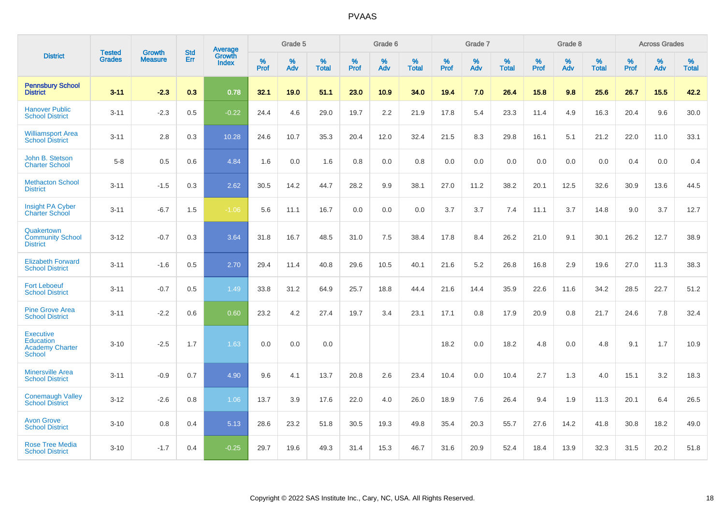|                                                                                 | <b>Tested</b> | <b>Growth</b>  | <b>Std</b> | Average                |              | Grade 5  |                   |           | Grade 6  |                   |              | Grade 7  |                   |              | Grade 8  |                   |              | <b>Across Grades</b> |                   |
|---------------------------------------------------------------------------------|---------------|----------------|------------|------------------------|--------------|----------|-------------------|-----------|----------|-------------------|--------------|----------|-------------------|--------------|----------|-------------------|--------------|----------------------|-------------------|
| <b>District</b>                                                                 | <b>Grades</b> | <b>Measure</b> | Err        | Growth<br><b>Index</b> | $\%$<br>Prof | %<br>Adv | %<br><b>Total</b> | %<br>Prof | %<br>Adv | %<br><b>Total</b> | $\%$<br>Prof | %<br>Adv | %<br><b>Total</b> | $\%$<br>Prof | %<br>Adv | %<br><b>Total</b> | $\%$<br>Prof | %<br>Adv             | %<br><b>Total</b> |
| <b>Pennsbury School</b><br><b>District</b>                                      | $3 - 11$      | $-2.3$         | 0.3        | 0.78                   | 32.1         | 19.0     | 51.1              | 23.0      | 10.9     | 34.0              | 19.4         | 7.0      | 26.4              | 15.8         | 9.8      | 25.6              | 26.7         | 15.5                 | 42.2              |
| <b>Hanover Public</b><br><b>School District</b>                                 | $3 - 11$      | $-2.3$         | 0.5        | $-0.22$                | 24.4         | 4.6      | 29.0              | 19.7      | 2.2      | 21.9              | 17.8         | 5.4      | 23.3              | 11.4         | 4.9      | 16.3              | 20.4         | 9.6                  | 30.0              |
| <b>Williamsport Area</b><br><b>School District</b>                              | $3 - 11$      | 2.8            | 0.3        | 10.28                  | 24.6         | 10.7     | 35.3              | 20.4      | 12.0     | 32.4              | 21.5         | 8.3      | 29.8              | 16.1         | 5.1      | 21.2              | 22.0         | 11.0                 | 33.1              |
| John B. Stetson<br><b>Charter School</b>                                        | $5-8$         | 0.5            | 0.6        | 4.84                   | 1.6          | 0.0      | 1.6               | 0.8       | 0.0      | 0.8               | 0.0          | 0.0      | 0.0               | 0.0          | 0.0      | 0.0               | 0.4          | 0.0                  | 0.4               |
| <b>Methacton School</b><br><b>District</b>                                      | $3 - 11$      | $-1.5$         | 0.3        | 2.62                   | 30.5         | 14.2     | 44.7              | 28.2      | 9.9      | 38.1              | 27.0         | 11.2     | 38.2              | 20.1         | 12.5     | 32.6              | 30.9         | 13.6                 | 44.5              |
| <b>Insight PA Cyber</b><br><b>Charter School</b>                                | $3 - 11$      | $-6.7$         | 1.5        | $-1.06$                | 5.6          | 11.1     | 16.7              | 0.0       | 0.0      | 0.0               | 3.7          | 3.7      | 7.4               | 11.1         | 3.7      | 14.8              | 9.0          | 3.7                  | 12.7              |
| Quakertown<br><b>Community School</b><br><b>District</b>                        | $3 - 12$      | $-0.7$         | 0.3        | 3.64                   | 31.8         | 16.7     | 48.5              | 31.0      | 7.5      | 38.4              | 17.8         | 8.4      | 26.2              | 21.0         | 9.1      | 30.1              | 26.2         | 12.7                 | 38.9              |
| <b>Elizabeth Forward</b><br><b>School District</b>                              | $3 - 11$      | $-1.6$         | 0.5        | 2.70                   | 29.4         | 11.4     | 40.8              | 29.6      | 10.5     | 40.1              | 21.6         | 5.2      | 26.8              | 16.8         | 2.9      | 19.6              | 27.0         | 11.3                 | 38.3              |
| <b>Fort Leboeuf</b><br><b>School District</b>                                   | $3 - 11$      | $-0.7$         | 0.5        | 1.49                   | 33.8         | 31.2     | 64.9              | 25.7      | 18.8     | 44.4              | 21.6         | 14.4     | 35.9              | 22.6         | 11.6     | 34.2              | 28.5         | 22.7                 | 51.2              |
| <b>Pine Grove Area</b><br><b>School District</b>                                | $3 - 11$      | $-2.2$         | 0.6        | 0.60                   | 23.2         | 4.2      | 27.4              | 19.7      | 3.4      | 23.1              | 17.1         | 0.8      | 17.9              | 20.9         | 0.8      | 21.7              | 24.6         | 7.8                  | 32.4              |
| <b>Executive</b><br><b>Education</b><br><b>Academy Charter</b><br><b>School</b> | $3 - 10$      | $-2.5$         | 1.7        | 1.63                   | 0.0          | 0.0      | 0.0               |           |          |                   | 18.2         | 0.0      | 18.2              | 4.8          | 0.0      | 4.8               | 9.1          | 1.7                  | 10.9              |
| <b>Minersville Area</b><br><b>School District</b>                               | $3 - 11$      | $-0.9$         | 0.7        | 4.90                   | 9.6          | 4.1      | 13.7              | 20.8      | 2.6      | 23.4              | 10.4         | 0.0      | 10.4              | 2.7          | 1.3      | 4.0               | 15.1         | 3.2                  | 18.3              |
| <b>Conemaugh Valley</b><br><b>School District</b>                               | $3 - 12$      | $-2.6$         | 0.8        | 1.06                   | 13.7         | 3.9      | 17.6              | 22.0      | 4.0      | 26.0              | 18.9         | 7.6      | 26.4              | 9.4          | 1.9      | 11.3              | 20.1         | 6.4                  | 26.5              |
| <b>Avon Grove</b><br><b>School District</b>                                     | $3 - 10$      | 0.8            | 0.4        | 5.13                   | 28.6         | 23.2     | 51.8              | 30.5      | 19.3     | 49.8              | 35.4         | 20.3     | 55.7              | 27.6         | 14.2     | 41.8              | 30.8         | 18.2                 | 49.0              |
| <b>Rose Tree Media</b><br><b>School District</b>                                | $3 - 10$      | $-1.7$         | 0.4        | $-0.25$                | 29.7         | 19.6     | 49.3              | 31.4      | 15.3     | 46.7              | 31.6         | 20.9     | 52.4              | 18.4         | 13.9     | 32.3              | 31.5         | 20.2                 | 51.8              |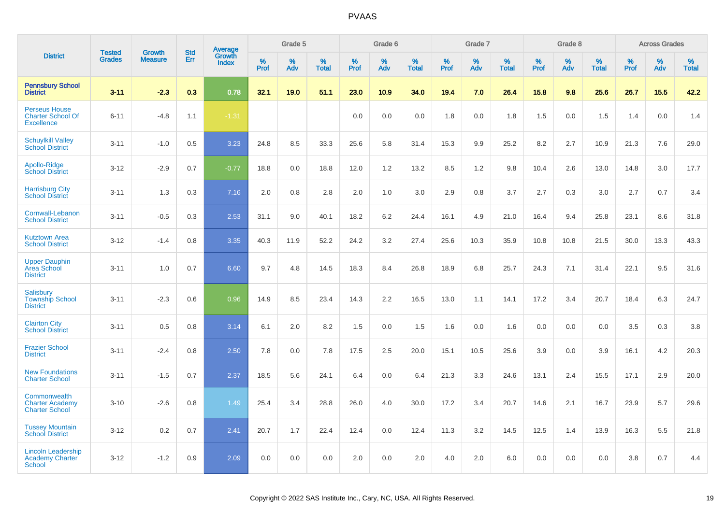|                                                                       |                                | <b>Growth</b>  | <b>Std</b> | Average                |                     | Grade 5  |                   |                  | Grade 6  |                   |                  | Grade 7  |                   |           | Grade 8  |                   |              | <b>Across Grades</b> |                   |
|-----------------------------------------------------------------------|--------------------------------|----------------|------------|------------------------|---------------------|----------|-------------------|------------------|----------|-------------------|------------------|----------|-------------------|-----------|----------|-------------------|--------------|----------------------|-------------------|
| <b>District</b>                                                       | <b>Tested</b><br><b>Grades</b> | <b>Measure</b> | Err        | Growth<br><b>Index</b> | $\%$<br><b>Prof</b> | %<br>Adv | %<br><b>Total</b> | %<br><b>Prof</b> | %<br>Adv | %<br><b>Total</b> | %<br><b>Prof</b> | %<br>Adv | %<br><b>Total</b> | %<br>Prof | %<br>Adv | %<br><b>Total</b> | $\%$<br>Prof | %<br>Adv             | %<br><b>Total</b> |
| <b>Pennsbury School</b><br><b>District</b>                            | $3 - 11$                       | $-2.3$         | 0.3        | 0.78                   | 32.1                | 19.0     | 51.1              | 23.0             | 10.9     | 34.0              | 19.4             | 7.0      | 26.4              | 15.8      | 9.8      | 25.6              | 26.7         | 15.5                 | 42.2              |
| <b>Perseus House</b><br><b>Charter School Of</b><br><b>Excellence</b> | $6 - 11$                       | $-4.8$         | 1.1        | $-1.31$                |                     |          |                   | 0.0              | 0.0      | 0.0               | 1.8              | 0.0      | 1.8               | 1.5       | 0.0      | 1.5               | 1.4          | 0.0                  | 1.4               |
| <b>Schuylkill Valley</b><br><b>School District</b>                    | $3 - 11$                       | $-1.0$         | 0.5        | 3.23                   | 24.8                | 8.5      | 33.3              | 25.6             | 5.8      | 31.4              | 15.3             | 9.9      | 25.2              | 8.2       | 2.7      | 10.9              | 21.3         | 7.6                  | 29.0              |
| Apollo-Ridge<br><b>School District</b>                                | $3 - 12$                       | $-2.9$         | 0.7        | $-0.77$                | 18.8                | 0.0      | 18.8              | 12.0             | 1.2      | 13.2              | 8.5              | 1.2      | 9.8               | 10.4      | 2.6      | 13.0              | 14.8         | 3.0                  | 17.7              |
| <b>Harrisburg City</b><br><b>School District</b>                      | $3 - 11$                       | 1.3            | 0.3        | 7.16                   | 2.0                 | 0.8      | 2.8               | 2.0              | 1.0      | 3.0               | 2.9              | 0.8      | 3.7               | 2.7       | 0.3      | 3.0               | 2.7          | 0.7                  | 3.4               |
| Cornwall-Lebanon<br><b>School District</b>                            | $3 - 11$                       | $-0.5$         | 0.3        | 2.53                   | 31.1                | 9.0      | 40.1              | 18.2             | 6.2      | 24.4              | 16.1             | 4.9      | 21.0              | 16.4      | 9.4      | 25.8              | 23.1         | 8.6                  | 31.8              |
| <b>Kutztown Area</b><br><b>School District</b>                        | $3 - 12$                       | $-1.4$         | 0.8        | 3.35                   | 40.3                | 11.9     | 52.2              | 24.2             | 3.2      | 27.4              | 25.6             | 10.3     | 35.9              | 10.8      | 10.8     | 21.5              | 30.0         | 13.3                 | 43.3              |
| <b>Upper Dauphin</b><br>Area School<br><b>District</b>                | $3 - 11$                       | 1.0            | 0.7        | 6.60                   | 9.7                 | 4.8      | 14.5              | 18.3             | 8.4      | 26.8              | 18.9             | 6.8      | 25.7              | 24.3      | 7.1      | 31.4              | 22.1         | 9.5                  | 31.6              |
| Salisbury<br><b>Township School</b><br><b>District</b>                | $3 - 11$                       | $-2.3$         | 0.6        | 0.96                   | 14.9                | 8.5      | 23.4              | 14.3             | 2.2      | 16.5              | 13.0             | 1.1      | 14.1              | 17.2      | 3.4      | 20.7              | 18.4         | 6.3                  | 24.7              |
| <b>Clairton City</b><br><b>School District</b>                        | $3 - 11$                       | 0.5            | 0.8        | 3.14                   | 6.1                 | 2.0      | 8.2               | 1.5              | 0.0      | 1.5               | 1.6              | 0.0      | 1.6               | 0.0       | 0.0      | 0.0               | 3.5          | 0.3                  | 3.8               |
| <b>Frazier School</b><br><b>District</b>                              | $3 - 11$                       | $-2.4$         | 0.8        | 2.50                   | 7.8                 | 0.0      | 7.8               | 17.5             | 2.5      | 20.0              | 15.1             | 10.5     | 25.6              | 3.9       | 0.0      | 3.9               | 16.1         | 4.2                  | 20.3              |
| <b>New Foundations</b><br><b>Charter School</b>                       | $3 - 11$                       | $-1.5$         | 0.7        | 2.37                   | 18.5                | 5.6      | 24.1              | 6.4              | 0.0      | 6.4               | 21.3             | 3.3      | 24.6              | 13.1      | 2.4      | 15.5              | 17.1         | 2.9                  | 20.0              |
| Commonwealth<br><b>Charter Academy</b><br><b>Charter School</b>       | $3 - 10$                       | $-2.6$         | 0.8        | 1.49                   | 25.4                | 3.4      | 28.8              | 26.0             | 4.0      | 30.0              | 17.2             | 3.4      | 20.7              | 14.6      | 2.1      | 16.7              | 23.9         | 5.7                  | 29.6              |
| <b>Tussey Mountain</b><br><b>School District</b>                      | $3 - 12$                       | 0.2            | 0.7        | 2.41                   | 20.7                | 1.7      | 22.4              | 12.4             | 0.0      | 12.4              | 11.3             | 3.2      | 14.5              | 12.5      | 1.4      | 13.9              | 16.3         | 5.5                  | 21.8              |
| <b>Lincoln Leadership</b><br><b>Academy Charter</b><br><b>School</b>  | $3 - 12$                       | $-1.2$         | 0.9        | 2.09                   | 0.0                 | 0.0      | 0.0               | 2.0              | 0.0      | 2.0               | 4.0              | 2.0      | 6.0               | 0.0       | 0.0      | 0.0               | 3.8          | 0.7                  | 4.4               |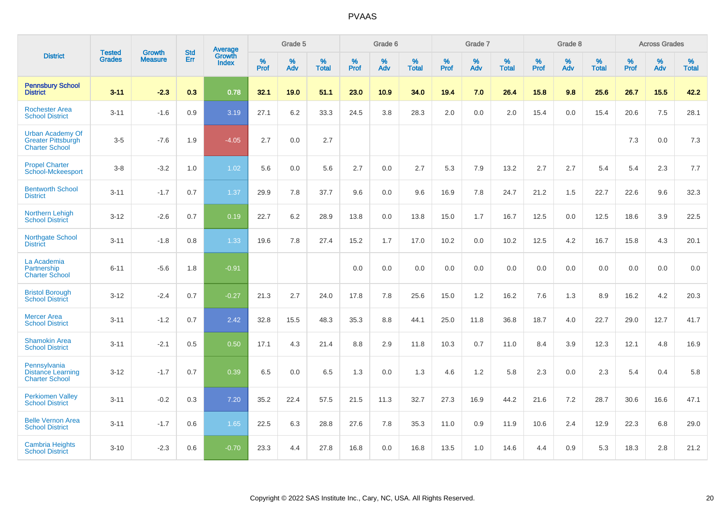|                                                                               | <b>Tested</b> | <b>Growth</b>  | <b>Std</b> | <b>Average</b>                |              | Grade 5  |                   |           | Grade 6  |                   |           | Grade 7  |                   |           | Grade 8  |                   |           | <b>Across Grades</b> |                   |
|-------------------------------------------------------------------------------|---------------|----------------|------------|-------------------------------|--------------|----------|-------------------|-----------|----------|-------------------|-----------|----------|-------------------|-----------|----------|-------------------|-----------|----------------------|-------------------|
| <b>District</b>                                                               | <b>Grades</b> | <b>Measure</b> | Err        | <b>Growth</b><br><b>Index</b> | $\%$<br>Prof | %<br>Adv | %<br><b>Total</b> | %<br>Prof | %<br>Adv | %<br><b>Total</b> | %<br>Prof | %<br>Adv | %<br><b>Total</b> | %<br>Prof | %<br>Adv | %<br><b>Total</b> | %<br>Prof | %<br>Adv             | %<br><b>Total</b> |
| <b>Pennsbury School</b><br><b>District</b>                                    | $3 - 11$      | $-2.3$         | 0.3        | 0.78                          | 32.1         | 19.0     | 51.1              | 23.0      | 10.9     | 34.0              | 19.4      | 7.0      | 26.4              | 15.8      | 9.8      | 25.6              | 26.7      | 15.5                 | 42.2              |
| <b>Rochester Area</b><br><b>School District</b>                               | $3 - 11$      | $-1.6$         | 0.9        | 3.19                          | 27.1         | 6.2      | 33.3              | 24.5      | 3.8      | 28.3              | 2.0       | 0.0      | 2.0               | 15.4      | 0.0      | 15.4              | 20.6      | 7.5                  | 28.1              |
| <b>Urban Academy Of</b><br><b>Greater Pittsburgh</b><br><b>Charter School</b> | $3-5$         | $-7.6$         | 1.9        | $-4.05$                       | 2.7          | 0.0      | 2.7               |           |          |                   |           |          |                   |           |          |                   | 7.3       | 0.0                  | 7.3               |
| <b>Propel Charter</b><br>School-Mckeesport                                    | $3-8$         | $-3.2$         | 1.0        | 1.02                          | 5.6          | 0.0      | 5.6               | 2.7       | 0.0      | 2.7               | 5.3       | 7.9      | 13.2              | 2.7       | 2.7      | 5.4               | 5.4       | 2.3                  | 7.7               |
| <b>Bentworth School</b><br><b>District</b>                                    | $3 - 11$      | $-1.7$         | 0.7        | 1.37                          | 29.9         | 7.8      | 37.7              | 9.6       | 0.0      | 9.6               | 16.9      | 7.8      | 24.7              | 21.2      | 1.5      | 22.7              | 22.6      | 9.6                  | 32.3              |
| <b>Northern Lehigh</b><br><b>School District</b>                              | $3 - 12$      | $-2.6$         | 0.7        | 0.19                          | 22.7         | 6.2      | 28.9              | 13.8      | 0.0      | 13.8              | 15.0      | 1.7      | 16.7              | 12.5      | 0.0      | 12.5              | 18.6      | 3.9                  | 22.5              |
| Northgate School<br><b>District</b>                                           | $3 - 11$      | $-1.8$         | 0.8        | 1.33                          | 19.6         | 7.8      | 27.4              | 15.2      | 1.7      | 17.0              | 10.2      | 0.0      | 10.2              | 12.5      | 4.2      | 16.7              | 15.8      | 4.3                  | 20.1              |
| La Academia<br>Partnership<br><b>Charter School</b>                           | $6 - 11$      | $-5.6$         | 1.8        | $-0.91$                       |              |          |                   | 0.0       | 0.0      | 0.0               | 0.0       | 0.0      | 0.0               | 0.0       | 0.0      | 0.0               | 0.0       | 0.0                  | 0.0               |
| <b>Bristol Borough</b><br><b>School District</b>                              | $3 - 12$      | $-2.4$         | 0.7        | $-0.27$                       | 21.3         | 2.7      | 24.0              | 17.8      | 7.8      | 25.6              | 15.0      | 1.2      | 16.2              | 7.6       | 1.3      | 8.9               | 16.2      | 4.2                  | 20.3              |
| <b>Mercer Area</b><br><b>School District</b>                                  | $3 - 11$      | $-1.2$         | 0.7        | 2.42                          | 32.8         | 15.5     | 48.3              | 35.3      | 8.8      | 44.1              | 25.0      | 11.8     | 36.8              | 18.7      | 4.0      | 22.7              | 29.0      | 12.7                 | 41.7              |
| <b>Shamokin Area</b><br><b>School District</b>                                | $3 - 11$      | $-2.1$         | 0.5        | 0.50                          | 17.1         | 4.3      | 21.4              | 8.8       | 2.9      | 11.8              | 10.3      | 0.7      | 11.0              | 8.4       | 3.9      | 12.3              | 12.1      | 4.8                  | 16.9              |
| Pennsylvania<br><b>Distance Learning</b><br><b>Charter School</b>             | $3 - 12$      | $-1.7$         | 0.7        | 0.39                          | 6.5          | 0.0      | 6.5               | 1.3       | 0.0      | 1.3               | 4.6       | 1.2      | 5.8               | 2.3       | 0.0      | 2.3               | 5.4       | 0.4                  | 5.8               |
| <b>Perkiomen Valley</b><br><b>School District</b>                             | $3 - 11$      | $-0.2$         | 0.3        | 7.20                          | 35.2         | 22.4     | 57.5              | 21.5      | 11.3     | 32.7              | 27.3      | 16.9     | 44.2              | 21.6      | 7.2      | 28.7              | 30.6      | 16.6                 | 47.1              |
| <b>Belle Vernon Area</b><br><b>School District</b>                            | $3 - 11$      | $-1.7$         | 0.6        | 1.65                          | 22.5         | 6.3      | 28.8              | 27.6      | 7.8      | 35.3              | 11.0      | 0.9      | 11.9              | 10.6      | 2.4      | 12.9              | 22.3      | 6.8                  | 29.0              |
| <b>Cambria Heights</b><br><b>School District</b>                              | $3 - 10$      | $-2.3$         | 0.6        | $-0.70$                       | 23.3         | 4.4      | 27.8              | 16.8      | 0.0      | 16.8              | 13.5      | 1.0      | 14.6              | 4.4       | 0.9      | 5.3               | 18.3      | 2.8                  | 21.2              |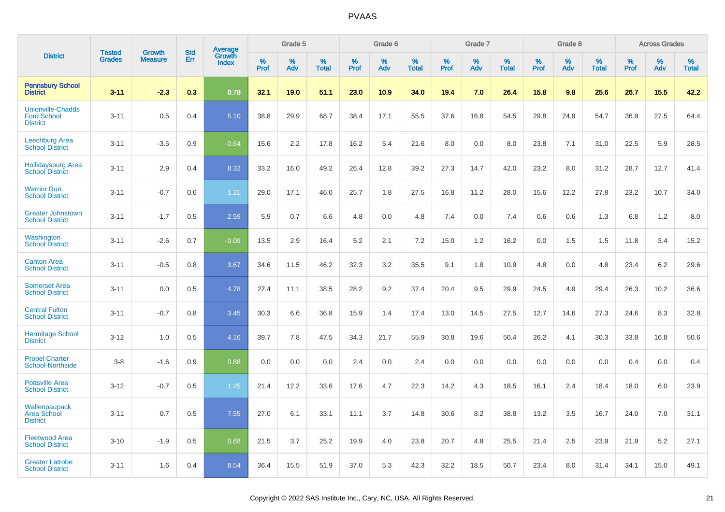|                                                                   | <b>Tested</b> | <b>Growth</b>  | <b>Std</b> | <b>Average</b>         |                     | Grade 5  |                   |                     | Grade 6  |                   |                     | Grade 7  |                   |                     | Grade 8  |                   |                     | <b>Across Grades</b> |                   |
|-------------------------------------------------------------------|---------------|----------------|------------|------------------------|---------------------|----------|-------------------|---------------------|----------|-------------------|---------------------|----------|-------------------|---------------------|----------|-------------------|---------------------|----------------------|-------------------|
| <b>District</b>                                                   | <b>Grades</b> | <b>Measure</b> | Err        | Growth<br><b>Index</b> | $\%$<br><b>Prof</b> | %<br>Adv | %<br><b>Total</b> | $\%$<br><b>Prof</b> | %<br>Adv | %<br><b>Total</b> | $\%$<br><b>Prof</b> | %<br>Adv | %<br><b>Total</b> | $\%$<br><b>Prof</b> | %<br>Adv | %<br><b>Total</b> | $\%$<br><b>Prof</b> | %<br>Adv             | %<br><b>Total</b> |
| <b>Pennsbury School</b><br><b>District</b>                        | $3 - 11$      | $-2.3$         | 0.3        | 0.78                   | 32.1                | 19.0     | 51.1              | 23.0                | 10.9     | 34.0              | 19.4                | 7.0      | 26.4              | 15.8                | 9.8      | 25.6              | 26.7                | 15.5                 | 42.2              |
| <b>Unionville-Chadds</b><br><b>Ford School</b><br><b>District</b> | $3 - 11$      | 0.5            | 0.4        | 5.10                   | 38.8                | 29.9     | 68.7              | 38.4                | 17.1     | 55.5              | 37.6                | 16.8     | 54.5              | 29.8                | 24.9     | 54.7              | 36.9                | 27.5                 | 64.4              |
| <b>Leechburg Area</b><br><b>School District</b>                   | $3 - 11$      | $-3.5$         | 0.9        | $-0.64$                | 15.6                | 2.2      | 17.8              | 16.2                | 5.4      | 21.6              | 8.0                 | 0.0      | 8.0               | 23.8                | 7.1      | 31.0              | 22.5                | 5.9                  | 28.5              |
| <b>Hollidaysburg Area</b><br><b>School District</b>               | $3 - 11$      | 2.9            | 0.4        | 8.32                   | 33.2                | 16.0     | 49.2              | 26.4                | 12.8     | 39.2              | 27.3                | 14.7     | 42.0              | 23.2                | 8.0      | 31.2              | 28.7                | 12.7                 | 41.4              |
| <b>Warrior Run</b><br><b>School District</b>                      | $3 - 11$      | $-0.7$         | 0.6        | 1.21                   | 29.0                | 17.1     | 46.0              | 25.7                | 1.8      | 27.5              | 16.8                | 11.2     | 28.0              | 15.6                | 12.2     | 27.8              | 23.2                | 10.7                 | 34.0              |
| <b>Greater Johnstown</b><br><b>School District</b>                | $3 - 11$      | $-1.7$         | 0.5        | 2.59                   | 5.9                 | 0.7      | 6.6               | 4.8                 | 0.0      | 4.8               | 7.4                 | 0.0      | 7.4               | 0.6                 | 0.6      | 1.3               | 6.8                 | 1.2                  | 8.0               |
| Washington<br><b>School District</b>                              | $3 - 11$      | $-2.6$         | 0.7        | $-0.09$                | 13.5                | 2.9      | 16.4              | 5.2                 | 2.1      | 7.2               | 15.0                | 1.2      | 16.2              | 0.0                 | 1.5      | 1.5               | 11.8                | 3.4                  | 15.2              |
| <b>Canton Area</b><br><b>School District</b>                      | $3 - 11$      | $-0.5$         | 0.8        | 3.67                   | 34.6                | 11.5     | 46.2              | 32.3                | 3.2      | 35.5              | 9.1                 | 1.8      | 10.9              | 4.8                 | 0.0      | 4.8               | 23.4                | 6.2                  | 29.6              |
| <b>Somerset Area</b><br><b>School District</b>                    | $3 - 11$      | 0.0            | 0.5        | 4.78                   | 27.4                | 11.1     | 38.5              | 28.2                | 9.2      | 37.4              | 20.4                | 9.5      | 29.9              | 24.5                | 4.9      | 29.4              | 26.3                | 10.2                 | 36.6              |
| <b>Central Fulton</b><br><b>School District</b>                   | $3 - 11$      | $-0.7$         | 0.8        | 3.45                   | 30.3                | 6.6      | 36.8              | 15.9                | 1.4      | 17.4              | 13.0                | 14.5     | 27.5              | 12.7                | 14.6     | 27.3              | 24.6                | 8.3                  | 32.8              |
| <b>Hermitage School</b><br><b>District</b>                        | $3 - 12$      | 1.0            | 0.5        | 4.16                   | 39.7                | 7.8      | 47.5              | 34.3                | 21.7     | 55.9              | 30.8                | 19.6     | 50.4              | 26.2                | 4.1      | 30.3              | 33.8                | 16.8                 | 50.6              |
| <b>Propel Charter</b><br><b>School-Northside</b>                  | $3-8$         | $-1.6$         | 0.9        | 0.88                   | 0.0                 | 0.0      | 0.0               | 2.4                 | 0.0      | 2.4               | 0.0                 | 0.0      | 0.0               | 0.0                 | 0.0      | 0.0               | 0.4                 | 0.0                  | 0.4               |
| <b>Pottsville Area</b><br><b>School District</b>                  | $3 - 12$      | $-0.7$         | 0.5        | 1.25                   | 21.4                | 12.2     | 33.6              | 17.6                | 4.7      | 22.3              | 14.2                | 4.3      | 18.5              | 16.1                | 2.4      | 18.4              | 18.0                | 6.0                  | 23.9              |
| Wallenpaupack<br><b>Area School</b><br><b>District</b>            | $3 - 11$      | 0.7            | 0.5        | 7.55                   | 27.0                | 6.1      | 33.1              | 11.1                | 3.7      | 14.8              | 30.6                | 8.2      | 38.8              | 13.2                | 3.5      | 16.7              | 24.0                | 7.0                  | 31.1              |
| <b>Fleetwood Area</b><br><b>School District</b>                   | $3 - 10$      | $-1.9$         | 0.5        | 0.68                   | 21.5                | 3.7      | 25.2              | 19.9                | 4.0      | 23.8              | 20.7                | 4.8      | 25.5              | 21.4                | 2.5      | 23.9              | 21.9                | 5.2                  | 27.1              |
| <b>Greater Latrobe</b><br><b>School District</b>                  | $3 - 11$      | 1.6            | 0.4        | 8.54                   | 36.4                | 15.5     | 51.9              | 37.0                | 5.3      | 42.3              | 32.2                | 18.5     | 50.7              | 23.4                | 8.0      | 31.4              | 34.1                | 15.0                 | 49.1              |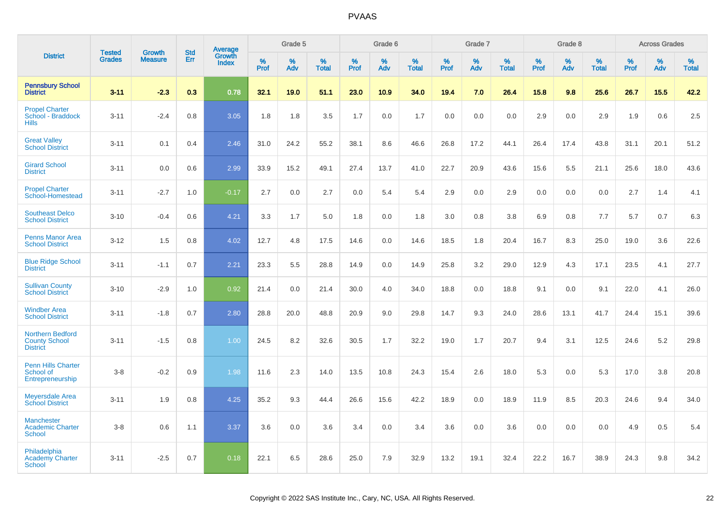|                                                                    | <b>Tested</b> | Growth         | <b>Std</b> |                                   |                  | Grade 5  |                   |           | Grade 6  |                   |                  | Grade 7  |                   |                  | Grade 8  |                   |           | <b>Across Grades</b> |                   |
|--------------------------------------------------------------------|---------------|----------------|------------|-----------------------------------|------------------|----------|-------------------|-----------|----------|-------------------|------------------|----------|-------------------|------------------|----------|-------------------|-----------|----------------------|-------------------|
| <b>District</b>                                                    | <b>Grades</b> | <b>Measure</b> | Err        | Average<br>Growth<br><b>Index</b> | %<br><b>Prof</b> | %<br>Adv | %<br><b>Total</b> | %<br>Prof | %<br>Adv | %<br><b>Total</b> | %<br><b>Prof</b> | %<br>Adv | %<br><b>Total</b> | %<br><b>Prof</b> | %<br>Adv | %<br><b>Total</b> | %<br>Prof | %<br>Adv             | %<br><b>Total</b> |
| <b>Pennsbury School</b><br><b>District</b>                         | $3 - 11$      | $-2.3$         | 0.3        | 0.78                              | 32.1             | 19.0     | 51.1              | 23.0      | 10.9     | 34.0              | 19.4             | 7.0      | 26.4              | 15.8             | 9.8      | 25.6              | 26.7      | 15.5                 | 42.2              |
| <b>Propel Charter</b><br>School - Braddock<br><b>Hills</b>         | $3 - 11$      | $-2.4$         | 0.8        | 3.05                              | 1.8              | 1.8      | 3.5               | 1.7       | 0.0      | 1.7               | 0.0              | 0.0      | 0.0               | 2.9              | 0.0      | 2.9               | 1.9       | 0.6                  | 2.5               |
| <b>Great Valley</b><br><b>School District</b>                      | $3 - 11$      | 0.1            | 0.4        | 2.46                              | 31.0             | 24.2     | 55.2              | 38.1      | 8.6      | 46.6              | 26.8             | 17.2     | 44.1              | 26.4             | 17.4     | 43.8              | 31.1      | 20.1                 | 51.2              |
| <b>Girard School</b><br><b>District</b>                            | $3 - 11$      | 0.0            | 0.6        | 2.99                              | 33.9             | 15.2     | 49.1              | 27.4      | 13.7     | 41.0              | 22.7             | 20.9     | 43.6              | 15.6             | 5.5      | 21.1              | 25.6      | 18.0                 | 43.6              |
| <b>Propel Charter</b><br>School-Homestead                          | $3 - 11$      | $-2.7$         | 1.0        | $-0.17$                           | 2.7              | 0.0      | 2.7               | 0.0       | 5.4      | 5.4               | 2.9              | 0.0      | 2.9               | 0.0              | 0.0      | 0.0               | 2.7       | 1.4                  | 4.1               |
| <b>Southeast Delco</b><br><b>School District</b>                   | $3 - 10$      | $-0.4$         | 0.6        | 4.21                              | 3.3              | 1.7      | 5.0               | 1.8       | 0.0      | 1.8               | 3.0              | 0.8      | 3.8               | 6.9              | 0.8      | 7.7               | 5.7       | 0.7                  | 6.3               |
| <b>Penns Manor Area</b><br><b>School District</b>                  | $3 - 12$      | 1.5            | 0.8        | 4.02                              | 12.7             | 4.8      | 17.5              | 14.6      | 0.0      | 14.6              | 18.5             | 1.8      | 20.4              | 16.7             | 8.3      | 25.0              | 19.0      | 3.6                  | 22.6              |
| <b>Blue Ridge School</b><br><b>District</b>                        | $3 - 11$      | $-1.1$         | 0.7        | 2.21                              | 23.3             | 5.5      | 28.8              | 14.9      | 0.0      | 14.9              | 25.8             | 3.2      | 29.0              | 12.9             | 4.3      | 17.1              | 23.5      | 4.1                  | 27.7              |
| <b>Sullivan County</b><br><b>School District</b>                   | $3 - 10$      | $-2.9$         | 1.0        | 0.92                              | 21.4             | 0.0      | 21.4              | 30.0      | 4.0      | 34.0              | 18.8             | 0.0      | 18.8              | 9.1              | 0.0      | 9.1               | 22.0      | 4.1                  | 26.0              |
| <b>Windber Area</b><br><b>School District</b>                      | $3 - 11$      | $-1.8$         | 0.7        | 2.80                              | 28.8             | 20.0     | 48.8              | 20.9      | 9.0      | 29.8              | 14.7             | 9.3      | 24.0              | 28.6             | 13.1     | 41.7              | 24.4      | 15.1                 | 39.6              |
| <b>Northern Bedford</b><br><b>County School</b><br><b>District</b> | $3 - 11$      | $-1.5$         | 0.8        | 1.00                              | 24.5             | 8.2      | 32.6              | 30.5      | 1.7      | 32.2              | 19.0             | 1.7      | 20.7              | 9.4              | 3.1      | 12.5              | 24.6      | 5.2                  | 29.8              |
| <b>Penn Hills Charter</b><br>School of<br>Entrepreneurship         | $3-8$         | $-0.2$         | 0.9        | 1.98                              | 11.6             | 2.3      | 14.0              | 13.5      | 10.8     | 24.3              | 15.4             | 2.6      | 18.0              | 5.3              | $0.0\,$  | 5.3               | 17.0      | 3.8                  | 20.8              |
| <b>Meyersdale Area</b><br><b>School District</b>                   | $3 - 11$      | 1.9            | 0.8        | 4.25                              | 35.2             | 9.3      | 44.4              | 26.6      | 15.6     | 42.2              | 18.9             | 0.0      | 18.9              | 11.9             | 8.5      | 20.3              | 24.6      | 9.4                  | 34.0              |
| <b>Manchester</b><br><b>Academic Charter</b><br>School             | $3-8$         | 0.6            | 1.1        | 3.37                              | 3.6              | 0.0      | 3.6               | 3.4       | 0.0      | 3.4               | 3.6              | 0.0      | 3.6               | 0.0              | 0.0      | 0.0               | 4.9       | 0.5                  | 5.4               |
| Philadelphia<br><b>Academy Charter</b><br><b>School</b>            | $3 - 11$      | $-2.5$         | 0.7        | 0.18                              | 22.1             | 6.5      | 28.6              | 25.0      | 7.9      | 32.9              | 13.2             | 19.1     | 32.4              | 22.2             | 16.7     | 38.9              | 24.3      | 9.8                  | 34.2              |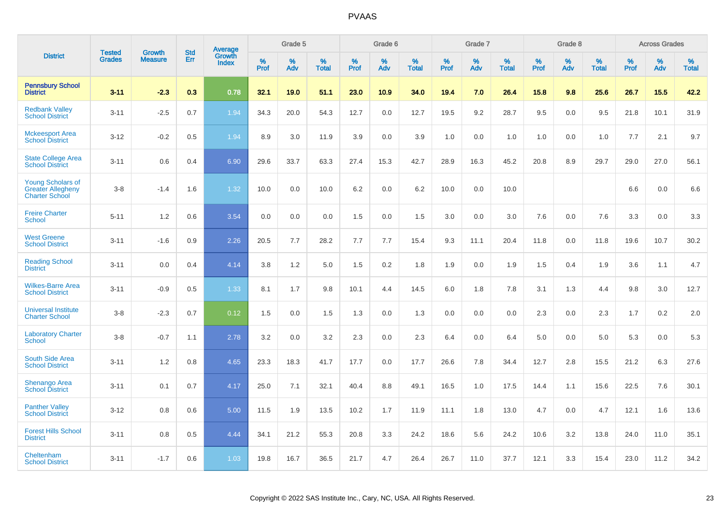|                                                                               | <b>Tested</b> | <b>Growth</b>  | <b>Std</b> | Average<br>Growth |                     | Grade 5  |                      |                     | Grade 6  |                      |              | Grade 7  |                      |                     | Grade 8  |                      |                     | <b>Across Grades</b> |                      |
|-------------------------------------------------------------------------------|---------------|----------------|------------|-------------------|---------------------|----------|----------------------|---------------------|----------|----------------------|--------------|----------|----------------------|---------------------|----------|----------------------|---------------------|----------------------|----------------------|
| <b>District</b>                                                               | <b>Grades</b> | <b>Measure</b> | Err        | <b>Index</b>      | $\%$<br><b>Prof</b> | %<br>Adv | $\%$<br><b>Total</b> | $\%$<br><b>Prof</b> | %<br>Adv | $\%$<br><b>Total</b> | $\%$<br>Prof | %<br>Adv | $\%$<br><b>Total</b> | $\%$<br><b>Prof</b> | %<br>Adv | $\%$<br><b>Total</b> | $\%$<br><b>Prof</b> | $\%$<br>Adv          | $\%$<br><b>Total</b> |
| <b>Pennsbury School</b><br><b>District</b>                                    | $3 - 11$      | $-2.3$         | 0.3        | 0.78              | 32.1                | 19.0     | 51.1                 | 23.0                | 10.9     | 34.0                 | 19.4         | 7.0      | 26.4                 | 15.8                | 9.8      | 25.6                 | 26.7                | 15.5                 | 42.2                 |
| <b>Redbank Valley</b><br><b>School District</b>                               | $3 - 11$      | $-2.5$         | 0.7        | 1.94              | 34.3                | 20.0     | 54.3                 | 12.7                | 0.0      | 12.7                 | 19.5         | 9.2      | 28.7                 | 9.5                 | 0.0      | 9.5                  | 21.8                | 10.1                 | 31.9                 |
| <b>Mckeesport Area</b><br><b>School District</b>                              | $3 - 12$      | $-0.2$         | 0.5        | 1.94              | 8.9                 | 3.0      | 11.9                 | 3.9                 | 0.0      | 3.9                  | 1.0          | 0.0      | 1.0                  | 1.0                 | 0.0      | 1.0                  | 7.7                 | 2.1                  | 9.7                  |
| <b>State College Area</b><br><b>School District</b>                           | $3 - 11$      | 0.6            | 0.4        | 6.90              | 29.6                | 33.7     | 63.3                 | 27.4                | 15.3     | 42.7                 | 28.9         | 16.3     | 45.2                 | 20.8                | 8.9      | 29.7                 | 29.0                | 27.0                 | 56.1                 |
| <b>Young Scholars of</b><br><b>Greater Allegheny</b><br><b>Charter School</b> | $3 - 8$       | $-1.4$         | 1.6        | 1.32              | 10.0                | 0.0      | 10.0                 | 6.2                 | 0.0      | 6.2                  | 10.0         | 0.0      | 10.0                 |                     |          |                      | 6.6                 | 0.0                  | 6.6                  |
| <b>Freire Charter</b><br><b>School</b>                                        | $5 - 11$      | 1.2            | 0.6        | 3.54              | 0.0                 | 0.0      | 0.0                  | 1.5                 | 0.0      | 1.5                  | 3.0          | 0.0      | 3.0                  | 7.6                 | 0.0      | 7.6                  | 3.3                 | 0.0                  | 3.3                  |
| <b>West Greene</b><br><b>School District</b>                                  | $3 - 11$      | $-1.6$         | 0.9        | 2.26              | 20.5                | 7.7      | 28.2                 | 7.7                 | 7.7      | 15.4                 | 9.3          | 11.1     | 20.4                 | 11.8                | 0.0      | 11.8                 | 19.6                | 10.7                 | 30.2                 |
| <b>Reading School</b><br><b>District</b>                                      | $3 - 11$      | 0.0            | 0.4        | 4.14              | 3.8                 | 1.2      | 5.0                  | 1.5                 | 0.2      | 1.8                  | 1.9          | 0.0      | 1.9                  | 1.5                 | 0.4      | 1.9                  | 3.6                 | 1.1                  | 4.7                  |
| <b>Wilkes-Barre Area</b><br><b>School District</b>                            | $3 - 11$      | $-0.9$         | 0.5        | 1.33              | 8.1                 | 1.7      | 9.8                  | 10.1                | 4.4      | 14.5                 | 6.0          | 1.8      | 7.8                  | 3.1                 | 1.3      | 4.4                  | 9.8                 | 3.0                  | 12.7                 |
| <b>Universal Institute</b><br><b>Charter School</b>                           | $3 - 8$       | $-2.3$         | 0.7        | 0.12              | 1.5                 | 0.0      | 1.5                  | 1.3                 | 0.0      | 1.3                  | 0.0          | 0.0      | 0.0                  | 2.3                 | 0.0      | 2.3                  | 1.7                 | 0.2                  | 2.0                  |
| <b>Laboratory Charter</b><br><b>School</b>                                    | $3 - 8$       | $-0.7$         | 1.1        | 2.78              | 3.2                 | 0.0      | 3.2                  | 2.3                 | 0.0      | 2.3                  | 6.4          | 0.0      | 6.4                  | 5.0                 | 0.0      | 5.0                  | 5.3                 | 0.0                  | 5.3                  |
| South Side Area<br><b>School District</b>                                     | $3 - 11$      | 1.2            | 0.8        | 4.65              | 23.3                | 18.3     | 41.7                 | 17.7                | 0.0      | 17.7                 | 26.6         | 7.8      | 34.4                 | 12.7                | 2.8      | 15.5                 | 21.2                | 6.3                  | 27.6                 |
| <b>Shenango Area</b><br><b>School District</b>                                | $3 - 11$      | 0.1            | 0.7        | 4.17              | 25.0                | 7.1      | 32.1                 | 40.4                | 8.8      | 49.1                 | 16.5         | 1.0      | 17.5                 | 14.4                | 1.1      | 15.6                 | 22.5                | 7.6                  | 30.1                 |
| <b>Panther Valley</b><br><b>School District</b>                               | $3 - 12$      | 0.8            | 0.6        | 5.00              | 11.5                | 1.9      | 13.5                 | 10.2                | 1.7      | 11.9                 | 11.1         | 1.8      | 13.0                 | 4.7                 | 0.0      | 4.7                  | 12.1                | 1.6                  | 13.6                 |
| <b>Forest Hills School</b><br><b>District</b>                                 | $3 - 11$      | 0.8            | 0.5        | 4.44              | 34.1                | 21.2     | 55.3                 | 20.8                | 3.3      | 24.2                 | 18.6         | 5.6      | 24.2                 | 10.6                | 3.2      | 13.8                 | 24.0                | 11.0                 | 35.1                 |
| Cheltenham<br><b>School District</b>                                          | $3 - 11$      | $-1.7$         | 0.6        | 1.03              | 19.8                | 16.7     | 36.5                 | 21.7                | 4.7      | 26.4                 | 26.7         | 11.0     | 37.7                 | 12.1                | 3.3      | 15.4                 | 23.0                | 11.2                 | 34.2                 |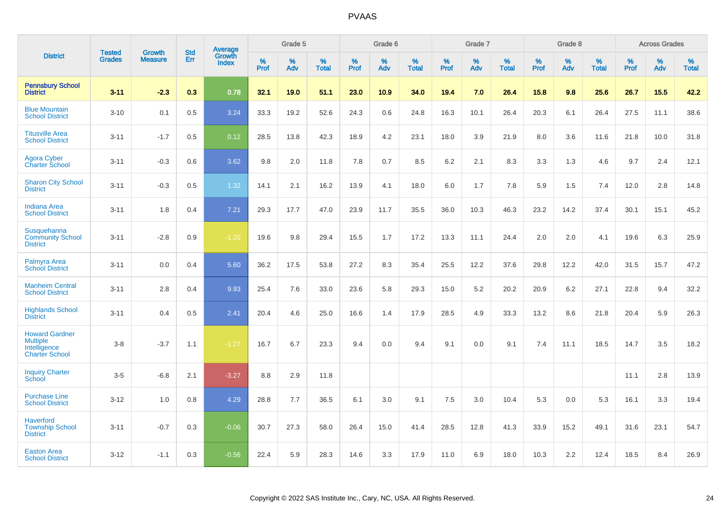|                                                                                   | <b>Tested</b> | <b>Growth</b>  | <b>Std</b> |                                          |                     | Grade 5  |                   |           | Grade 6  |                   |           | Grade 7  |                   |           | Grade 8  |                   |           | <b>Across Grades</b> |                   |
|-----------------------------------------------------------------------------------|---------------|----------------|------------|------------------------------------------|---------------------|----------|-------------------|-----------|----------|-------------------|-----------|----------|-------------------|-----------|----------|-------------------|-----------|----------------------|-------------------|
| <b>District</b>                                                                   | <b>Grades</b> | <b>Measure</b> | Err        | <b>Average</b><br>Growth<br><b>Index</b> | $\%$<br><b>Prof</b> | %<br>Adv | %<br><b>Total</b> | %<br>Prof | %<br>Adv | %<br><b>Total</b> | %<br>Prof | %<br>Adv | %<br><b>Total</b> | %<br>Prof | %<br>Adv | %<br><b>Total</b> | %<br>Prof | %<br>Adv             | %<br><b>Total</b> |
| <b>Pennsbury School</b><br><b>District</b>                                        | $3 - 11$      | $-2.3$         | 0.3        | 0.78                                     | 32.1                | 19.0     | 51.1              | 23.0      | 10.9     | 34.0              | 19.4      | 7.0      | 26.4              | 15.8      | 9.8      | 25.6              | 26.7      | 15.5                 | 42.2              |
| <b>Blue Mountain</b><br><b>School District</b>                                    | $3 - 10$      | 0.1            | 0.5        | 3.24                                     | 33.3                | 19.2     | 52.6              | 24.3      | 0.6      | 24.8              | 16.3      | 10.1     | 26.4              | 20.3      | 6.1      | 26.4              | 27.5      | 11.1                 | 38.6              |
| <b>Titusville Area</b><br><b>School District</b>                                  | $3 - 11$      | $-1.7$         | 0.5        | 0.12                                     | 28.5                | 13.8     | 42.3              | 18.9      | 4.2      | 23.1              | 18.0      | 3.9      | 21.9              | 8.0       | 3.6      | 11.6              | 21.8      | 10.0                 | 31.8              |
| <b>Agora Cyber</b><br><b>Charter School</b>                                       | $3 - 11$      | $-0.3$         | 0.6        | 3.62                                     | 9.8                 | 2.0      | 11.8              | 7.8       | 0.7      | 8.5               | 6.2       | 2.1      | 8.3               | 3.3       | 1.3      | 4.6               | 9.7       | 2.4                  | 12.1              |
| <b>Sharon City School</b><br><b>District</b>                                      | $3 - 11$      | $-0.3$         | 0.5        | 1.32                                     | 14.1                | 2.1      | 16.2              | 13.9      | 4.1      | 18.0              | 6.0       | 1.7      | 7.8               | 5.9       | 1.5      | 7.4               | 12.0      | 2.8                  | 14.8              |
| <b>Indiana Area</b><br><b>School District</b>                                     | $3 - 11$      | 1.8            | 0.4        | 7.21                                     | 29.3                | 17.7     | 47.0              | 23.9      | 11.7     | 35.5              | 36.0      | 10.3     | 46.3              | 23.2      | 14.2     | 37.4              | 30.1      | 15.1                 | 45.2              |
| Susquehanna<br><b>Community School</b><br><b>District</b>                         | $3 - 11$      | $-2.8$         | 0.9        | $-1.20$                                  | 19.6                | 9.8      | 29.4              | 15.5      | 1.7      | 17.2              | 13.3      | 11.1     | 24.4              | 2.0       | 2.0      | 4.1               | 19.6      | 6.3                  | 25.9              |
| Palmyra Area<br><b>School District</b>                                            | $3 - 11$      | 0.0            | 0.4        | 5.60                                     | 36.2                | 17.5     | 53.8              | 27.2      | 8.3      | 35.4              | 25.5      | 12.2     | 37.6              | 29.8      | 12.2     | 42.0              | 31.5      | 15.7                 | 47.2              |
| <b>Manheim Central</b><br><b>School District</b>                                  | $3 - 11$      | 2.8            | 0.4        | 9.93                                     | 25.4                | 7.6      | 33.0              | 23.6      | 5.8      | 29.3              | 15.0      | 5.2      | 20.2              | 20.9      | 6.2      | 27.1              | 22.8      | 9.4                  | 32.2              |
| <b>Highlands School</b><br><b>District</b>                                        | $3 - 11$      | 0.4            | 0.5        | $\overline{2.41}$                        | 20.4                | 4.6      | 25.0              | 16.6      | 1.4      | 17.9              | 28.5      | 4.9      | 33.3              | 13.2      | 8.6      | 21.8              | 20.4      | 5.9                  | 26.3              |
| <b>Howard Gardner</b><br><b>Multiple</b><br>Intelligence<br><b>Charter School</b> | $3-8$         | $-3.7$         | 1.1        | $-1.27$                                  | 16.7                | 6.7      | 23.3              | 9.4       | 0.0      | 9.4               | 9.1       | 0.0      | 9.1               | 7.4       | 11.1     | 18.5              | 14.7      | 3.5                  | 18.2              |
| <b>Inquiry Charter</b><br>School                                                  | $3-5$         | $-6.8$         | 2.1        | $-3.27$                                  | 8.8                 | 2.9      | 11.8              |           |          |                   |           |          |                   |           |          |                   | 11.1      | 2.8                  | 13.9              |
| <b>Purchase Line</b><br><b>School District</b>                                    | $3 - 12$      | 1.0            | 0.8        | 4.29                                     | 28.8                | 7.7      | 36.5              | 6.1       | 3.0      | 9.1               | 7.5       | 3.0      | 10.4              | 5.3       | 0.0      | 5.3               | 16.1      | 3.3                  | 19.4              |
| <b>Haverford</b><br><b>Township School</b><br><b>District</b>                     | $3 - 11$      | $-0.7$         | 0.3        | $-0.06$                                  | 30.7                | 27.3     | 58.0              | 26.4      | 15.0     | 41.4              | 28.5      | 12.8     | 41.3              | 33.9      | 15.2     | 49.1              | 31.6      | 23.1                 | 54.7              |
| <b>Easton Area</b><br><b>School District</b>                                      | $3 - 12$      | $-1.1$         | 0.3        | $-0.56$                                  | 22.4                | 5.9      | 28.3              | 14.6      | 3.3      | 17.9              | 11.0      | 6.9      | 18.0              | 10.3      | 2.2      | 12.4              | 18.5      | 8.4                  | 26.9              |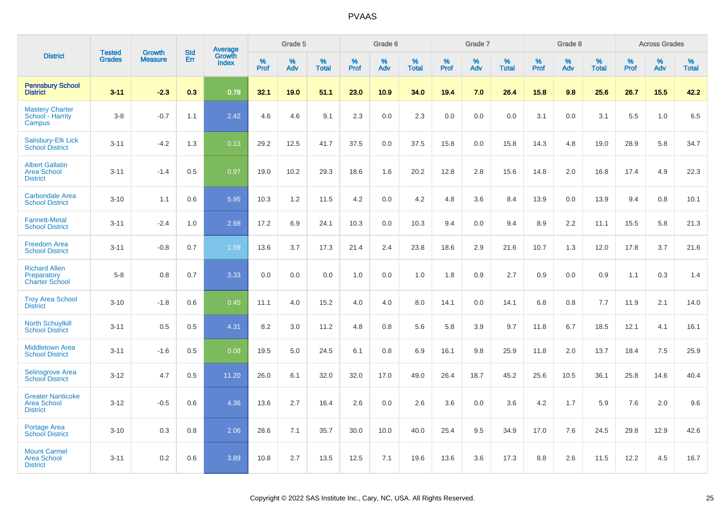|                                                                   |                                |                                 |                   |                                          |                     | Grade 5  |                   |                  | Grade 6  |                   |                  | Grade 7  |                   |           | Grade 8  |                   |              | <b>Across Grades</b> |                   |
|-------------------------------------------------------------------|--------------------------------|---------------------------------|-------------------|------------------------------------------|---------------------|----------|-------------------|------------------|----------|-------------------|------------------|----------|-------------------|-----------|----------|-------------------|--------------|----------------------|-------------------|
| <b>District</b>                                                   | <b>Tested</b><br><b>Grades</b> | <b>Growth</b><br><b>Measure</b> | <b>Std</b><br>Err | <b>Average</b><br>Growth<br><b>Index</b> | $\%$<br><b>Prof</b> | %<br>Adv | %<br><b>Total</b> | %<br><b>Prof</b> | %<br>Adv | %<br><b>Total</b> | %<br><b>Prof</b> | %<br>Adv | %<br><b>Total</b> | %<br>Prof | %<br>Adv | %<br><b>Total</b> | $\%$<br>Prof | %<br>Adv             | %<br><b>Total</b> |
| <b>Pennsbury School</b><br><b>District</b>                        | $3 - 11$                       | $-2.3$                          | 0.3               | 0.78                                     | 32.1                | 19.0     | 51.1              | 23.0             | 10.9     | 34.0              | 19.4             | 7.0      | 26.4              | 15.8      | 9.8      | 25.6              | 26.7         | 15.5                 | 42.2              |
| <b>Mastery Charter</b><br>School - Harrity<br>Campus              | $3-8$                          | $-0.7$                          | 1.1               | 2.42                                     | 4.6                 | 4.6      | 9.1               | 2.3              | 0.0      | 2.3               | 0.0              | 0.0      | 0.0               | 3.1       | 0.0      | 3.1               | 5.5          | 1.0                  | 6.5               |
| Salisbury-Elk Lick<br><b>School District</b>                      | $3 - 11$                       | $-4.2$                          | 1.3               | 0.13                                     | 29.2                | 12.5     | 41.7              | 37.5             | 0.0      | 37.5              | 15.8             | 0.0      | 15.8              | 14.3      | 4.8      | 19.0              | 28.9         | 5.8                  | 34.7              |
| <b>Albert Gallatin</b><br><b>Area School</b><br><b>District</b>   | $3 - 11$                       | $-1.4$                          | 0.5               | 0.97                                     | 19.0                | 10.2     | 29.3              | 18.6             | 1.6      | 20.2              | 12.8             | 2.8      | 15.6              | 14.8      | 2.0      | 16.8              | 17.4         | 4.9                  | 22.3              |
| <b>Carbondale Area</b><br><b>School District</b>                  | $3 - 10$                       | 1.1                             | 0.6               | 5.95                                     | 10.3                | 1.2      | 11.5              | 4.2              | 0.0      | 4.2               | 4.8              | 3.6      | 8.4               | 13.9      | 0.0      | 13.9              | 9.4          | 0.8                  | 10.1              |
| <b>Fannett-Metal</b><br><b>School District</b>                    | $3 - 11$                       | $-2.4$                          | 1.0               | 2.68                                     | 17.2                | 6.9      | 24.1              | 10.3             | 0.0      | 10.3              | 9.4              | 0.0      | 9.4               | 8.9       | 2.2      | 11.1              | 15.5         | 5.8                  | 21.3              |
| <b>Freedom Area</b><br><b>School District</b>                     | $3 - 11$                       | $-0.8$                          | 0.7               | 1.59                                     | 13.6                | 3.7      | 17.3              | 21.4             | 2.4      | 23.8              | 18.6             | 2.9      | 21.6              | 10.7      | 1.3      | 12.0              | 17.8         | 3.7                  | 21.6              |
| <b>Richard Allen</b><br>Preparatory<br><b>Charter School</b>      | $5-8$                          | 0.8                             | 0.7               | 3.33                                     | 0.0                 | 0.0      | 0.0               | 1.0              | 0.0      | 1.0               | 1.8              | 0.9      | 2.7               | 0.9       | 0.0      | 0.9               | 1.1          | 0.3                  | 1.4               |
| <b>Troy Area School</b><br><b>District</b>                        | $3 - 10$                       | $-1.8$                          | 0.6               | 0.45                                     | 11.1                | 4.0      | 15.2              | 4.0              | 4.0      | 8.0               | 14.1             | 0.0      | 14.1              | 6.8       | 0.8      | 7.7               | 11.9         | 2.1                  | 14.0              |
| <b>North Schuylkill</b><br><b>School District</b>                 | $3 - 11$                       | 0.5                             | 0.5               | 4.31                                     | 8.2                 | 3.0      | 11.2              | 4.8              | 0.8      | 5.6               | 5.8              | 3.9      | 9.7               | 11.8      | 6.7      | 18.5              | 12.1         | 4.1                  | 16.1              |
| <b>Middletown Area</b><br><b>School District</b>                  | $3 - 11$                       | $-1.6$                          | 0.5               | 0.08                                     | 19.5                | 5.0      | 24.5              | 6.1              | 0.8      | 6.9               | 16.1             | 9.8      | 25.9              | 11.8      | 2.0      | 13.7              | 18.4         | 7.5                  | 25.9              |
| <b>Selinsgrove Area</b><br><b>School District</b>                 | $3 - 12$                       | 4.7                             | 0.5               | 11.20                                    | 26.0                | 6.1      | 32.0              | 32.0             | 17.0     | 49.0              | 26.4             | 18.7     | 45.2              | 25.6      | 10.5     | 36.1              | 25.8         | 14.6                 | 40.4              |
| <b>Greater Nanticoke</b><br><b>Area School</b><br><b>District</b> | $3 - 12$                       | $-0.5$                          | 0.6               | 4.36                                     | 13.6                | 2.7      | 16.4              | 2.6              | 0.0      | 2.6               | 3.6              | 0.0      | 3.6               | 4.2       | 1.7      | 5.9               | 7.6          | 2.0                  | 9.6               |
| Portage Area<br><b>School District</b>                            | $3 - 10$                       | 0.3                             | 0.8               | 2.06                                     | 28.6                | 7.1      | 35.7              | 30.0             | 10.0     | 40.0              | 25.4             | 9.5      | 34.9              | 17.0      | 7.6      | 24.5              | 29.8         | 12.9                 | 42.6              |
| <b>Mount Carmel</b><br><b>Area School</b><br><b>District</b>      | $3 - 11$                       | 0.2                             | 0.6               | 3.89                                     | 10.8                | 2.7      | 13.5              | 12.5             | 7.1      | 19.6              | 13.6             | 3.6      | 17.3              | 8.8       | 2.6      | 11.5              | 12.2         | 4.5                  | 16.7              |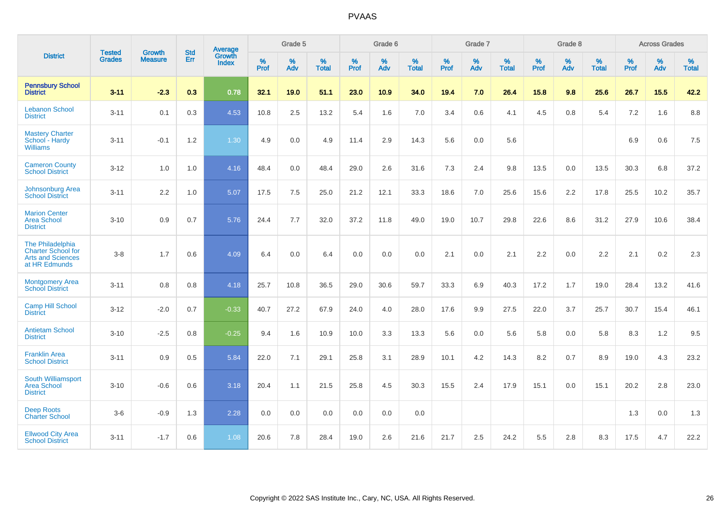|                                                                                            | <b>Tested</b> | <b>Growth</b>  | <b>Std</b> | Average                |                     | Grade 5  |                   |                     | Grade 6  |                   |              | Grade 7  |                   |                     | Grade 8  |                   |                     | <b>Across Grades</b> |                   |
|--------------------------------------------------------------------------------------------|---------------|----------------|------------|------------------------|---------------------|----------|-------------------|---------------------|----------|-------------------|--------------|----------|-------------------|---------------------|----------|-------------------|---------------------|----------------------|-------------------|
| <b>District</b>                                                                            | <b>Grades</b> | <b>Measure</b> | <b>Err</b> | Growth<br><b>Index</b> | $\%$<br><b>Prof</b> | %<br>Adv | %<br><b>Total</b> | $\%$<br><b>Prof</b> | %<br>Adv | %<br><b>Total</b> | $\%$<br>Prof | %<br>Adv | %<br><b>Total</b> | $\%$<br><b>Prof</b> | %<br>Adv | %<br><b>Total</b> | $\%$<br><b>Prof</b> | %<br>Adv             | %<br><b>Total</b> |
| <b>Pennsbury School</b><br><b>District</b>                                                 | $3 - 11$      | $-2.3$         | 0.3        | 0.78                   | 32.1                | 19.0     | 51.1              | 23.0                | 10.9     | 34.0              | 19.4         | 7.0      | 26.4              | 15.8                | 9.8      | 25.6              | 26.7                | 15.5                 | 42.2              |
| <b>Lebanon School</b><br><b>District</b>                                                   | $3 - 11$      | 0.1            | 0.3        | 4.53                   | 10.8                | 2.5      | 13.2              | 5.4                 | 1.6      | 7.0               | 3.4          | 0.6      | 4.1               | 4.5                 | 0.8      | 5.4               | 7.2                 | 1.6                  | 8.8               |
| <b>Mastery Charter</b><br>School - Hardy<br><b>Williams</b>                                | $3 - 11$      | $-0.1$         | 1.2        | 1.30                   | 4.9                 | 0.0      | 4.9               | 11.4                | 2.9      | 14.3              | 5.6          | 0.0      | 5.6               |                     |          |                   | 6.9                 | 0.6                  | 7.5               |
| <b>Cameron County</b><br><b>School District</b>                                            | $3 - 12$      | 1.0            | 1.0        | 4.16                   | 48.4                | 0.0      | 48.4              | 29.0                | 2.6      | 31.6              | 7.3          | 2.4      | 9.8               | 13.5                | 0.0      | 13.5              | 30.3                | 6.8                  | 37.2              |
| Johnsonburg Area<br><b>School District</b>                                                 | $3 - 11$      | 2.2            | 1.0        | 5.07                   | 17.5                | 7.5      | 25.0              | 21.2                | 12.1     | 33.3              | 18.6         | 7.0      | 25.6              | 15.6                | 2.2      | 17.8              | 25.5                | 10.2                 | 35.7              |
| <b>Marion Center</b><br><b>Area School</b><br><b>District</b>                              | $3 - 10$      | 0.9            | 0.7        | 5.76                   | 24.4                | 7.7      | 32.0              | 37.2                | 11.8     | 49.0              | 19.0         | 10.7     | 29.8              | 22.6                | 8.6      | 31.2              | 27.9                | 10.6                 | 38.4              |
| The Philadelphia<br><b>Charter School for</b><br><b>Arts and Sciences</b><br>at HR Edmunds | $3 - 8$       | 1.7            | 0.6        | 4.09                   | 6.4                 | 0.0      | 6.4               | 0.0                 | 0.0      | 0.0               | 2.1          | 0.0      | 2.1               | 2.2                 | 0.0      | 2.2               | 2.1                 | $0.2\,$              | 2.3               |
| <b>Montgomery Area</b><br><b>School District</b>                                           | $3 - 11$      | 0.8            | 0.8        | 4.18                   | 25.7                | 10.8     | 36.5              | 29.0                | 30.6     | 59.7              | 33.3         | 6.9      | 40.3              | 17.2                | 1.7      | 19.0              | 28.4                | 13.2                 | 41.6              |
| <b>Camp Hill School</b><br><b>District</b>                                                 | $3 - 12$      | $-2.0$         | 0.7        | $-0.33$                | 40.7                | 27.2     | 67.9              | 24.0                | 4.0      | 28.0              | 17.6         | 9.9      | 27.5              | 22.0                | 3.7      | 25.7              | 30.7                | 15.4                 | 46.1              |
| <b>Antietam School</b><br><b>District</b>                                                  | $3 - 10$      | $-2.5$         | 0.8        | $-0.25$                | 9.4                 | 1.6      | 10.9              | 10.0                | 3.3      | 13.3              | 5.6          | 0.0      | 5.6               | 5.8                 | 0.0      | 5.8               | 8.3                 | 1.2                  | 9.5               |
| <b>Franklin Area</b><br><b>School District</b>                                             | $3 - 11$      | 0.9            | 0.5        | 5.84                   | 22.0                | 7.1      | 29.1              | 25.8                | 3.1      | 28.9              | 10.1         | 4.2      | 14.3              | 8.2                 | 0.7      | 8.9               | 19.0                | 4.3                  | 23.2              |
| South Williamsport<br><b>Area School</b><br><b>District</b>                                | $3 - 10$      | $-0.6$         | 0.6        | 3.18                   | 20.4                | 1.1      | 21.5              | 25.8                | 4.5      | 30.3              | 15.5         | 2.4      | 17.9              | 15.1                | 0.0      | 15.1              | 20.2                | 2.8                  | 23.0              |
| <b>Deep Roots</b><br><b>Charter School</b>                                                 | $3-6$         | $-0.9$         | 1.3        | 2.28                   | 0.0                 | 0.0      | 0.0               | 0.0                 | 0.0      | 0.0               |              |          |                   |                     |          |                   | 1.3                 | 0.0                  | 1.3               |
| <b>Ellwood City Area</b><br><b>School District</b>                                         | $3 - 11$      | $-1.7$         | 0.6        | 1.08                   | 20.6                | 7.8      | 28.4              | 19.0                | 2.6      | 21.6              | 21.7         | 2.5      | 24.2              | 5.5                 | 2.8      | 8.3               | 17.5                | 4.7                  | 22.2              |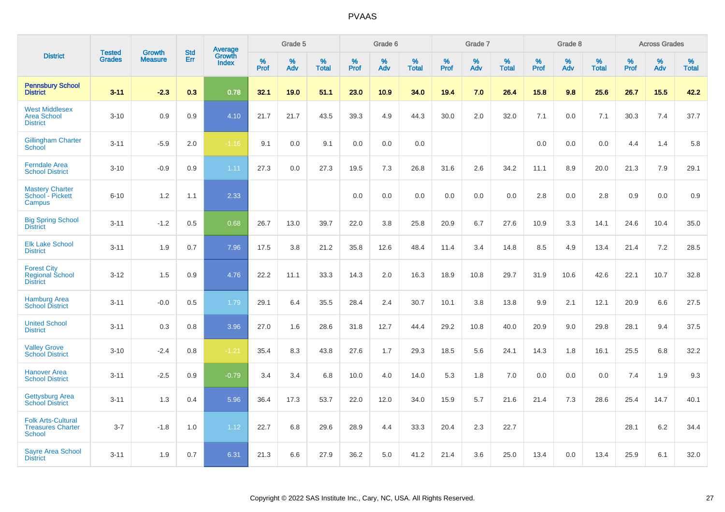|                                                                 |                                |                                 | <b>Std</b> | Average                |                     | Grade 5  |                   |                  | Grade 6  |                   |              | Grade 7     |                   |           | Grade 8  |                   |                     | <b>Across Grades</b> |                   |
|-----------------------------------------------------------------|--------------------------------|---------------------------------|------------|------------------------|---------------------|----------|-------------------|------------------|----------|-------------------|--------------|-------------|-------------------|-----------|----------|-------------------|---------------------|----------------------|-------------------|
| <b>District</b>                                                 | <b>Tested</b><br><b>Grades</b> | <b>Growth</b><br><b>Measure</b> | Err        | Growth<br><b>Index</b> | $\%$<br><b>Prof</b> | %<br>Adv | %<br><b>Total</b> | %<br><b>Prof</b> | %<br>Adv | %<br><b>Total</b> | $\%$<br>Prof | $\%$<br>Adv | %<br><b>Total</b> | %<br>Prof | %<br>Adv | %<br><b>Total</b> | $\%$<br><b>Prof</b> | $\%$<br>Adv          | %<br><b>Total</b> |
| <b>Pennsbury School</b><br><b>District</b>                      | $3 - 11$                       | $-2.3$                          | 0.3        | 0.78                   | 32.1                | 19.0     | 51.1              | 23.0             | 10.9     | 34.0              | 19.4         | 7.0         | 26.4              | 15.8      | 9.8      | 25.6              | 26.7                | 15.5                 | 42.2              |
| <b>West Middlesex</b><br><b>Area School</b><br><b>District</b>  | $3 - 10$                       | 0.9                             | 0.9        | 4.10                   | 21.7                | 21.7     | 43.5              | 39.3             | 4.9      | 44.3              | 30.0         | 2.0         | 32.0              | 7.1       | 0.0      | 7.1               | 30.3                | 7.4                  | 37.7              |
| <b>Gillingham Charter</b><br>School                             | $3 - 11$                       | $-5.9$                          | 2.0        | $-1.16$                | 9.1                 | 0.0      | 9.1               | 0.0              | 0.0      | 0.0               |              |             |                   | 0.0       | 0.0      | 0.0               | 4.4                 | 1.4                  | 5.8               |
| <b>Ferndale Area</b><br><b>School District</b>                  | $3 - 10$                       | $-0.9$                          | 0.9        | 1.11                   | 27.3                | 0.0      | 27.3              | 19.5             | 7.3      | 26.8              | 31.6         | 2.6         | 34.2              | 11.1      | 8.9      | 20.0              | 21.3                | 7.9                  | 29.1              |
| <b>Mastery Charter</b><br>School - Pickett<br>Campus            | $6 - 10$                       | 1.2                             | 1.1        | 2.33                   |                     |          |                   | 0.0              | 0.0      | 0.0               | 0.0          | 0.0         | 0.0               | 2.8       | 0.0      | 2.8               | 0.9                 | 0.0                  | 0.9               |
| <b>Big Spring School</b><br><b>District</b>                     | $3 - 11$                       | $-1.2$                          | 0.5        | 0.68                   | 26.7                | 13.0     | 39.7              | 22.0             | 3.8      | 25.8              | 20.9         | 6.7         | 27.6              | 10.9      | 3.3      | 14.1              | 24.6                | 10.4                 | 35.0              |
| <b>Elk Lake School</b><br><b>District</b>                       | $3 - 11$                       | 1.9                             | 0.7        | 7.96                   | 17.5                | 3.8      | 21.2              | 35.8             | 12.6     | 48.4              | 11.4         | 3.4         | 14.8              | 8.5       | 4.9      | 13.4              | 21.4                | 7.2                  | 28.5              |
| <b>Forest City</b><br><b>Regional School</b><br><b>District</b> | $3 - 12$                       | 1.5                             | 0.9        | 4.76                   | 22.2                | 11.1     | 33.3              | 14.3             | 2.0      | 16.3              | 18.9         | 10.8        | 29.7              | 31.9      | 10.6     | 42.6              | 22.1                | 10.7                 | 32.8              |
| <b>Hamburg Area</b><br><b>School District</b>                   | $3 - 11$                       | $-0.0$                          | 0.5        | 1.79                   | 29.1                | 6.4      | 35.5              | 28.4             | 2.4      | 30.7              | 10.1         | 3.8         | 13.8              | 9.9       | 2.1      | 12.1              | 20.9                | 6.6                  | 27.5              |
| <b>United School</b><br><b>District</b>                         | $3 - 11$                       | 0.3                             | 0.8        | 3.96                   | 27.0                | 1.6      | 28.6              | 31.8             | 12.7     | 44.4              | 29.2         | 10.8        | 40.0              | 20.9      | 9.0      | 29.8              | 28.1                | 9.4                  | 37.5              |
| <b>Valley Grove</b><br><b>School District</b>                   | $3 - 10$                       | $-2.4$                          | 0.8        | $-1.21$                | 35.4                | 8.3      | 43.8              | 27.6             | 1.7      | 29.3              | 18.5         | 5.6         | 24.1              | 14.3      | 1.8      | 16.1              | 25.5                | 6.8                  | 32.2              |
| <b>Hanover Area</b><br><b>School District</b>                   | $3 - 11$                       | $-2.5$                          | 0.9        | $-0.79$                | 3.4                 | 3.4      | 6.8               | 10.0             | 4.0      | 14.0              | 5.3          | 1.8         | 7.0               | 0.0       | 0.0      | 0.0               | 7.4                 | 1.9                  | 9.3               |
| <b>Gettysburg Area</b><br><b>School District</b>                | $3 - 11$                       | 1.3                             | 0.4        | 5.96                   | 36.4                | 17.3     | 53.7              | 22.0             | 12.0     | 34.0              | 15.9         | 5.7         | 21.6              | 21.4      | 7.3      | 28.6              | 25.4                | 14.7                 | 40.1              |
| <b>Folk Arts-Cultural</b><br><b>Treasures Charter</b><br>School | $3 - 7$                        | $-1.8$                          | 1.0        | 1.12                   | 22.7                | 6.8      | 29.6              | 28.9             | 4.4      | 33.3              | 20.4         | 2.3         | 22.7              |           |          |                   | 28.1                | 6.2                  | 34.4              |
| <b>Sayre Area School</b><br><b>District</b>                     | $3 - 11$                       | 1.9                             | 0.7        | 6.31                   | 21.3                | 6.6      | 27.9              | 36.2             | 5.0      | 41.2              | 21.4         | 3.6         | 25.0              | 13.4      | 0.0      | 13.4              | 25.9                | 6.1                  | 32.0              |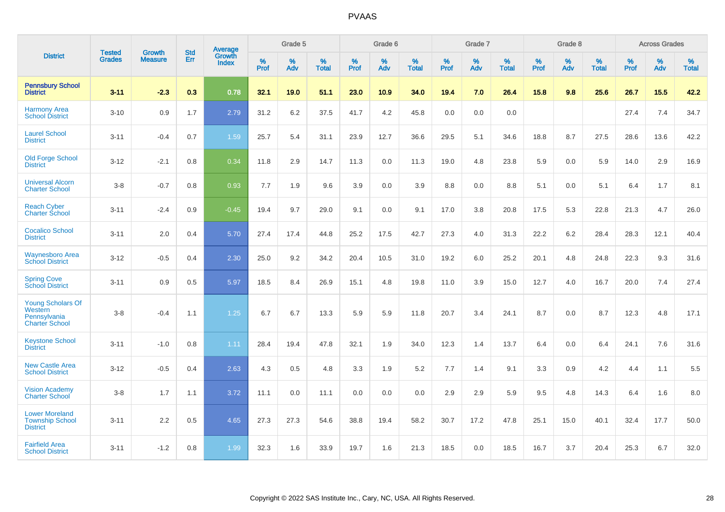|                                                                       | <b>Tested</b> | <b>Growth</b>  | <b>Std</b> | Average                |              | Grade 5  |                      |           | Grade 6  |                   |           | Grade 7  |                   |           | Grade 8  |                   |              | <b>Across Grades</b> |                   |
|-----------------------------------------------------------------------|---------------|----------------|------------|------------------------|--------------|----------|----------------------|-----------|----------|-------------------|-----------|----------|-------------------|-----------|----------|-------------------|--------------|----------------------|-------------------|
| <b>District</b>                                                       | <b>Grades</b> | <b>Measure</b> | Err        | Growth<br><b>Index</b> | $\%$<br>Prof | %<br>Adv | $\%$<br><b>Total</b> | %<br>Prof | %<br>Adv | %<br><b>Total</b> | %<br>Prof | %<br>Adv | %<br><b>Total</b> | %<br>Prof | %<br>Adv | %<br><b>Total</b> | $\%$<br>Prof | $\%$<br>Adv          | %<br><b>Total</b> |
| <b>Pennsbury School</b><br><b>District</b>                            | $3 - 11$      | $-2.3$         | 0.3        | 0.78                   | 32.1         | 19.0     | 51.1                 | 23.0      | 10.9     | 34.0              | 19.4      | 7.0      | 26.4              | 15.8      | 9.8      | 25.6              | 26.7         | 15.5                 | 42.2              |
| <b>Harmony Area</b><br><b>School District</b>                         | $3 - 10$      | 0.9            | 1.7        | 2.79                   | 31.2         | 6.2      | 37.5                 | 41.7      | 4.2      | 45.8              | 0.0       | 0.0      | 0.0               |           |          |                   | 27.4         | 7.4                  | 34.7              |
| <b>Laurel School</b><br><b>District</b>                               | $3 - 11$      | $-0.4$         | 0.7        | 1.59                   | 25.7         | 5.4      | 31.1                 | 23.9      | 12.7     | 36.6              | 29.5      | 5.1      | 34.6              | 18.8      | 8.7      | 27.5              | 28.6         | 13.6                 | 42.2              |
| <b>Old Forge School</b><br><b>District</b>                            | $3 - 12$      | $-2.1$         | 0.8        | 0.34                   | 11.8         | 2.9      | 14.7                 | 11.3      | 0.0      | 11.3              | 19.0      | 4.8      | 23.8              | 5.9       | 0.0      | 5.9               | 14.0         | 2.9                  | 16.9              |
| <b>Universal Alcorn</b><br><b>Charter School</b>                      | $3-8$         | $-0.7$         | 0.8        | 0.93                   | 7.7          | 1.9      | 9.6                  | 3.9       | 0.0      | 3.9               | 8.8       | 0.0      | 8.8               | 5.1       | 0.0      | 5.1               | 6.4          | 1.7                  | 8.1               |
| <b>Reach Cyber</b><br><b>Charter School</b>                           | $3 - 11$      | $-2.4$         | 0.9        | $-0.45$                | 19.4         | 9.7      | 29.0                 | 9.1       | 0.0      | 9.1               | 17.0      | 3.8      | 20.8              | 17.5      | 5.3      | 22.8              | 21.3         | 4.7                  | 26.0              |
| <b>Cocalico School</b><br><b>District</b>                             | $3 - 11$      | 2.0            | 0.4        | 5.70                   | 27.4         | 17.4     | 44.8                 | 25.2      | 17.5     | 42.7              | 27.3      | 4.0      | 31.3              | 22.2      | 6.2      | 28.4              | 28.3         | 12.1                 | 40.4              |
| <b>Waynesboro Area</b><br><b>School District</b>                      | $3 - 12$      | $-0.5$         | 0.4        | 2.30                   | 25.0         | 9.2      | 34.2                 | 20.4      | 10.5     | 31.0              | 19.2      | 6.0      | 25.2              | 20.1      | 4.8      | 24.8              | 22.3         | 9.3                  | 31.6              |
| <b>Spring Cove</b><br><b>School District</b>                          | $3 - 11$      | 0.9            | 0.5        | 5.97                   | 18.5         | 8.4      | 26.9                 | 15.1      | 4.8      | 19.8              | 11.0      | 3.9      | 15.0              | 12.7      | 4.0      | 16.7              | 20.0         | 7.4                  | 27.4              |
| Young Scholars Of<br>Western<br>Pennsylvania<br><b>Charter School</b> | $3 - 8$       | $-0.4$         | 1.1        | 1.25                   | 6.7          | 6.7      | 13.3                 | 5.9       | 5.9      | 11.8              | 20.7      | 3.4      | 24.1              | 8.7       | 0.0      | 8.7               | 12.3         | 4.8                  | 17.1              |
| <b>Keystone School</b><br><b>District</b>                             | $3 - 11$      | $-1.0$         | 0.8        | 1.11                   | 28.4         | 19.4     | 47.8                 | 32.1      | 1.9      | 34.0              | 12.3      | 1.4      | 13.7              | 6.4       | 0.0      | 6.4               | 24.1         | 7.6                  | 31.6              |
| <b>New Castle Area</b><br><b>School District</b>                      | $3 - 12$      | $-0.5$         | 0.4        | 2.63                   | 4.3          | 0.5      | 4.8                  | 3.3       | 1.9      | 5.2               | 7.7       | 1.4      | 9.1               | 3.3       | 0.9      | 4.2               | 4.4          | 1.1                  | 5.5               |
| <b>Vision Academy</b><br>Charter School                               | $3-8$         | 1.7            | 1.1        | 3.72                   | 11.1         | 0.0      | 11.1                 | 0.0       | 0.0      | 0.0               | 2.9       | 2.9      | 5.9               | 9.5       | 4.8      | 14.3              | 6.4          | 1.6                  | 8.0               |
| <b>Lower Moreland</b><br><b>Township School</b><br><b>District</b>    | $3 - 11$      | 2.2            | 0.5        | 4.65                   | 27.3         | 27.3     | 54.6                 | 38.8      | 19.4     | 58.2              | 30.7      | 17.2     | 47.8              | 25.1      | 15.0     | 40.1              | 32.4         | 17.7                 | 50.0              |
| <b>Fairfield Area</b><br><b>School District</b>                       | $3 - 11$      | $-1.2$         | 0.8        | 1.99                   | 32.3         | 1.6      | 33.9                 | 19.7      | 1.6      | 21.3              | 18.5      | 0.0      | 18.5              | 16.7      | 3.7      | 20.4              | 25.3         | 6.7                  | 32.0              |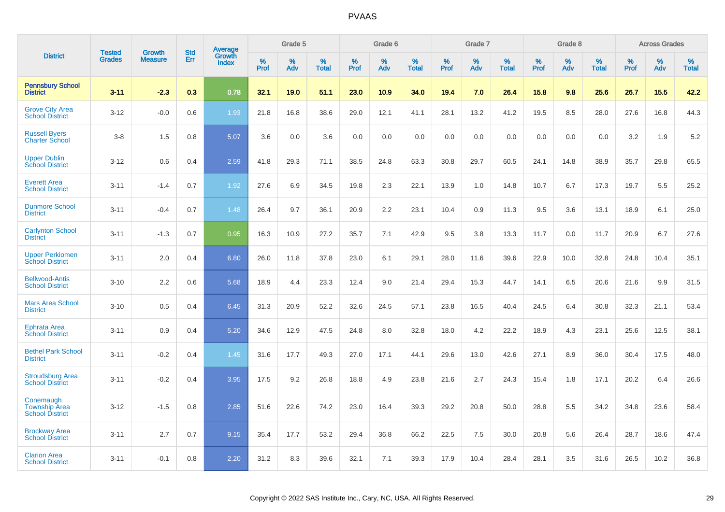|                                                             | <b>Tested</b> | <b>Growth</b>  | <b>Std</b> | Average                |              | Grade 5  |                   |              | Grade 6  |                   |              | Grade 7  |                   |           | Grade 8  |                   |              | <b>Across Grades</b> |                   |
|-------------------------------------------------------------|---------------|----------------|------------|------------------------|--------------|----------|-------------------|--------------|----------|-------------------|--------------|----------|-------------------|-----------|----------|-------------------|--------------|----------------------|-------------------|
| <b>District</b>                                             | <b>Grades</b> | <b>Measure</b> | Err        | Growth<br><b>Index</b> | $\%$<br>Prof | %<br>Adv | %<br><b>Total</b> | $\%$<br>Prof | %<br>Adv | %<br><b>Total</b> | $\%$<br>Prof | %<br>Adv | %<br><b>Total</b> | %<br>Prof | %<br>Adv | %<br><b>Total</b> | $\%$<br>Prof | %<br>Adv             | %<br><b>Total</b> |
| <b>Pennsbury School</b><br><b>District</b>                  | $3 - 11$      | $-2.3$         | 0.3        | 0.78                   | 32.1         | 19.0     | 51.1              | 23.0         | 10.9     | 34.0              | 19.4         | 7.0      | 26.4              | 15.8      | 9.8      | 25.6              | 26.7         | 15.5                 | 42.2              |
| <b>Grove City Area</b><br><b>School District</b>            | $3 - 12$      | $-0.0$         | 0.6        | 1.93                   | 21.8         | 16.8     | 38.6              | 29.0         | 12.1     | 41.1              | 28.1         | 13.2     | 41.2              | 19.5      | 8.5      | 28.0              | 27.6         | 16.8                 | 44.3              |
| <b>Russell Byers</b><br><b>Charter School</b>               | $3-8$         | 1.5            | 0.8        | 5.07                   | 3.6          | 0.0      | 3.6               | 0.0          | 0.0      | 0.0               | 0.0          | 0.0      | 0.0               | 0.0       | 0.0      | 0.0               | 3.2          | 1.9                  | 5.2               |
| <b>Upper Dublin</b><br><b>School District</b>               | $3 - 12$      | 0.6            | 0.4        | 2.59                   | 41.8         | 29.3     | 71.1              | 38.5         | 24.8     | 63.3              | 30.8         | 29.7     | 60.5              | 24.1      | 14.8     | 38.9              | 35.7         | 29.8                 | 65.5              |
| <b>Everett Area</b><br><b>School District</b>               | $3 - 11$      | $-1.4$         | 0.7        | 1.92                   | 27.6         | 6.9      | 34.5              | 19.8         | 2.3      | 22.1              | 13.9         | 1.0      | 14.8              | 10.7      | 6.7      | 17.3              | 19.7         | 5.5                  | 25.2              |
| <b>Dunmore School</b><br><b>District</b>                    | $3 - 11$      | $-0.4$         | 0.7        | 1.48                   | 26.4         | 9.7      | 36.1              | 20.9         | 2.2      | 23.1              | 10.4         | 0.9      | 11.3              | 9.5       | 3.6      | 13.1              | 18.9         | 6.1                  | 25.0              |
| <b>Carlynton School</b><br><b>District</b>                  | $3 - 11$      | $-1.3$         | 0.7        | 0.95                   | 16.3         | 10.9     | 27.2              | 35.7         | 7.1      | 42.9              | 9.5          | 3.8      | 13.3              | 11.7      | 0.0      | 11.7              | 20.9         | 6.7                  | 27.6              |
| <b>Upper Perkiomen</b><br><b>School District</b>            | $3 - 11$      | 2.0            | 0.4        | 6.80                   | 26.0         | 11.8     | 37.8              | 23.0         | 6.1      | 29.1              | 28.0         | 11.6     | 39.6              | 22.9      | 10.0     | 32.8              | 24.8         | 10.4                 | 35.1              |
| <b>Bellwood-Antis</b><br><b>School District</b>             | $3 - 10$      | 2.2            | 0.6        | 5.68                   | 18.9         | 4.4      | 23.3              | 12.4         | 9.0      | 21.4              | 29.4         | 15.3     | 44.7              | 14.1      | 6.5      | 20.6              | 21.6         | 9.9                  | 31.5              |
| <b>Mars Area School</b><br><b>District</b>                  | $3 - 10$      | 0.5            | 0.4        | 6.45                   | 31.3         | 20.9     | 52.2              | 32.6         | 24.5     | 57.1              | 23.8         | 16.5     | 40.4              | 24.5      | 6.4      | 30.8              | 32.3         | 21.1                 | 53.4              |
| <b>Ephrata Area</b><br><b>School District</b>               | $3 - 11$      | 0.9            | 0.4        | 5.20                   | 34.6         | 12.9     | 47.5              | 24.8         | 8.0      | 32.8              | 18.0         | 4.2      | 22.2              | 18.9      | 4.3      | 23.1              | 25.6         | 12.5                 | 38.1              |
| <b>Bethel Park School</b><br><b>District</b>                | $3 - 11$      | $-0.2$         | 0.4        | 1.45                   | 31.6         | 17.7     | 49.3              | 27.0         | 17.1     | 44.1              | 29.6         | 13.0     | 42.6              | 27.1      | 8.9      | 36.0              | 30.4         | 17.5                 | 48.0              |
| <b>Stroudsburg Area</b><br><b>School District</b>           | $3 - 11$      | $-0.2$         | 0.4        | 3.95                   | 17.5         | 9.2      | 26.8              | 18.8         | 4.9      | 23.8              | 21.6         | 2.7      | 24.3              | 15.4      | 1.8      | 17.1              | 20.2         | 6.4                  | 26.6              |
| Conemaugh<br><b>Township Area</b><br><b>School District</b> | $3 - 12$      | $-1.5$         | 0.8        | 2.85                   | 51.6         | 22.6     | 74.2              | 23.0         | 16.4     | 39.3              | 29.2         | 20.8     | 50.0              | 28.8      | 5.5      | 34.2              | 34.8         | 23.6                 | 58.4              |
| <b>Brockway Area</b><br><b>School District</b>              | $3 - 11$      | 2.7            | 0.7        | 9.15                   | 35.4         | 17.7     | 53.2              | 29.4         | 36.8     | 66.2              | 22.5         | 7.5      | 30.0              | 20.8      | 5.6      | 26.4              | 28.7         | 18.6                 | 47.4              |
| <b>Clarion Area</b><br><b>School District</b>               | $3 - 11$      | $-0.1$         | 0.8        | 2.20                   | 31.2         | 8.3      | 39.6              | 32.1         | 7.1      | 39.3              | 17.9         | 10.4     | 28.4              | 28.1      | 3.5      | 31.6              | 26.5         | 10.2                 | 36.8              |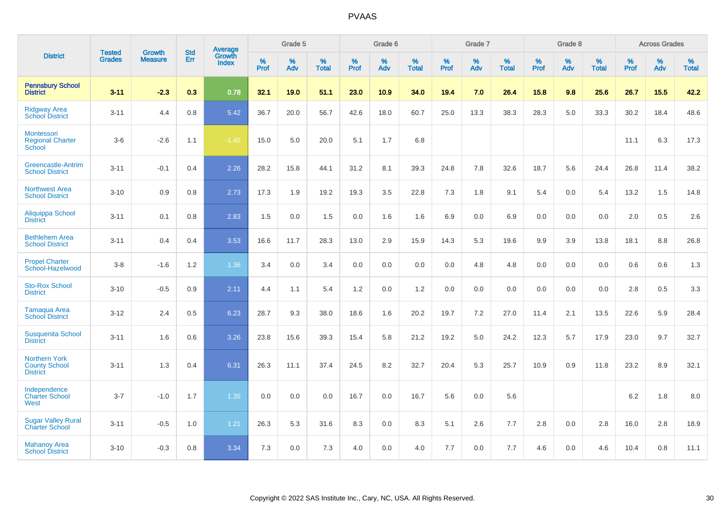|                                                                 | <b>Tested</b> | <b>Growth</b>  | <b>Std</b> | Average                       |              | Grade 5  |                   |           | Grade 6  |                   |           | Grade 7  |                   |           | Grade 8  |                   |           | <b>Across Grades</b> |                   |
|-----------------------------------------------------------------|---------------|----------------|------------|-------------------------------|--------------|----------|-------------------|-----------|----------|-------------------|-----------|----------|-------------------|-----------|----------|-------------------|-----------|----------------------|-------------------|
| <b>District</b>                                                 | <b>Grades</b> | <b>Measure</b> | Err        | <b>Growth</b><br><b>Index</b> | $\%$<br>Prof | %<br>Adv | %<br><b>Total</b> | %<br>Prof | %<br>Adv | %<br><b>Total</b> | %<br>Prof | %<br>Adv | %<br><b>Total</b> | %<br>Prof | %<br>Adv | %<br><b>Total</b> | %<br>Prof | %<br>Adv             | %<br><b>Total</b> |
| <b>Pennsbury School</b><br><b>District</b>                      | $3 - 11$      | $-2.3$         | 0.3        | 0.78                          | 32.1         | 19.0     | 51.1              | 23.0      | 10.9     | 34.0              | 19.4      | 7.0      | 26.4              | 15.8      | 9.8      | 25.6              | 26.7      | 15.5                 | 42.2              |
| <b>Ridgway Area</b><br><b>School District</b>                   | $3 - 11$      | 4.4            | 0.8        | 5.42                          | 36.7         | 20.0     | 56.7              | 42.6      | 18.0     | 60.7              | 25.0      | 13.3     | 38.3              | 28.3      | 5.0      | 33.3              | 30.2      | 18.4                 | 48.6              |
| Montessori<br><b>Regional Charter</b><br>School                 | $3-6$         | $-2.6$         | 1.1        | $-1.45$                       | 15.0         | 5.0      | 20.0              | 5.1       | 1.7      | 6.8               |           |          |                   |           |          |                   | 11.1      | 6.3                  | 17.3              |
| <b>Greencastle-Antrim</b><br><b>School District</b>             | $3 - 11$      | $-0.1$         | 0.4        | 2.26                          | 28.2         | 15.8     | 44.1              | 31.2      | 8.1      | 39.3              | 24.8      | 7.8      | 32.6              | 18.7      | 5.6      | 24.4              | 26.8      | 11.4                 | 38.2              |
| <b>Northwest Area</b><br><b>School District</b>                 | $3 - 10$      | 0.9            | 0.8        | 2.73                          | 17.3         | 1.9      | 19.2              | 19.3      | 3.5      | 22.8              | 7.3       | 1.8      | 9.1               | 5.4       | 0.0      | 5.4               | 13.2      | 1.5                  | 14.8              |
| <b>Aliquippa School</b><br><b>District</b>                      | $3 - 11$      | 0.1            | 0.8        | 2.83                          | 1.5          | 0.0      | 1.5               | 0.0       | 1.6      | 1.6               | 6.9       | 0.0      | 6.9               | 0.0       | 0.0      | 0.0               | 2.0       | 0.5                  | 2.6               |
| <b>Bethlehem Area</b><br><b>School District</b>                 | $3 - 11$      | 0.4            | 0.4        | 3.53                          | 16.6         | 11.7     | 28.3              | 13.0      | 2.9      | 15.9              | 14.3      | 5.3      | 19.6              | 9.9       | 3.9      | 13.8              | 18.1      | 8.8                  | 26.8              |
| <b>Propel Charter</b><br>School-Hazelwood                       | $3 - 8$       | $-1.6$         | 1.2        | 1.36                          | 3.4          | 0.0      | 3.4               | 0.0       | 0.0      | 0.0               | 0.0       | 4.8      | 4.8               | 0.0       | 0.0      | 0.0               | 0.6       | 0.6                  | 1.3               |
| <b>Sto-Rox School</b><br><b>District</b>                        | $3 - 10$      | $-0.5$         | 0.9        | 2.11                          | 4.4          | 1.1      | 5.4               | 1.2       | 0.0      | 1.2               | 0.0       | 0.0      | 0.0               | 0.0       | 0.0      | 0.0               | 2.8       | 0.5                  | 3.3               |
| <b>Tamaqua Area</b><br><b>School District</b>                   | $3 - 12$      | 2.4            | 0.5        | 6.23                          | 28.7         | 9.3      | 38.0              | 18.6      | 1.6      | 20.2              | 19.7      | 7.2      | 27.0              | 11.4      | 2.1      | 13.5              | 22.6      | 5.9                  | 28.4              |
| <b>Susquenita School</b><br><b>District</b>                     | $3 - 11$      | 1.6            | 0.6        | 3.26                          | 23.8         | 15.6     | 39.3              | 15.4      | 5.8      | 21.2              | 19.2      | 5.0      | 24.2              | 12.3      | 5.7      | 17.9              | 23.0      | 9.7                  | 32.7              |
| <b>Northern York</b><br><b>County School</b><br><b>District</b> | $3 - 11$      | 1.3            | 0.4        | 6.31                          | 26.3         | 11.1     | 37.4              | 24.5      | 8.2      | 32.7              | 20.4      | 5.3      | 25.7              | 10.9      | 0.9      | 11.8              | 23.2      | 8.9                  | 32.1              |
| Independence<br><b>Charter School</b><br>West                   | $3 - 7$       | $-1.0$         | 1.7        | 1.35                          | 0.0          | 0.0      | 0.0               | 16.7      | 0.0      | 16.7              | 5.6       | 0.0      | 5.6               |           |          |                   | 6.2       | 1.8                  | 8.0               |
| <b>Sugar Valley Rural</b><br><b>Charter School</b>              | $3 - 11$      | $-0.5$         | 1.0        | 1.21                          | 26.3         | 5.3      | 31.6              | 8.3       | 0.0      | 8.3               | 5.1       | 2.6      | 7.7               | 2.8       | 0.0      | 2.8               | 16.0      | 2.8                  | 18.9              |
| <b>Mahanoy Area</b><br><b>School District</b>                   | $3 - 10$      | $-0.3$         | 0.8        | 3.34                          | 7.3          | 0.0      | 7.3               | 4.0       | 0.0      | 4.0               | 7.7       | 0.0      | 7.7               | 4.6       | 0.0      | 4.6               | 10.4      | 0.8                  | 11.1              |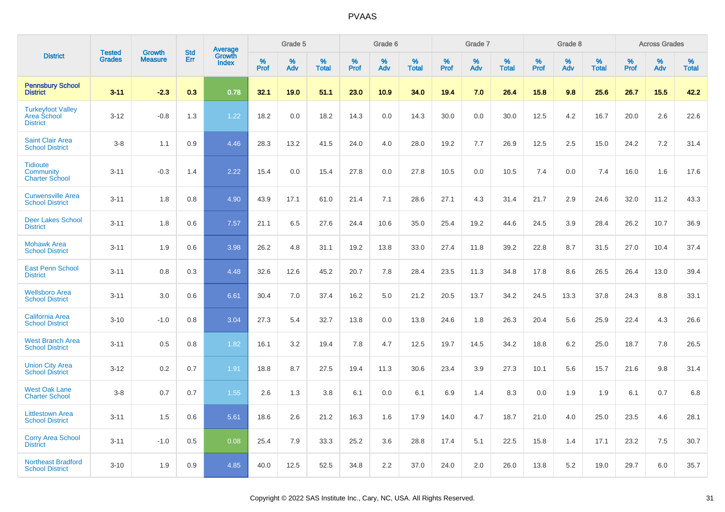|                                                            |                                |                                 | <b>Std</b> |                                          |                     | Grade 5  |                   |                     | Grade 6  |                   |              | Grade 7  |                   |              | Grade 8  |                   |              | <b>Across Grades</b> |                   |
|------------------------------------------------------------|--------------------------------|---------------------------------|------------|------------------------------------------|---------------------|----------|-------------------|---------------------|----------|-------------------|--------------|----------|-------------------|--------------|----------|-------------------|--------------|----------------------|-------------------|
| <b>District</b>                                            | <b>Tested</b><br><b>Grades</b> | <b>Growth</b><br><b>Measure</b> | Err        | <b>Average</b><br>Growth<br><b>Index</b> | $\%$<br><b>Prof</b> | %<br>Adv | %<br><b>Total</b> | $\%$<br><b>Prof</b> | %<br>Adv | %<br><b>Total</b> | $\%$<br>Prof | %<br>Adv | %<br><b>Total</b> | $\%$<br>Prof | %<br>Adv | %<br><b>Total</b> | $\%$<br>Prof | %<br>Adv             | %<br><b>Total</b> |
| <b>Pennsbury School</b><br><b>District</b>                 | $3 - 11$                       | $-2.3$                          | 0.3        | 0.78                                     | 32.1                | 19.0     | 51.1              | 23.0                | 10.9     | 34.0              | 19.4         | 7.0      | 26.4              | 15.8         | 9.8      | 25.6              | 26.7         | 15.5                 | 42.2              |
| <b>Turkeyfoot Valley</b><br>Area School<br><b>District</b> | $3 - 12$                       | $-0.8$                          | 1.3        | 1.22                                     | 18.2                | 0.0      | 18.2              | 14.3                | 0.0      | 14.3              | 30.0         | 0.0      | 30.0              | 12.5         | 4.2      | 16.7              | 20.0         | 2.6                  | 22.6              |
| <b>Saint Clair Area</b><br><b>School District</b>          | $3-8$                          | 1.1                             | 0.9        | 4.46                                     | 28.3                | 13.2     | 41.5              | 24.0                | 4.0      | 28.0              | 19.2         | 7.7      | 26.9              | 12.5         | 2.5      | 15.0              | 24.2         | 7.2                  | 31.4              |
| <b>Tidioute</b><br>Community<br><b>Charter School</b>      | $3 - 11$                       | $-0.3$                          | 1.4        | 2.22                                     | 15.4                | 0.0      | 15.4              | 27.8                | 0.0      | 27.8              | 10.5         | 0.0      | 10.5              | 7.4          | 0.0      | 7.4               | 16.0         | 1.6                  | 17.6              |
| <b>Curwensville Area</b><br><b>School District</b>         | $3 - 11$                       | 1.8                             | 0.8        | 4.90                                     | 43.9                | 17.1     | 61.0              | 21.4                | 7.1      | 28.6              | 27.1         | 4.3      | 31.4              | 21.7         | 2.9      | 24.6              | 32.0         | 11.2                 | 43.3              |
| <b>Deer Lakes School</b><br><b>District</b>                | $3 - 11$                       | 1.8                             | 0.6        | 7.57                                     | 21.1                | 6.5      | 27.6              | 24.4                | 10.6     | 35.0              | 25.4         | 19.2     | 44.6              | 24.5         | 3.9      | 28.4              | 26.2         | 10.7                 | 36.9              |
| <b>Mohawk Area</b><br><b>School District</b>               | $3 - 11$                       | 1.9                             | 0.6        | 3.98                                     | 26.2                | 4.8      | 31.1              | 19.2                | 13.8     | 33.0              | 27.4         | 11.8     | 39.2              | 22.8         | 8.7      | 31.5              | 27.0         | 10.4                 | 37.4              |
| <b>East Penn School</b><br><b>District</b>                 | $3 - 11$                       | 0.8                             | 0.3        | 4.48                                     | 32.6                | 12.6     | 45.2              | 20.7                | 7.8      | 28.4              | 23.5         | 11.3     | 34.8              | 17.8         | 8.6      | 26.5              | 26.4         | 13.0                 | 39.4              |
| <b>Wellsboro Area</b><br><b>School District</b>            | $3 - 11$                       | 3.0                             | 0.6        | 6.61                                     | 30.4                | 7.0      | 37.4              | 16.2                | 5.0      | 21.2              | 20.5         | 13.7     | 34.2              | 24.5         | 13.3     | 37.8              | 24.3         | 8.8                  | 33.1              |
| <b>California Area</b><br><b>School District</b>           | $3 - 10$                       | $-1.0$                          | 0.8        | 3.04                                     | 27.3                | 5.4      | 32.7              | 13.8                | 0.0      | 13.8              | 24.6         | 1.8      | 26.3              | 20.4         | 5.6      | 25.9              | 22.4         | 4.3                  | 26.6              |
| <b>West Branch Area</b><br><b>School District</b>          | $3 - 11$                       | 0.5                             | 0.8        | 1.82                                     | 16.1                | 3.2      | 19.4              | 7.8                 | 4.7      | 12.5              | 19.7         | 14.5     | 34.2              | 18.8         | 6.2      | 25.0              | 18.7         | 7.8                  | 26.5              |
| <b>Union City Area</b><br><b>School District</b>           | $3 - 12$                       | 0.2                             | 0.7        | 1.91                                     | 18.8                | 8.7      | 27.5              | 19.4                | 11.3     | 30.6              | 23.4         | 3.9      | 27.3              | 10.1         | 5.6      | 15.7              | 21.6         | 9.8                  | 31.4              |
| <b>West Oak Lane</b><br><b>Charter School</b>              | $3-8$                          | 0.7                             | 0.7        | 1.55                                     | 2.6                 | 1.3      | 3.8               | 6.1                 | 0.0      | 6.1               | 6.9          | 1.4      | 8.3               | 0.0          | 1.9      | 1.9               | 6.1          | 0.7                  | 6.8               |
| <b>Littlestown Area</b><br><b>School District</b>          | $3 - 11$                       | 1.5                             | 0.6        | 5.61                                     | 18.6                | 2.6      | 21.2              | 16.3                | 1.6      | 17.9              | 14.0         | 4.7      | 18.7              | 21.0         | 4.0      | 25.0              | 23.5         | 4.6                  | 28.1              |
| <b>Corry Area School</b><br><b>District</b>                | $3 - 11$                       | $-1.0$                          | 0.5        | 0.08                                     | 25.4                | 7.9      | 33.3              | 25.2                | 3.6      | 28.8              | 17.4         | 5.1      | 22.5              | 15.8         | 1.4      | 17.1              | 23.2         | 7.5                  | 30.7              |
| <b>Northeast Bradford</b><br><b>School District</b>        | $3 - 10$                       | 1.9                             | 0.9        | 4.85                                     | 40.0                | 12.5     | 52.5              | 34.8                | 2.2      | 37.0              | 24.0         | 2.0      | 26.0              | 13.8         | 5.2      | 19.0              | 29.7         | 6.0                  | 35.7              |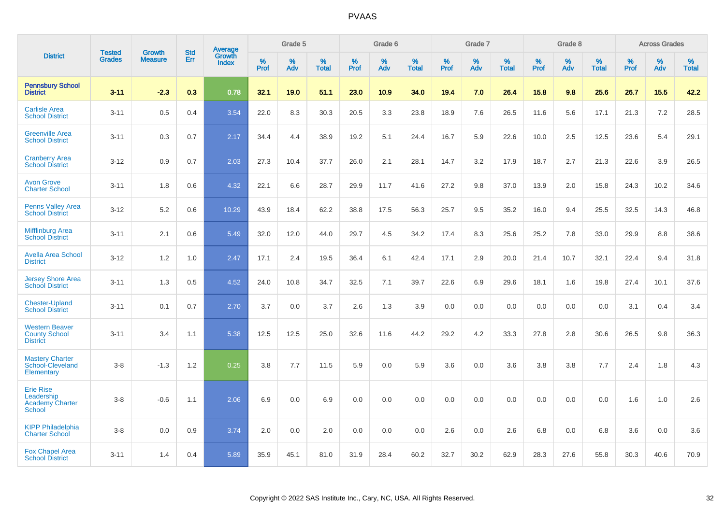|                                                                           | <b>Tested</b> | <b>Growth</b>  | <b>Std</b> | <b>Average</b><br>Growth |                     | Grade 5  |                   |                  | Grade 6  |                   |                  | Grade 7  |                   |           | Grade 8  |                   |                  | <b>Across Grades</b> |                   |
|---------------------------------------------------------------------------|---------------|----------------|------------|--------------------------|---------------------|----------|-------------------|------------------|----------|-------------------|------------------|----------|-------------------|-----------|----------|-------------------|------------------|----------------------|-------------------|
| <b>District</b>                                                           | <b>Grades</b> | <b>Measure</b> | Err        | <b>Index</b>             | $\%$<br><b>Prof</b> | %<br>Adv | %<br><b>Total</b> | %<br><b>Prof</b> | %<br>Adv | %<br><b>Total</b> | %<br><b>Prof</b> | %<br>Adv | %<br><b>Total</b> | %<br>Prof | %<br>Adv | %<br><b>Total</b> | %<br><b>Prof</b> | %<br>Adv             | %<br><b>Total</b> |
| <b>Pennsbury School</b><br><b>District</b>                                | $3 - 11$      | $-2.3$         | 0.3        | 0.78                     | 32.1                | 19.0     | 51.1              | 23.0             | 10.9     | 34.0              | 19.4             | 7.0      | 26.4              | 15.8      | 9.8      | 25.6              | 26.7             | 15.5                 | 42.2              |
| <b>Carlisle Area</b><br><b>School District</b>                            | $3 - 11$      | 0.5            | 0.4        | 3.54                     | 22.0                | 8.3      | 30.3              | 20.5             | 3.3      | 23.8              | 18.9             | 7.6      | 26.5              | 11.6      | 5.6      | 17.1              | 21.3             | 7.2                  | 28.5              |
| <b>Greenville Area</b><br><b>School District</b>                          | $3 - 11$      | 0.3            | 0.7        | 2.17                     | 34.4                | 4.4      | 38.9              | 19.2             | 5.1      | 24.4              | 16.7             | 5.9      | 22.6              | 10.0      | 2.5      | 12.5              | 23.6             | 5.4                  | 29.1              |
| <b>Cranberry Area</b><br><b>School District</b>                           | $3 - 12$      | 0.9            | 0.7        | 2.03                     | 27.3                | 10.4     | 37.7              | 26.0             | 2.1      | 28.1              | 14.7             | 3.2      | 17.9              | 18.7      | 2.7      | 21.3              | 22.6             | 3.9                  | 26.5              |
| <b>Avon Grove</b><br><b>Charter School</b>                                | $3 - 11$      | 1.8            | 0.6        | 4.32                     | 22.1                | 6.6      | 28.7              | 29.9             | 11.7     | 41.6              | 27.2             | 9.8      | 37.0              | 13.9      | 2.0      | 15.8              | 24.3             | 10.2                 | 34.6              |
| <b>Penns Valley Area</b><br><b>School District</b>                        | $3-12$        | 5.2            | 0.6        | 10.29                    | 43.9                | 18.4     | 62.2              | 38.8             | 17.5     | 56.3              | 25.7             | 9.5      | 35.2              | 16.0      | 9.4      | 25.5              | 32.5             | 14.3                 | 46.8              |
| <b>Mifflinburg Area</b><br><b>School District</b>                         | $3 - 11$      | 2.1            | 0.6        | 5.49                     | 32.0                | 12.0     | 44.0              | 29.7             | 4.5      | 34.2              | 17.4             | 8.3      | 25.6              | 25.2      | 7.8      | 33.0              | 29.9             | 8.8                  | 38.6              |
| <b>Avella Area School</b><br><b>District</b>                              | $3 - 12$      | 1.2            | 1.0        | 2.47                     | 17.1                | 2.4      | 19.5              | 36.4             | 6.1      | 42.4              | 17.1             | 2.9      | 20.0              | 21.4      | 10.7     | 32.1              | 22.4             | 9.4                  | 31.8              |
| <b>Jersey Shore Area</b><br><b>School District</b>                        | $3 - 11$      | 1.3            | 0.5        | 4.52                     | 24.0                | 10.8     | 34.7              | 32.5             | 7.1      | 39.7              | 22.6             | 6.9      | 29.6              | 18.1      | 1.6      | 19.8              | 27.4             | 10.1                 | 37.6              |
| <b>Chester-Upland</b><br><b>School District</b>                           | $3 - 11$      | 0.1            | 0.7        | 2.70                     | 3.7                 | 0.0      | 3.7               | 2.6              | 1.3      | 3.9               | 0.0              | 0.0      | 0.0               | 0.0       | 0.0      | 0.0               | 3.1              | 0.4                  | 3.4               |
| <b>Western Beaver</b><br><b>County School</b><br><b>District</b>          | $3 - 11$      | 3.4            | 1.1        | 5.38                     | 12.5                | 12.5     | 25.0              | 32.6             | 11.6     | 44.2              | 29.2             | 4.2      | 33.3              | 27.8      | 2.8      | 30.6              | 26.5             | 9.8                  | 36.3              |
| <b>Mastery Charter</b><br>School-Cleveland<br>Elementary                  | $3-8$         | $-1.3$         | 1.2        | 0.25                     | 3.8                 | 7.7      | 11.5              | 5.9              | 0.0      | 5.9               | 3.6              | 0.0      | 3.6               | 3.8       | 3.8      | 7.7               | 2.4              | 1.8                  | 4.3               |
| <b>Erie Rise</b><br>Leadership<br><b>Academy Charter</b><br><b>School</b> | $3-8$         | $-0.6$         | 1.1        | 2.06                     | 6.9                 | 0.0      | 6.9               | 0.0              | 0.0      | 0.0               | 0.0              | 0.0      | 0.0               | 0.0       | 0.0      | 0.0               | 1.6              | 1.0                  | 2.6               |
| <b>KIPP Philadelphia</b><br><b>Charter School</b>                         | $3 - 8$       | 0.0            | 0.9        | 3.74                     | 2.0                 | 0.0      | 2.0               | 0.0              | 0.0      | 0.0               | 2.6              | 0.0      | 2.6               | 6.8       | 0.0      | 6.8               | 3.6              | 0.0                  | 3.6               |
| <b>Fox Chapel Area</b><br><b>School District</b>                          | $3 - 11$      | 1.4            | 0.4        | 5.89                     | 35.9                | 45.1     | 81.0              | 31.9             | 28.4     | 60.2              | 32.7             | 30.2     | 62.9              | 28.3      | 27.6     | 55.8              | 30.3             | 40.6                 | 70.9              |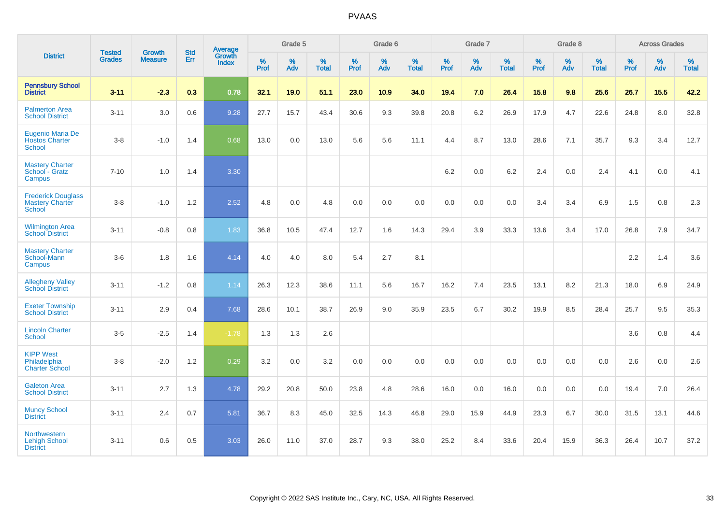|                                                                   | <b>Tested</b> | <b>Growth</b>  | <b>Std</b> | Average                |              | Grade 5  |                   |           | Grade 6  |                   |           | Grade 7  |                   |           | Grade 8  |                   |           | <b>Across Grades</b> |                   |
|-------------------------------------------------------------------|---------------|----------------|------------|------------------------|--------------|----------|-------------------|-----------|----------|-------------------|-----------|----------|-------------------|-----------|----------|-------------------|-----------|----------------------|-------------------|
| <b>District</b>                                                   | <b>Grades</b> | <b>Measure</b> | Err        | Growth<br><b>Index</b> | $\%$<br>Prof | %<br>Adv | %<br><b>Total</b> | %<br>Prof | %<br>Adv | %<br><b>Total</b> | %<br>Prof | %<br>Adv | %<br><b>Total</b> | %<br>Prof | %<br>Adv | %<br><b>Total</b> | %<br>Prof | %<br>Adv             | %<br><b>Total</b> |
| <b>Pennsbury School</b><br><b>District</b>                        | $3 - 11$      | $-2.3$         | 0.3        | 0.78                   | 32.1         | 19.0     | 51.1              | 23.0      | 10.9     | 34.0              | 19.4      | 7.0      | 26.4              | 15.8      | 9.8      | 25.6              | 26.7      | 15.5                 | 42.2              |
| <b>Palmerton Area</b><br><b>School District</b>                   | $3 - 11$      | 3.0            | 0.6        | 9.28                   | 27.7         | 15.7     | 43.4              | 30.6      | 9.3      | 39.8              | 20.8      | 6.2      | 26.9              | 17.9      | 4.7      | 22.6              | 24.8      | 8.0                  | 32.8              |
| <b>Eugenio Maria De</b><br><b>Hostos Charter</b><br><b>School</b> | $3-8$         | $-1.0$         | 1.4        | 0.68                   | 13.0         | 0.0      | 13.0              | 5.6       | 5.6      | 11.1              | 4.4       | 8.7      | 13.0              | 28.6      | 7.1      | 35.7              | 9.3       | 3.4                  | 12.7              |
| <b>Mastery Charter</b><br>School - Gratz<br>Campus                | $7 - 10$      | 1.0            | 1.4        | 3.30                   |              |          |                   |           |          |                   | 6.2       | 0.0      | 6.2               | 2.4       | 0.0      | 2.4               | 4.1       | $0.0\,$              | 4.1               |
| <b>Frederick Douglass</b><br>Mastery Charter<br><b>School</b>     | $3-8$         | $-1.0$         | 1.2        | 2.52                   | 4.8          | 0.0      | 4.8               | 0.0       | 0.0      | 0.0               | 0.0       | $0.0\,$  | 0.0               | 3.4       | 3.4      | 6.9               | 1.5       | $0.8\,$              | 2.3               |
| <b>Wilmington Area</b><br><b>School District</b>                  | $3 - 11$      | $-0.8$         | 0.8        | 1.83                   | 36.8         | 10.5     | 47.4              | 12.7      | 1.6      | 14.3              | 29.4      | 3.9      | 33.3              | 13.6      | 3.4      | 17.0              | 26.8      | 7.9                  | 34.7              |
| <b>Mastery Charter</b><br>School-Mann<br>Campus                   | $3-6$         | 1.8            | 1.6        | 4.14                   | 4.0          | 4.0      | 8.0               | 5.4       | 2.7      | 8.1               |           |          |                   |           |          |                   | 2.2       | 1.4                  | 3.6               |
| <b>Allegheny Valley</b><br><b>School District</b>                 | $3 - 11$      | $-1.2$         | 0.8        | 1.14                   | 26.3         | 12.3     | 38.6              | 11.1      | 5.6      | 16.7              | 16.2      | 7.4      | 23.5              | 13.1      | 8.2      | 21.3              | 18.0      | 6.9                  | 24.9              |
| <b>Exeter Township</b><br><b>School District</b>                  | $3 - 11$      | 2.9            | 0.4        | 7.68                   | 28.6         | 10.1     | 38.7              | 26.9      | 9.0      | 35.9              | 23.5      | 6.7      | 30.2              | 19.9      | 8.5      | 28.4              | 25.7      | 9.5                  | 35.3              |
| <b>Lincoln Charter</b><br><b>School</b>                           | $3-5$         | $-2.5$         | 1.4        | $-1.78$                | 1.3          | 1.3      | 2.6               |           |          |                   |           |          |                   |           |          |                   | 3.6       | 0.8                  | 4.4               |
| <b>KIPP West</b><br>Philadelphia<br><b>Charter School</b>         | $3-8$         | $-2.0$         | 1.2        | 0.29                   | 3.2          | 0.0      | 3.2               | $0.0\,$   | 0.0      | 0.0               | $0.0\,$   | 0.0      | 0.0               | $0.0\,$   | 0.0      | 0.0               | 2.6       | 0.0                  | 2.6               |
| <b>Galeton Area</b><br><b>School District</b>                     | $3 - 11$      | 2.7            | 1.3        | 4.78                   | 29.2         | 20.8     | 50.0              | 23.8      | 4.8      | 28.6              | 16.0      | 0.0      | 16.0              | 0.0       | 0.0      | 0.0               | 19.4      | 7.0                  | 26.4              |
| <b>Muncy School</b><br><b>District</b>                            | $3 - 11$      | 2.4            | 0.7        | 5.81                   | 36.7         | 8.3      | 45.0              | 32.5      | 14.3     | 46.8              | 29.0      | 15.9     | 44.9              | 23.3      | 6.7      | 30.0              | 31.5      | 13.1                 | 44.6              |
| <b>Northwestern</b><br><b>Lehigh School</b><br><b>District</b>    | $3 - 11$      | 0.6            | 0.5        | 3.03                   | 26.0         | 11.0     | 37.0              | 28.7      | 9.3      | 38.0              | 25.2      | 8.4      | 33.6              | 20.4      | 15.9     | 36.3              | 26.4      | 10.7                 | 37.2              |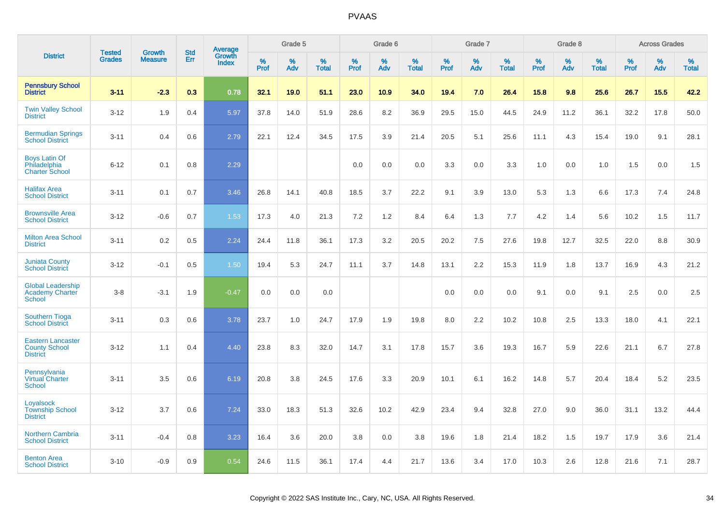|                                                                     |                                | <b>Growth</b>  | <b>Std</b> |                                          |              | Grade 5  |                   |           | Grade 6  |                   |           | Grade 7  |                   |           | Grade 8  |                   |              | <b>Across Grades</b> |                   |
|---------------------------------------------------------------------|--------------------------------|----------------|------------|------------------------------------------|--------------|----------|-------------------|-----------|----------|-------------------|-----------|----------|-------------------|-----------|----------|-------------------|--------------|----------------------|-------------------|
| <b>District</b>                                                     | <b>Tested</b><br><b>Grades</b> | <b>Measure</b> | Err        | <b>Average</b><br>Growth<br><b>Index</b> | $\%$<br>Prof | %<br>Adv | %<br><b>Total</b> | %<br>Prof | %<br>Adv | %<br><b>Total</b> | %<br>Prof | %<br>Adv | %<br><b>Total</b> | %<br>Prof | %<br>Adv | %<br><b>Total</b> | $\%$<br>Prof | %<br>Adv             | %<br><b>Total</b> |
| <b>Pennsbury School</b><br><b>District</b>                          | $3 - 11$                       | $-2.3$         | 0.3        | 0.78                                     | 32.1         | 19.0     | 51.1              | 23.0      | 10.9     | 34.0              | 19.4      | 7.0      | 26.4              | $15.8$    | 9.8      | 25.6              | 26.7         | 15.5                 | 42.2              |
| <b>Twin Valley School</b><br><b>District</b>                        | $3 - 12$                       | 1.9            | 0.4        | 5.97                                     | 37.8         | 14.0     | 51.9              | 28.6      | 8.2      | 36.9              | 29.5      | 15.0     | 44.5              | 24.9      | 11.2     | 36.1              | 32.2         | 17.8                 | 50.0              |
| <b>Bermudian Springs</b><br><b>School District</b>                  | $3 - 11$                       | 0.4            | 0.6        | 2.79                                     | 22.1         | 12.4     | 34.5              | 17.5      | 3.9      | 21.4              | 20.5      | 5.1      | 25.6              | 11.1      | 4.3      | 15.4              | 19.0         | 9.1                  | 28.1              |
| <b>Boys Latin Of</b><br>Philadelphia<br><b>Charter School</b>       | $6 - 12$                       | 0.1            | 0.8        | 2.29                                     |              |          |                   | 0.0       | 0.0      | 0.0               | 3.3       | 0.0      | 3.3               | 1.0       | 0.0      | 1.0               | 1.5          | 0.0                  | 1.5               |
| <b>Halifax Area</b><br><b>School District</b>                       | $3 - 11$                       | 0.1            | 0.7        | 3.46                                     | 26.8         | 14.1     | 40.8              | 18.5      | 3.7      | 22.2              | 9.1       | 3.9      | 13.0              | 5.3       | 1.3      | 6.6               | 17.3         | 7.4                  | 24.8              |
| <b>Brownsville Area</b><br><b>School District</b>                   | $3 - 12$                       | $-0.6$         | 0.7        | 1.53                                     | 17.3         | 4.0      | 21.3              | 7.2       | $1.2$    | 8.4               | 6.4       | 1.3      | 7.7               | 4.2       | 1.4      | 5.6               | 10.2         | 1.5                  | 11.7              |
| <b>Milton Area School</b><br><b>District</b>                        | $3 - 11$                       | 0.2            | 0.5        | 2.24                                     | 24.4         | 11.8     | 36.1              | 17.3      | 3.2      | 20.5              | 20.2      | 7.5      | 27.6              | 19.8      | 12.7     | 32.5              | 22.0         | 8.8                  | 30.9              |
| <b>Juniata County</b><br><b>School District</b>                     | $3 - 12$                       | $-0.1$         | 0.5        | 1.50                                     | 19.4         | 5.3      | 24.7              | 11.1      | 3.7      | 14.8              | 13.1      | 2.2      | 15.3              | 11.9      | 1.8      | 13.7              | 16.9         | 4.3                  | 21.2              |
| <b>Global Leadership</b><br><b>Academy Charter</b><br><b>School</b> | $3-8$                          | $-3.1$         | 1.9        | $-0.47$                                  | 0.0          | 0.0      | 0.0               |           |          |                   | 0.0       | 0.0      | 0.0               | 9.1       | 0.0      | 9.1               | 2.5          | 0.0                  | 2.5               |
| <b>Southern Tioga</b><br><b>School District</b>                     | $3 - 11$                       | 0.3            | 0.6        | 3.78                                     | 23.7         | 1.0      | 24.7              | 17.9      | 1.9      | 19.8              | 8.0       | 2.2      | 10.2              | 10.8      | 2.5      | 13.3              | 18.0         | 4.1                  | 22.1              |
| <b>Eastern Lancaster</b><br><b>County School</b><br><b>District</b> | $3 - 12$                       | 1.1            | 0.4        | 4.40                                     | 23.8         | 8.3      | 32.0              | 14.7      | 3.1      | 17.8              | 15.7      | 3.6      | 19.3              | 16.7      | 5.9      | 22.6              | 21.1         | 6.7                  | 27.8              |
| Pennsylvania<br><b>Virtual Charter</b><br>School                    | $3 - 11$                       | 3.5            | 0.6        | 6.19                                     | 20.8         | 3.8      | 24.5              | 17.6      | 3.3      | 20.9              | 10.1      | 6.1      | 16.2              | 14.8      | 5.7      | 20.4              | 18.4         | 5.2                  | 23.5              |
| Loyalsock<br><b>Township School</b><br><b>District</b>              | $3 - 12$                       | 3.7            | 0.6        | 7.24                                     | 33.0         | 18.3     | 51.3              | 32.6      | 10.2     | 42.9              | 23.4      | 9.4      | 32.8              | 27.0      | 9.0      | 36.0              | 31.1         | 13.2                 | 44.4              |
| <b>Northern Cambria</b><br><b>School District</b>                   | $3 - 11$                       | $-0.4$         | 0.8        | 3.23                                     | 16.4         | 3.6      | 20.0              | 3.8       | 0.0      | 3.8               | 19.6      | 1.8      | 21.4              | 18.2      | 1.5      | 19.7              | 17.9         | 3.6                  | 21.4              |
| <b>Benton Area</b><br><b>School District</b>                        | $3 - 10$                       | $-0.9$         | 0.9        | 0.54                                     | 24.6         | 11.5     | 36.1              | 17.4      | 4.4      | 21.7              | 13.6      | 3.4      | 17.0              | 10.3      | 2.6      | 12.8              | 21.6         | 7.1                  | 28.7              |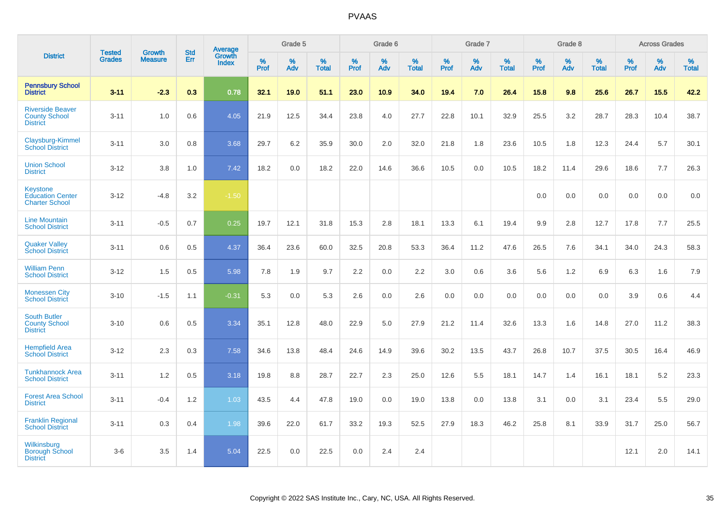|                                                                     |                                |                                 | <b>Std</b> | <b>Average</b>         |              | Grade 5  |                   |                  | Grade 6  |                   |           | Grade 7  |                   |           | Grade 8  |                   |                     | <b>Across Grades</b> |                   |
|---------------------------------------------------------------------|--------------------------------|---------------------------------|------------|------------------------|--------------|----------|-------------------|------------------|----------|-------------------|-----------|----------|-------------------|-----------|----------|-------------------|---------------------|----------------------|-------------------|
| <b>District</b>                                                     | <b>Tested</b><br><b>Grades</b> | <b>Growth</b><br><b>Measure</b> | Err        | Growth<br><b>Index</b> | $\%$<br>Prof | %<br>Adv | %<br><b>Total</b> | %<br><b>Prof</b> | %<br>Adv | %<br><b>Total</b> | %<br>Prof | %<br>Adv | %<br><b>Total</b> | %<br>Prof | %<br>Adv | %<br><b>Total</b> | $\%$<br><b>Prof</b> | %<br>Adv             | %<br><b>Total</b> |
| <b>Pennsbury School</b><br><b>District</b>                          | $3 - 11$                       | $-2.3$                          | 0.3        | 0.78                   | 32.1         | 19.0     | 51.1              | 23.0             | 10.9     | 34.0              | 19.4      | 7.0      | 26.4              | 15.8      | 9.8      | 25.6              | 26.7                | 15.5                 | 42.2              |
| <b>Riverside Beaver</b><br><b>County School</b><br><b>District</b>  | $3 - 11$                       | 1.0                             | 0.6        | 4.05                   | 21.9         | 12.5     | 34.4              | 23.8             | 4.0      | 27.7              | 22.8      | 10.1     | 32.9              | 25.5      | 3.2      | 28.7              | 28.3                | 10.4                 | 38.7              |
| Claysburg-Kimmel<br><b>School District</b>                          | $3 - 11$                       | 3.0                             | 0.8        | 3.68                   | 29.7         | 6.2      | 35.9              | 30.0             | 2.0      | 32.0              | 21.8      | 1.8      | 23.6              | 10.5      | 1.8      | 12.3              | 24.4                | 5.7                  | 30.1              |
| <b>Union School</b><br><b>District</b>                              | $3 - 12$                       | 3.8                             | 1.0        | 7.42                   | 18.2         | 0.0      | 18.2              | 22.0             | 14.6     | 36.6              | 10.5      | 0.0      | 10.5              | 18.2      | 11.4     | 29.6              | 18.6                | 7.7                  | 26.3              |
| <b>Keystone</b><br><b>Education Center</b><br><b>Charter School</b> | $3 - 12$                       | $-4.8$                          | 3.2        | $-1.50$                |              |          |                   |                  |          |                   |           |          |                   | 0.0       | 0.0      | 0.0               | 0.0                 | 0.0                  | 0.0               |
| <b>Line Mountain</b><br><b>School District</b>                      | $3 - 11$                       | $-0.5$                          | 0.7        | 0.25                   | 19.7         | 12.1     | 31.8              | 15.3             | 2.8      | 18.1              | 13.3      | 6.1      | 19.4              | 9.9       | 2.8      | 12.7              | 17.8                | 7.7                  | 25.5              |
| <b>Quaker Valley</b><br><b>School District</b>                      | $3 - 11$                       | 0.6                             | 0.5        | 4.37                   | 36.4         | 23.6     | 60.0              | 32.5             | 20.8     | 53.3              | 36.4      | 11.2     | 47.6              | 26.5      | 7.6      | 34.1              | 34.0                | 24.3                 | 58.3              |
| <b>William Penn</b><br><b>School District</b>                       | $3 - 12$                       | 1.5                             | 0.5        | 5.98                   | 7.8          | 1.9      | 9.7               | 2.2              | 0.0      | 2.2               | 3.0       | 0.6      | 3.6               | 5.6       | 1.2      | 6.9               | 6.3                 | 1.6                  | 7.9               |
| <b>Monessen City</b><br><b>School District</b>                      | $3 - 10$                       | $-1.5$                          | 1.1        | $-0.31$                | 5.3          | 0.0      | 5.3               | 2.6              | 0.0      | 2.6               | 0.0       | 0.0      | 0.0               | 0.0       | 0.0      | 0.0               | 3.9                 | 0.6                  | 4.4               |
| <b>South Butler</b><br><b>County School</b><br><b>District</b>      | $3 - 10$                       | 0.6                             | 0.5        | 3.34                   | 35.1         | 12.8     | 48.0              | 22.9             | 5.0      | 27.9              | 21.2      | 11.4     | 32.6              | 13.3      | 1.6      | 14.8              | 27.0                | 11.2                 | 38.3              |
| <b>Hempfield Area</b><br><b>School District</b>                     | $3 - 12$                       | 2.3                             | 0.3        | 7.58                   | 34.6         | 13.8     | 48.4              | 24.6             | 14.9     | 39.6              | 30.2      | 13.5     | 43.7              | 26.8      | 10.7     | 37.5              | 30.5                | 16.4                 | 46.9              |
| <b>Tunkhannock Area</b><br><b>School District</b>                   | $3 - 11$                       | 1.2                             | 0.5        | 3.18                   | 19.8         | 8.8      | 28.7              | 22.7             | 2.3      | 25.0              | 12.6      | 5.5      | 18.1              | 14.7      | 1.4      | 16.1              | 18.1                | 5.2                  | 23.3              |
| <b>Forest Area School</b><br><b>District</b>                        | $3 - 11$                       | $-0.4$                          | 1.2        | 1.03                   | 43.5         | 4.4      | 47.8              | 19.0             | 0.0      | 19.0              | 13.8      | 0.0      | 13.8              | 3.1       | 0.0      | 3.1               | 23.4                | 5.5                  | 29.0              |
| <b>Franklin Regional</b><br><b>School District</b>                  | $3 - 11$                       | 0.3                             | 0.4        | 1.98                   | 39.6         | 22.0     | 61.7              | 33.2             | 19.3     | 52.5              | 27.9      | 18.3     | 46.2              | 25.8      | 8.1      | 33.9              | 31.7                | 25.0                 | 56.7              |
| Wilkinsburg<br><b>Borough School</b><br><b>District</b>             | $3-6$                          | 3.5                             | 1.4        | 5.04                   | 22.5         | 0.0      | 22.5              | 0.0              | 2.4      | 2.4               |           |          |                   |           |          |                   | 12.1                | 2.0                  | 14.1              |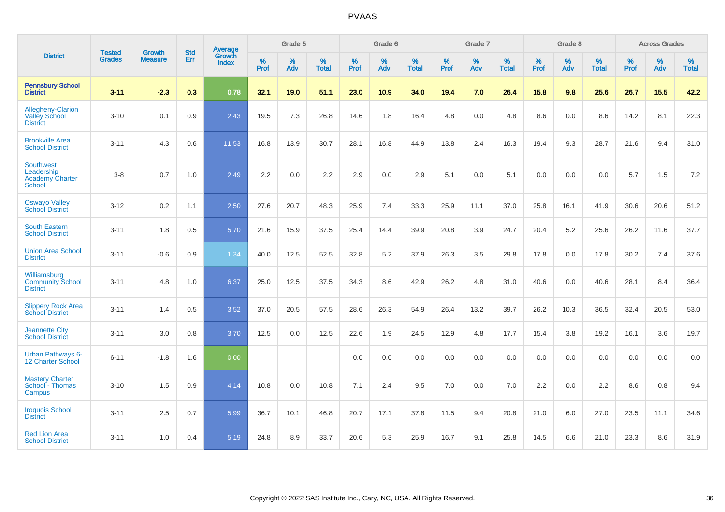|                                                                           | <b>Tested</b> | <b>Growth</b>  | <b>Std</b> | Average                |                     | Grade 5     |                   |                     | Grade 6  |                   |                     | Grade 7  |                   |              | Grade 8  |                   |                     | <b>Across Grades</b> |                   |
|---------------------------------------------------------------------------|---------------|----------------|------------|------------------------|---------------------|-------------|-------------------|---------------------|----------|-------------------|---------------------|----------|-------------------|--------------|----------|-------------------|---------------------|----------------------|-------------------|
| <b>District</b>                                                           | <b>Grades</b> | <b>Measure</b> | Err        | Growth<br><b>Index</b> | $\%$<br><b>Prof</b> | $\%$<br>Adv | %<br><b>Total</b> | $\%$<br><b>Prof</b> | %<br>Adv | %<br><b>Total</b> | $\%$<br><b>Prof</b> | %<br>Adv | %<br><b>Total</b> | $\%$<br>Prof | %<br>Adv | %<br><b>Total</b> | $\%$<br><b>Prof</b> | %<br>Adv             | %<br><b>Total</b> |
| <b>Pennsbury School</b><br><b>District</b>                                | $3 - 11$      | $-2.3$         | 0.3        | 0.78                   | 32.1                | 19.0        | 51.1              | 23.0                | 10.9     | 34.0              | 19.4                | 7.0      | 26.4              | 15.8         | 9.8      | 25.6              | 26.7                | 15.5                 | 42.2              |
| <b>Allegheny-Clarion</b><br><b>Valley School</b><br><b>District</b>       | $3 - 10$      | 0.1            | 0.9        | 2.43                   | 19.5                | 7.3         | 26.8              | 14.6                | 1.8      | 16.4              | 4.8                 | 0.0      | 4.8               | 8.6          | 0.0      | 8.6               | 14.2                | 8.1                  | 22.3              |
| <b>Brookville Area</b><br><b>School District</b>                          | $3 - 11$      | 4.3            | 0.6        | 11.53                  | 16.8                | 13.9        | 30.7              | 28.1                | 16.8     | 44.9              | 13.8                | 2.4      | 16.3              | 19.4         | 9.3      | 28.7              | 21.6                | 9.4                  | 31.0              |
| <b>Southwest</b><br>Leadership<br><b>Academy Charter</b><br><b>School</b> | $3-8$         | 0.7            | 1.0        | 2.49                   | 2.2                 | 0.0         | $2.2\,$           | 2.9                 | 0.0      | 2.9               | 5.1                 | 0.0      | 5.1               | 0.0          | 0.0      | 0.0               | 5.7                 | 1.5                  | $7.2\,$           |
| <b>Oswayo Valley</b><br><b>School District</b>                            | $3 - 12$      | 0.2            | 1.1        | 2.50                   | 27.6                | 20.7        | 48.3              | 25.9                | 7.4      | 33.3              | 25.9                | 11.1     | 37.0              | 25.8         | 16.1     | 41.9              | 30.6                | 20.6                 | 51.2              |
| <b>South Eastern</b><br><b>School District</b>                            | $3 - 11$      | 1.8            | 0.5        | 5.70                   | 21.6                | 15.9        | 37.5              | 25.4                | 14.4     | 39.9              | 20.8                | 3.9      | 24.7              | 20.4         | 5.2      | 25.6              | 26.2                | 11.6                 | 37.7              |
| <b>Union Area School</b><br><b>District</b>                               | $3 - 11$      | $-0.6$         | 0.9        | 1.34                   | 40.0                | 12.5        | 52.5              | 32.8                | 5.2      | 37.9              | 26.3                | 3.5      | 29.8              | 17.8         | 0.0      | 17.8              | 30.2                | 7.4                  | 37.6              |
| Williamsburg<br><b>Community School</b><br><b>District</b>                | $3 - 11$      | 4.8            | 1.0        | 6.37                   | 25.0                | 12.5        | 37.5              | 34.3                | 8.6      | 42.9              | 26.2                | 4.8      | 31.0              | 40.6         | 0.0      | 40.6              | 28.1                | 8.4                  | 36.4              |
| <b>Slippery Rock Area</b><br><b>School District</b>                       | $3 - 11$      | 1.4            | 0.5        | 3.52                   | 37.0                | 20.5        | 57.5              | 28.6                | 26.3     | 54.9              | 26.4                | 13.2     | 39.7              | 26.2         | 10.3     | 36.5              | 32.4                | 20.5                 | 53.0              |
| <b>Jeannette City</b><br><b>School District</b>                           | $3 - 11$      | 3.0            | 0.8        | 3.70                   | 12.5                | 0.0         | 12.5              | 22.6                | 1.9      | 24.5              | 12.9                | 4.8      | 17.7              | 15.4         | 3.8      | 19.2              | 16.1                | 3.6                  | 19.7              |
| Urban Pathways 6-<br>12 Charter School                                    | $6 - 11$      | $-1.8$         | 1.6        | 0.00                   |                     |             |                   | 0.0                 | $0.0\,$  | 0.0               | 0.0                 | $0.0\,$  | 0.0               | $0.0\,$      | $0.0\,$  | 0.0               | 0.0                 | $0.0\,$              | $0.0\,$           |
| <b>Mastery Charter</b><br>School - Thomas<br>Campus                       | $3 - 10$      | 1.5            | 0.9        | 4.14                   | 10.8                | 0.0         | 10.8              | 7.1                 | 2.4      | 9.5               | 7.0                 | 0.0      | 7.0               | 2.2          | 0.0      | 2.2               | 8.6                 | 0.8                  | 9.4               |
| <b>Iroquois School</b><br><b>District</b>                                 | $3 - 11$      | 2.5            | 0.7        | 5.99                   | 36.7                | 10.1        | 46.8              | 20.7                | 17.1     | 37.8              | 11.5                | 9.4      | 20.8              | 21.0         | 6.0      | 27.0              | 23.5                | 11.1                 | 34.6              |
| <b>Red Lion Area</b><br><b>School District</b>                            | $3 - 11$      | 1.0            | 0.4        | 5.19                   | 24.8                | 8.9         | 33.7              | 20.6                | 5.3      | 25.9              | 16.7                | 9.1      | 25.8              | 14.5         | 6.6      | 21.0              | 23.3                | 8.6                  | 31.9              |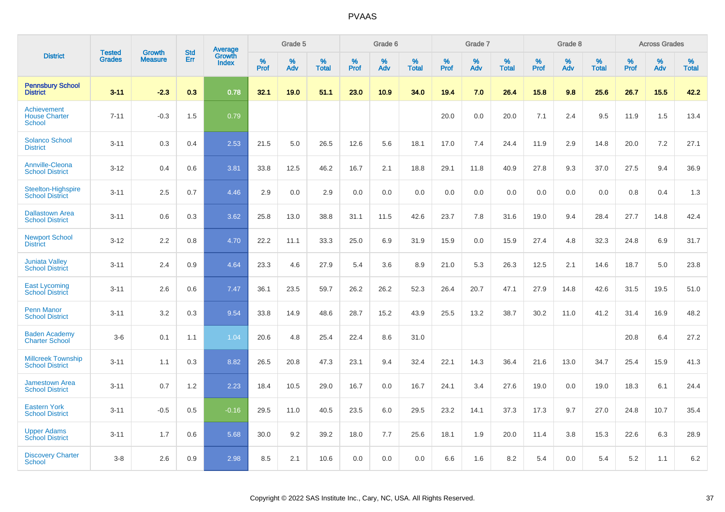|                                                      |                                |                                 | <b>Std</b> | Average                |           | Grade 5  |                      |           | Grade 6  |                   |           | Grade 7  |                      |           | Grade 8  |                   |           | <b>Across Grades</b> |                   |
|------------------------------------------------------|--------------------------------|---------------------------------|------------|------------------------|-----------|----------|----------------------|-----------|----------|-------------------|-----------|----------|----------------------|-----------|----------|-------------------|-----------|----------------------|-------------------|
| <b>District</b>                                      | <b>Tested</b><br><b>Grades</b> | <b>Growth</b><br><b>Measure</b> | Err        | Growth<br><b>Index</b> | %<br>Prof | %<br>Adv | $\%$<br><b>Total</b> | %<br>Prof | %<br>Adv | %<br><b>Total</b> | %<br>Prof | %<br>Adv | $\%$<br><b>Total</b> | %<br>Prof | %<br>Adv | %<br><b>Total</b> | %<br>Prof | %<br>Adv             | %<br><b>Total</b> |
| <b>Pennsbury School</b><br><b>District</b>           | $3 - 11$                       | $-2.3$                          | 0.3        | 0.78                   | 32.1      | 19.0     | 51.1                 | 23.0      | 10.9     | 34.0              | 19.4      | 7.0      | 26.4                 | 15.8      | 9.8      | 25.6              | 26.7      | 15.5                 | 42.2              |
| Achievement<br><b>House Charter</b><br><b>School</b> | $7 - 11$                       | $-0.3$                          | 1.5        | 0.79                   |           |          |                      |           |          |                   | 20.0      | 0.0      | 20.0                 | 7.1       | 2.4      | 9.5               | 11.9      | 1.5                  | 13.4              |
| <b>Solanco School</b><br><b>District</b>             | $3 - 11$                       | 0.3                             | 0.4        | 2.53                   | 21.5      | 5.0      | 26.5                 | 12.6      | 5.6      | 18.1              | 17.0      | 7.4      | 24.4                 | 11.9      | 2.9      | 14.8              | 20.0      | 7.2                  | 27.1              |
| <b>Annville-Cleona</b><br><b>School District</b>     | $3 - 12$                       | 0.4                             | 0.6        | 3.81                   | 33.8      | 12.5     | 46.2                 | 16.7      | 2.1      | 18.8              | 29.1      | 11.8     | 40.9                 | 27.8      | 9.3      | 37.0              | 27.5      | 9.4                  | 36.9              |
| <b>Steelton-Highspire</b><br><b>School District</b>  | $3 - 11$                       | 2.5                             | 0.7        | 4.46                   | 2.9       | 0.0      | 2.9                  | 0.0       | 0.0      | 0.0               | 0.0       | 0.0      | 0.0                  | 0.0       | 0.0      | 0.0               | 0.8       | 0.4                  | 1.3               |
| <b>Dallastown Area</b><br><b>School District</b>     | $3 - 11$                       | 0.6                             | 0.3        | 3.62                   | 25.8      | 13.0     | 38.8                 | 31.1      | 11.5     | 42.6              | 23.7      | 7.8      | 31.6                 | 19.0      | 9.4      | 28.4              | 27.7      | 14.8                 | 42.4              |
| <b>Newport School</b><br><b>District</b>             | $3 - 12$                       | 2.2                             | 0.8        | 4.70                   | 22.2      | 11.1     | 33.3                 | 25.0      | 6.9      | 31.9              | 15.9      | 0.0      | 15.9                 | 27.4      | 4.8      | 32.3              | 24.8      | 6.9                  | 31.7              |
| <b>Juniata Valley</b><br><b>School District</b>      | $3 - 11$                       | 2.4                             | 0.9        | 4.64                   | 23.3      | 4.6      | 27.9                 | 5.4       | 3.6      | 8.9               | 21.0      | 5.3      | 26.3                 | 12.5      | 2.1      | 14.6              | 18.7      | 5.0                  | 23.8              |
| <b>East Lycoming</b><br><b>School District</b>       | $3 - 11$                       | 2.6                             | 0.6        | 7.47                   | 36.1      | 23.5     | 59.7                 | 26.2      | 26.2     | 52.3              | 26.4      | 20.7     | 47.1                 | 27.9      | 14.8     | 42.6              | 31.5      | 19.5                 | 51.0              |
| <b>Penn Manor</b><br><b>School District</b>          | $3 - 11$                       | 3.2                             | 0.3        | 9.54                   | 33.8      | 14.9     | 48.6                 | 28.7      | 15.2     | 43.9              | 25.5      | 13.2     | 38.7                 | 30.2      | 11.0     | 41.2              | 31.4      | 16.9                 | 48.2              |
| <b>Baden Academy</b><br><b>Charter School</b>        | $3-6$                          | 0.1                             | 1.1        | 1.04                   | 20.6      | 4.8      | 25.4                 | 22.4      | 8.6      | 31.0              |           |          |                      |           |          |                   | 20.8      | 6.4                  | 27.2              |
| <b>Millcreek Township</b><br><b>School District</b>  | $3 - 11$                       | 1.1                             | 0.3        | 8.82                   | 26.5      | 20.8     | 47.3                 | 23.1      | 9.4      | 32.4              | 22.1      | 14.3     | 36.4                 | 21.6      | 13.0     | 34.7              | 25.4      | 15.9                 | 41.3              |
| <b>Jamestown Area</b><br><b>School District</b>      | $3 - 11$                       | 0.7                             | 1.2        | 2.23                   | 18.4      | 10.5     | 29.0                 | 16.7      | 0.0      | 16.7              | 24.1      | 3.4      | 27.6                 | 19.0      | 0.0      | 19.0              | 18.3      | 6.1                  | 24.4              |
| <b>Eastern York</b><br><b>School District</b>        | $3 - 11$                       | $-0.5$                          | 0.5        | $-0.16$                | 29.5      | 11.0     | 40.5                 | 23.5      | 6.0      | 29.5              | 23.2      | 14.1     | 37.3                 | 17.3      | 9.7      | 27.0              | 24.8      | 10.7                 | 35.4              |
| <b>Upper Adams</b><br><b>School District</b>         | $3 - 11$                       | 1.7                             | 0.6        | 5.68                   | 30.0      | 9.2      | 39.2                 | 18.0      | 7.7      | 25.6              | 18.1      | 1.9      | 20.0                 | 11.4      | 3.8      | 15.3              | 22.6      | 6.3                  | 28.9              |
| <b>Discovery Charter</b><br>School                   | $3 - 8$                        | 2.6                             | 0.9        | 2.98                   | 8.5       | 2.1      | 10.6                 | 0.0       | 0.0      | 0.0               | 6.6       | 1.6      | 8.2                  | 5.4       | $0.0\,$  | 5.4               | 5.2       | 1.1                  | 6.2               |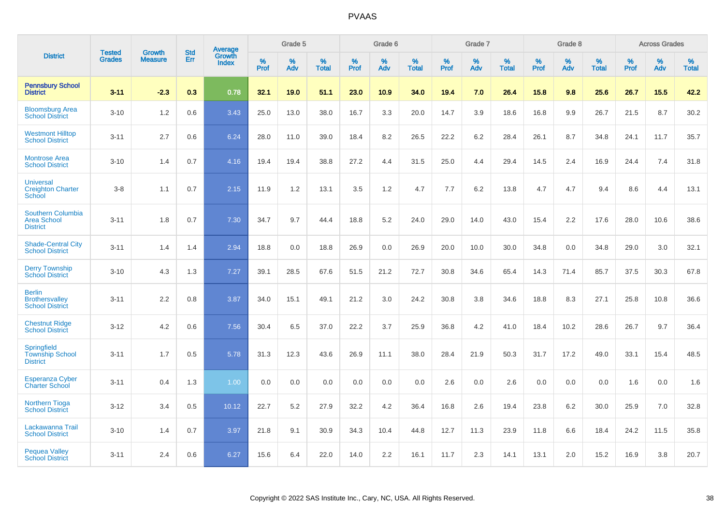|                                                                   |                                | <b>Growth</b>  | <b>Std</b> | <b>Average</b>         |              | Grade 5  |                   |           | Grade 6  |                   |              | Grade 7  |                   |              | Grade 8  |                   |              | <b>Across Grades</b> |                   |
|-------------------------------------------------------------------|--------------------------------|----------------|------------|------------------------|--------------|----------|-------------------|-----------|----------|-------------------|--------------|----------|-------------------|--------------|----------|-------------------|--------------|----------------------|-------------------|
| <b>District</b>                                                   | <b>Tested</b><br><b>Grades</b> | <b>Measure</b> | <b>Err</b> | Growth<br><b>Index</b> | $\%$<br>Prof | %<br>Adv | %<br><b>Total</b> | %<br>Prof | %<br>Adv | %<br><b>Total</b> | $\%$<br>Prof | %<br>Adv | %<br><b>Total</b> | $\%$<br>Prof | %<br>Adv | %<br><b>Total</b> | $\%$<br>Prof | %<br>Adv             | %<br><b>Total</b> |
| <b>Pennsbury School</b><br><b>District</b>                        | $3 - 11$                       | $-2.3$         | 0.3        | 0.78                   | 32.1         | 19.0     | 51.1              | 23.0      | 10.9     | 34.0              | 19.4         | 7.0      | 26.4              | 15.8         | 9.8      | 25.6              | 26.7         | 15.5                 | 42.2              |
| <b>Bloomsburg Area</b><br><b>School District</b>                  | $3 - 10$                       | 1.2            | 0.6        | 3.43                   | 25.0         | 13.0     | 38.0              | 16.7      | 3.3      | 20.0              | 14.7         | 3.9      | 18.6              | 16.8         | 9.9      | 26.7              | 21.5         | 8.7                  | 30.2              |
| <b>Westmont Hilltop</b><br><b>School District</b>                 | $3 - 11$                       | 2.7            | 0.6        | 6.24                   | 28.0         | 11.0     | 39.0              | 18.4      | 8.2      | 26.5              | 22.2         | 6.2      | 28.4              | 26.1         | 8.7      | 34.8              | 24.1         | 11.7                 | 35.7              |
| <b>Montrose Area</b><br><b>School District</b>                    | $3 - 10$                       | 1.4            | 0.7        | 4.16                   | 19.4         | 19.4     | 38.8              | 27.2      | 4.4      | 31.5              | 25.0         | 4.4      | 29.4              | 14.5         | 2.4      | 16.9              | 24.4         | 7.4                  | 31.8              |
| <b>Universal</b><br><b>Creighton Charter</b><br>School            | $3 - 8$                        | 1.1            | 0.7        | 2.15                   | 11.9         | 1.2      | 13.1              | 3.5       | 1.2      | 4.7               | 7.7          | 6.2      | 13.8              | 4.7          | 4.7      | 9.4               | 8.6          | 4.4                  | 13.1              |
| <b>Southern Columbia</b><br><b>Area School</b><br><b>District</b> | $3 - 11$                       | 1.8            | 0.7        | 7.30                   | 34.7         | 9.7      | 44.4              | 18.8      | 5.2      | 24.0              | 29.0         | 14.0     | 43.0              | 15.4         | 2.2      | 17.6              | 28.0         | 10.6                 | 38.6              |
| <b>Shade-Central City</b><br><b>School District</b>               | $3 - 11$                       | 1.4            | 1.4        | 2.94                   | 18.8         | 0.0      | 18.8              | 26.9      | 0.0      | 26.9              | 20.0         | 10.0     | 30.0              | 34.8         | 0.0      | 34.8              | 29.0         | 3.0                  | 32.1              |
| <b>Derry Township</b><br><b>School District</b>                   | $3 - 10$                       | 4.3            | 1.3        | 7.27                   | 39.1         | 28.5     | 67.6              | 51.5      | 21.2     | 72.7              | 30.8         | 34.6     | 65.4              | 14.3         | 71.4     | 85.7              | 37.5         | 30.3                 | 67.8              |
| <b>Berlin</b><br><b>Brothersvalley</b><br><b>School District</b>  | $3 - 11$                       | 2.2            | 0.8        | 3.87                   | 34.0         | 15.1     | 49.1              | 21.2      | 3.0      | 24.2              | 30.8         | 3.8      | 34.6              | 18.8         | 8.3      | 27.1              | 25.8         | 10.8                 | 36.6              |
| <b>Chestnut Ridge</b><br><b>School District</b>                   | $3 - 12$                       | 4.2            | 0.6        | 7.56                   | 30.4         | 6.5      | 37.0              | 22.2      | 3.7      | 25.9              | 36.8         | 4.2      | 41.0              | 18.4         | 10.2     | 28.6              | 26.7         | 9.7                  | 36.4              |
| Springfield<br><b>Township School</b><br><b>District</b>          | $3 - 11$                       | 1.7            | 0.5        | 5.78                   | 31.3         | 12.3     | 43.6              | 26.9      | 11.1     | 38.0              | 28.4         | 21.9     | 50.3              | 31.7         | 17.2     | 49.0              | 33.1         | 15.4                 | 48.5              |
| <b>Esperanza Cyber</b><br><b>Charter School</b>                   | $3 - 11$                       | 0.4            | 1.3        | 1.00                   | 0.0          | 0.0      | 0.0               | 0.0       | 0.0      | 0.0               | 2.6          | 0.0      | 2.6               | 0.0          | 0.0      | 0.0               | 1.6          | 0.0                  | 1.6               |
| <b>Northern Tioga</b><br><b>School District</b>                   | $3 - 12$                       | 3.4            | 0.5        | 10.12                  | 22.7         | 5.2      | 27.9              | 32.2      | 4.2      | 36.4              | 16.8         | 2.6      | 19.4              | 23.8         | 6.2      | 30.0              | 25.9         | 7.0                  | 32.8              |
| Lackawanna Trail<br><b>School District</b>                        | $3 - 10$                       | 1.4            | 0.7        | 3.97                   | 21.8         | 9.1      | 30.9              | 34.3      | 10.4     | 44.8              | 12.7         | 11.3     | 23.9              | 11.8         | 6.6      | 18.4              | 24.2         | 11.5                 | 35.8              |
| <b>Pequea Valley</b><br><b>School District</b>                    | $3 - 11$                       | 2.4            | 0.6        | 6.27                   | 15.6         | 6.4      | 22.0              | 14.0      | 2.2      | 16.1              | 11.7         | 2.3      | 14.1              | 13.1         | 2.0      | 15.2              | 16.9         | 3.8                  | 20.7              |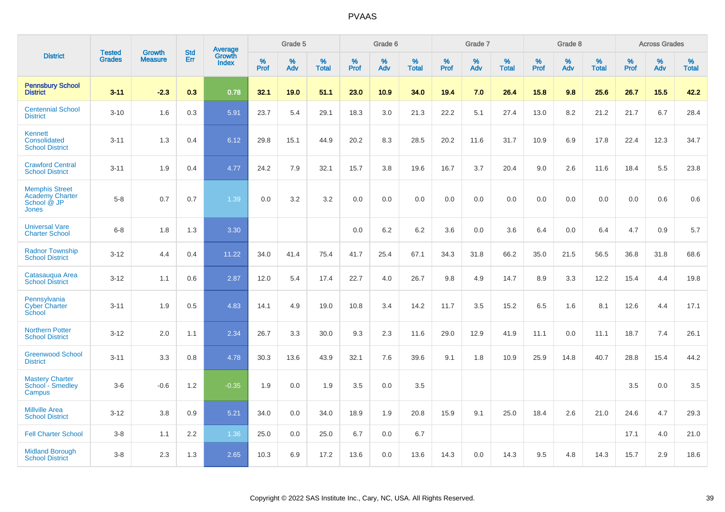|                                                                         |                                |                                 | <b>Std</b> | <b>Average</b>         |              | Grade 5  |                   |           | Grade 6  |                   |           | Grade 7  |                   |           | Grade 8  |                   |           | <b>Across Grades</b> |                   |
|-------------------------------------------------------------------------|--------------------------------|---------------------------------|------------|------------------------|--------------|----------|-------------------|-----------|----------|-------------------|-----------|----------|-------------------|-----------|----------|-------------------|-----------|----------------------|-------------------|
| <b>District</b>                                                         | <b>Tested</b><br><b>Grades</b> | <b>Growth</b><br><b>Measure</b> | Err        | Growth<br><b>Index</b> | $\%$<br>Prof | %<br>Adv | %<br><b>Total</b> | %<br>Prof | %<br>Adv | %<br><b>Total</b> | %<br>Prof | %<br>Adv | %<br><b>Total</b> | %<br>Prof | %<br>Adv | %<br><b>Total</b> | %<br>Prof | %<br>Adv             | %<br><b>Total</b> |
| <b>Pennsbury School</b><br><b>District</b>                              | $3 - 11$                       | $-2.3$                          | 0.3        | 0.78                   | 32.1         | 19.0     | 51.1              | 23.0      | 10.9     | 34.0              | 19.4      | 7.0      | 26.4              | 15.8      | 9.8      | 25.6              | 26.7      | 15.5                 | 42.2              |
| <b>Centennial School</b><br><b>District</b>                             | $3 - 10$                       | 1.6                             | 0.3        | 5.91                   | 23.7         | 5.4      | 29.1              | 18.3      | 3.0      | 21.3              | 22.2      | 5.1      | 27.4              | 13.0      | 8.2      | 21.2              | 21.7      | 6.7                  | 28.4              |
| Kennett<br>Consolidated<br><b>School District</b>                       | $3 - 11$                       | 1.3                             | 0.4        | 6.12                   | 29.8         | 15.1     | 44.9              | 20.2      | 8.3      | 28.5              | 20.2      | 11.6     | 31.7              | 10.9      | 6.9      | 17.8              | 22.4      | 12.3                 | 34.7              |
| <b>Crawford Central</b><br><b>School District</b>                       | $3 - 11$                       | 1.9                             | 0.4        | 4.77                   | 24.2         | 7.9      | 32.1              | 15.7      | 3.8      | 19.6              | 16.7      | 3.7      | 20.4              | 9.0       | 2.6      | 11.6              | 18.4      | 5.5                  | 23.8              |
| <b>Memphis Street</b><br><b>Academy Charter</b><br>School @ JP<br>Jones | $5 - 8$                        | 0.7                             | 0.7        | 1.39                   | 0.0          | 3.2      | 3.2               | $0.0\,$   | 0.0      | 0.0               | 0.0       | 0.0      | 0.0               | 0.0       | 0.0      | 0.0               | 0.0       | 0.6                  | 0.6               |
| <b>Universal Vare</b><br><b>Charter School</b>                          | $6 - 8$                        | 1.8                             | 1.3        | 3.30                   |              |          |                   | 0.0       | 6.2      | 6.2               | 3.6       | 0.0      | 3.6               | 6.4       | 0.0      | 6.4               | 4.7       | 0.9                  | 5.7               |
| <b>Radnor Township</b><br><b>School District</b>                        | $3 - 12$                       | 4.4                             | 0.4        | 11.22                  | 34.0         | 41.4     | 75.4              | 41.7      | 25.4     | 67.1              | 34.3      | 31.8     | 66.2              | 35.0      | 21.5     | 56.5              | 36.8      | 31.8                 | 68.6              |
| Catasaugua Area<br><b>School District</b>                               | $3 - 12$                       | 1.1                             | 0.6        | 2.87                   | 12.0         | 5.4      | 17.4              | 22.7      | 4.0      | 26.7              | 9.8       | 4.9      | 14.7              | 8.9       | 3.3      | 12.2              | 15.4      | 4.4                  | 19.8              |
| Pennsylvania<br><b>Cyber Charter</b><br>School                          | $3 - 11$                       | 1.9                             | 0.5        | 4.83                   | 14.1         | 4.9      | 19.0              | 10.8      | 3.4      | 14.2              | 11.7      | 3.5      | 15.2              | 6.5       | 1.6      | 8.1               | 12.6      | 4.4                  | 17.1              |
| <b>Northern Potter</b><br><b>School District</b>                        | $3 - 12$                       | 2.0                             | 1.1        | 2.34                   | 26.7         | 3.3      | 30.0              | 9.3       | 2.3      | 11.6              | 29.0      | 12.9     | 41.9              | 11.1      | 0.0      | 11.1              | 18.7      | 7.4                  | 26.1              |
| <b>Greenwood School</b><br><b>District</b>                              | $3 - 11$                       | 3.3                             | 0.8        | 4.78                   | 30.3         | 13.6     | 43.9              | 32.1      | 7.6      | 39.6              | 9.1       | 1.8      | 10.9              | 25.9      | 14.8     | 40.7              | 28.8      | 15.4                 | 44.2              |
| <b>Mastery Charter</b><br>School - Smedley<br>Campus                    | $3-6$                          | $-0.6$                          | 1.2        | $-0.35$                | 1.9          | 0.0      | 1.9               | 3.5       | 0.0      | 3.5               |           |          |                   |           |          |                   | 3.5       | 0.0                  | 3.5               |
| <b>Millville Area</b><br><b>School District</b>                         | $3 - 12$                       | 3.8                             | 0.9        | 5.21                   | 34.0         | 0.0      | 34.0              | 18.9      | 1.9      | 20.8              | 15.9      | 9.1      | 25.0              | 18.4      | 2.6      | 21.0              | 24.6      | 4.7                  | 29.3              |
| <b>Fell Charter School</b>                                              | $3 - 8$                        | 1.1                             | 2.2        | 1.36                   | 25.0         | 0.0      | 25.0              | 6.7       | 0.0      | 6.7               |           |          |                   |           |          |                   | 17.1      | 4.0                  | 21.0              |
| <b>Midland Borough</b><br><b>School District</b>                        | $3 - 8$                        | 2.3                             | 1.3        | 2.65                   | 10.3         | 6.9      | 17.2              | 13.6      | 0.0      | 13.6              | 14.3      | 0.0      | 14.3              | 9.5       | 4.8      | 14.3              | 15.7      | 2.9                  | 18.6              |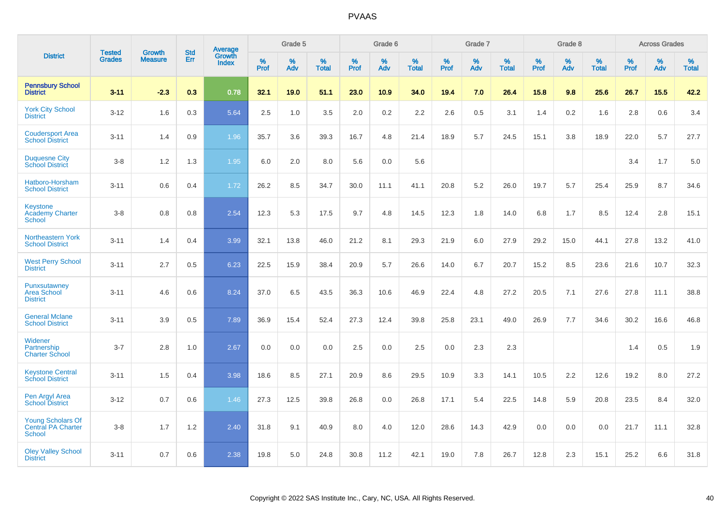|                                                                 |                                | <b>Growth</b>  | <b>Std</b> |                                          |              | Grade 5  |                   |              | Grade 6  |                   |              | Grade 7  |                      |              | Grade 8  |                   |              | <b>Across Grades</b> |                   |
|-----------------------------------------------------------------|--------------------------------|----------------|------------|------------------------------------------|--------------|----------|-------------------|--------------|----------|-------------------|--------------|----------|----------------------|--------------|----------|-------------------|--------------|----------------------|-------------------|
| <b>District</b>                                                 | <b>Tested</b><br><b>Grades</b> | <b>Measure</b> | <b>Err</b> | <b>Average</b><br>Growth<br><b>Index</b> | $\%$<br>Prof | %<br>Adv | %<br><b>Total</b> | $\%$<br>Prof | %<br>Adv | %<br><b>Total</b> | $\%$<br>Prof | %<br>Adv | $\%$<br><b>Total</b> | $\%$<br>Prof | %<br>Adv | %<br><b>Total</b> | $\%$<br>Prof | %<br>Adv             | %<br><b>Total</b> |
| <b>Pennsbury School</b><br><b>District</b>                      | $3 - 11$                       | $-2.3$         | 0.3        | 0.78                                     | 32.1         | 19.0     | 51.1              | 23.0         | 10.9     | 34.0              | 19.4         | 7.0      | 26.4                 | 15.8         | 9.8      | 25.6              | 26.7         | 15.5                 | 42.2              |
| <b>York City School</b><br><b>District</b>                      | $3 - 12$                       | 1.6            | 0.3        | 5.64                                     | 2.5          | 1.0      | 3.5               | 2.0          | $0.2\,$  | 2.2               | 2.6          | 0.5      | 3.1                  | 1.4          | 0.2      | 1.6               | 2.8          | 0.6                  | 3.4               |
| <b>Coudersport Area</b><br><b>School District</b>               | $3 - 11$                       | 1.4            | 0.9        | 1.96                                     | 35.7         | 3.6      | 39.3              | 16.7         | 4.8      | 21.4              | 18.9         | 5.7      | 24.5                 | 15.1         | 3.8      | 18.9              | 22.0         | 5.7                  | 27.7              |
| <b>Duquesne City</b><br><b>School District</b>                  | $3 - 8$                        | 1.2            | 1.3        | 1.95                                     | 6.0          | 2.0      | 8.0               | 5.6          | 0.0      | 5.6               |              |          |                      |              |          |                   | 3.4          | 1.7                  | 5.0               |
| Hatboro-Horsham<br><b>School District</b>                       | $3 - 11$                       | 0.6            | 0.4        | 1.72                                     | 26.2         | 8.5      | 34.7              | 30.0         | 11.1     | 41.1              | 20.8         | 5.2      | 26.0                 | 19.7         | 5.7      | 25.4              | 25.9         | 8.7                  | 34.6              |
| <b>Keystone</b><br><b>Academy Charter</b><br>School             | $3 - 8$                        | 0.8            | 0.8        | 2.54                                     | 12.3         | 5.3      | 17.5              | 9.7          | 4.8      | 14.5              | 12.3         | 1.8      | 14.0                 | 6.8          | 1.7      | 8.5               | 12.4         | 2.8                  | 15.1              |
| Northeastern York<br><b>School District</b>                     | $3 - 11$                       | 1.4            | 0.4        | 3.99                                     | 32.1         | 13.8     | 46.0              | 21.2         | 8.1      | 29.3              | 21.9         | 6.0      | 27.9                 | 29.2         | 15.0     | 44.1              | 27.8         | 13.2                 | 41.0              |
| <b>West Perry School</b><br><b>District</b>                     | $3 - 11$                       | 2.7            | 0.5        | 6.23                                     | 22.5         | 15.9     | 38.4              | 20.9         | 5.7      | 26.6              | 14.0         | 6.7      | 20.7                 | 15.2         | 8.5      | 23.6              | 21.6         | 10.7                 | 32.3              |
| Punxsutawney<br><b>Area School</b><br><b>District</b>           | $3 - 11$                       | 4.6            | 0.6        | 8.24                                     | 37.0         | 6.5      | 43.5              | 36.3         | 10.6     | 46.9              | 22.4         | 4.8      | 27.2                 | 20.5         | 7.1      | 27.6              | 27.8         | 11.1                 | 38.8              |
| <b>General Mclane</b><br><b>School District</b>                 | $3 - 11$                       | 3.9            | 0.5        | 7.89                                     | 36.9         | 15.4     | 52.4              | 27.3         | 12.4     | 39.8              | 25.8         | 23.1     | 49.0                 | 26.9         | 7.7      | 34.6              | 30.2         | 16.6                 | 46.8              |
| Widener<br>Partnership<br><b>Charter School</b>                 | $3 - 7$                        | 2.8            | 1.0        | 2.67                                     | 0.0          | 0.0      | 0.0               | 2.5          | 0.0      | 2.5               | 0.0          | 2.3      | 2.3                  |              |          |                   | 1.4          | 0.5                  | 1.9               |
| <b>Keystone Central</b><br><b>School District</b>               | $3 - 11$                       | 1.5            | 0.4        | 3.98                                     | 18.6         | 8.5      | 27.1              | 20.9         | 8.6      | 29.5              | 10.9         | 3.3      | 14.1                 | 10.5         | 2.2      | 12.6              | 19.2         | 8.0                  | 27.2              |
| Pen Argyl Area<br><b>School District</b>                        | $3 - 12$                       | 0.7            | 0.6        | 1.46                                     | 27.3         | 12.5     | 39.8              | 26.8         | 0.0      | 26.8              | 17.1         | 5.4      | 22.5                 | 14.8         | 5.9      | 20.8              | 23.5         | 8.4                  | 32.0              |
| <b>Young Scholars Of</b><br>Central PA Charter<br><b>School</b> | $3 - 8$                        | 1.7            | $1.2$      | 2.40                                     | 31.8         | 9.1      | 40.9              | 8.0          | 4.0      | 12.0              | 28.6         | 14.3     | 42.9                 | 0.0          | 0.0      | 0.0               | 21.7         | 11.1                 | 32.8              |
| <b>Oley Valley School</b><br><b>District</b>                    | $3 - 11$                       | 0.7            | 0.6        | 2.38                                     | 19.8         | 5.0      | 24.8              | 30.8         | 11.2     | 42.1              | 19.0         | 7.8      | 26.7                 | 12.8         | 2.3      | 15.1              | 25.2         | 6.6                  | 31.8              |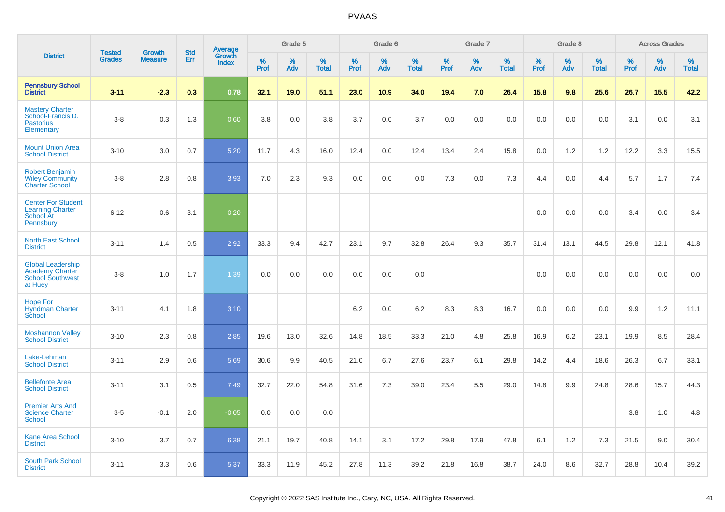|                                                                                          | <b>Tested</b> | <b>Growth</b>  | <b>Std</b> |                                   |                     | Grade 5  |                   |                     | Grade 6  |                   |              | Grade 7  |                   |              | Grade 8  |                   |              | <b>Across Grades</b> |                   |
|------------------------------------------------------------------------------------------|---------------|----------------|------------|-----------------------------------|---------------------|----------|-------------------|---------------------|----------|-------------------|--------------|----------|-------------------|--------------|----------|-------------------|--------------|----------------------|-------------------|
| <b>District</b>                                                                          | <b>Grades</b> | <b>Measure</b> | Err        | Average<br>Growth<br><b>Index</b> | $\%$<br><b>Prof</b> | %<br>Adv | %<br><b>Total</b> | $\%$<br><b>Prof</b> | %<br>Adv | %<br><b>Total</b> | $\%$<br>Prof | %<br>Adv | %<br><b>Total</b> | $\%$<br>Prof | %<br>Adv | %<br><b>Total</b> | $\%$<br>Prof | %<br>Adv             | %<br><b>Total</b> |
| <b>Pennsbury School</b><br><b>District</b>                                               | $3 - 11$      | $-2.3$         | 0.3        | 0.78                              | 32.1                | 19.0     | 51.1              | 23.0                | 10.9     | 34.0              | 19.4         | 7.0      | 26.4              | 15.8         | 9.8      | 25.6              | 26.7         | 15.5                 | 42.2              |
| <b>Mastery Charter</b><br>School-Francis D.<br><b>Pastorius</b><br>Elementary            | $3-8$         | 0.3            | 1.3        | 0.60                              | 3.8                 | 0.0      | 3.8               | 3.7                 | 0.0      | 3.7               | 0.0          | 0.0      | 0.0               | 0.0          | 0.0      | 0.0               | 3.1          | 0.0                  | 3.1               |
| <b>Mount Union Area</b><br><b>School District</b>                                        | $3 - 10$      | 3.0            | 0.7        | 5.20                              | 11.7                | 4.3      | 16.0              | 12.4                | 0.0      | 12.4              | 13.4         | 2.4      | 15.8              | 0.0          | 1.2      | 1.2               | 12.2         | 3.3                  | 15.5              |
| <b>Robert Benjamin</b><br><b>Wiley Community</b><br><b>Charter School</b>                | $3-8$         | 2.8            | 0.8        | 3.93                              | 7.0                 | 2.3      | 9.3               | 0.0                 | 0.0      | 0.0               | 7.3          | 0.0      | 7.3               | 4.4          | 0.0      | 4.4               | 5.7          | 1.7                  | 7.4               |
| <b>Center For Student</b><br><b>Learning Charter</b><br>School At<br>Pennsbury           | $6 - 12$      | $-0.6$         | 3.1        | $-0.20$                           |                     |          |                   |                     |          |                   |              |          |                   | 0.0          | 0.0      | 0.0               | 3.4          | 0.0                  | 3.4               |
| <b>North East School</b><br><b>District</b>                                              | $3 - 11$      | 1.4            | 0.5        | 2.92                              | 33.3                | 9.4      | 42.7              | 23.1                | 9.7      | 32.8              | 26.4         | 9.3      | 35.7              | 31.4         | 13.1     | 44.5              | 29.8         | 12.1                 | 41.8              |
| <b>Global Leadership</b><br><b>Academy Charter</b><br><b>School Southwest</b><br>at Huey | $3 - 8$       | 1.0            | 1.7        | 1.39                              | 0.0                 | 0.0      | 0.0               | 0.0                 | 0.0      | 0.0               |              |          |                   | 0.0          | 0.0      | 0.0               | 0.0          | 0.0                  | 0.0               |
| <b>Hope For</b><br><b>Hyndman Charter</b><br>School                                      | $3 - 11$      | 4.1            | 1.8        | 3.10                              |                     |          |                   | 6.2                 | 0.0      | 6.2               | 8.3          | 8.3      | 16.7              | 0.0          | 0.0      | 0.0               | 9.9          | $1.2$                | 11.1              |
| <b>Moshannon Valley</b><br><b>School District</b>                                        | $3 - 10$      | 2.3            | 0.8        | 2.85                              | 19.6                | 13.0     | 32.6              | 14.8                | 18.5     | 33.3              | 21.0         | 4.8      | 25.8              | 16.9         | 6.2      | 23.1              | 19.9         | 8.5                  | 28.4              |
| Lake-Lehman<br><b>School District</b>                                                    | $3 - 11$      | 2.9            | 0.6        | 5.69                              | 30.6                | 9.9      | 40.5              | 21.0                | 6.7      | 27.6              | 23.7         | 6.1      | 29.8              | 14.2         | 4.4      | 18.6              | 26.3         | 6.7                  | 33.1              |
| <b>Bellefonte Area</b><br><b>School District</b>                                         | $3 - 11$      | 3.1            | 0.5        | 7.49                              | 32.7                | 22.0     | 54.8              | 31.6                | 7.3      | 39.0              | 23.4         | 5.5      | 29.0              | 14.8         | 9.9      | 24.8              | 28.6         | 15.7                 | 44.3              |
| <b>Premier Arts And</b><br><b>Science Charter</b><br>School                              | $3-5$         | $-0.1$         | 2.0        | $-0.05$                           | 0.0                 | 0.0      | 0.0               |                     |          |                   |              |          |                   |              |          |                   | 3.8          | 1.0                  | 4.8               |
| <b>Kane Area School</b><br><b>District</b>                                               | $3 - 10$      | 3.7            | 0.7        | 6.38                              | 21.1                | 19.7     | 40.8              | 14.1                | 3.1      | 17.2              | 29.8         | 17.9     | 47.8              | 6.1          | 1.2      | 7.3               | 21.5         | 9.0                  | 30.4              |
| <b>South Park School</b><br><b>District</b>                                              | $3 - 11$      | 3.3            | 0.6        | 5.37                              | 33.3                | 11.9     | 45.2              | 27.8                | 11.3     | 39.2              | 21.8         | 16.8     | 38.7              | 24.0         | 8.6      | 32.7              | 28.8         | 10.4                 | 39.2              |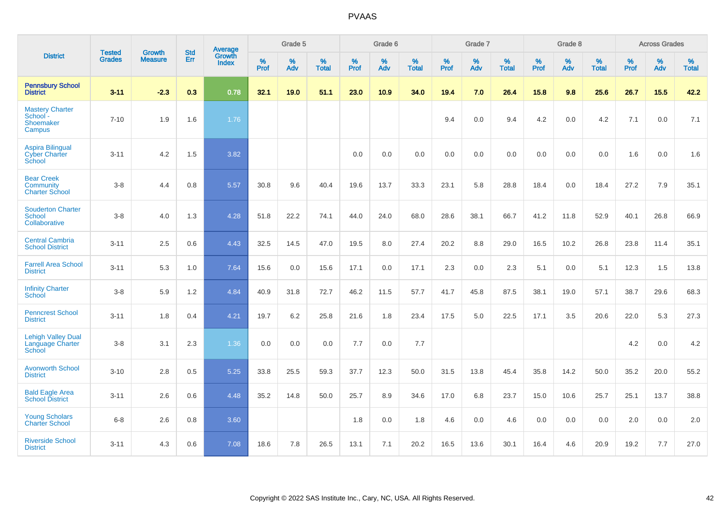|                                                           |                                |                                 | <b>Std</b> | Average                       |              | Grade 5  |                   |           | Grade 6  |                   |           | Grade 7  |                   |           | Grade 8  |                   |           | <b>Across Grades</b> |                   |
|-----------------------------------------------------------|--------------------------------|---------------------------------|------------|-------------------------------|--------------|----------|-------------------|-----------|----------|-------------------|-----------|----------|-------------------|-----------|----------|-------------------|-----------|----------------------|-------------------|
| <b>District</b>                                           | <b>Tested</b><br><b>Grades</b> | <b>Growth</b><br><b>Measure</b> | Err        | <b>Growth</b><br><b>Index</b> | $\%$<br>Prof | %<br>Adv | %<br><b>Total</b> | %<br>Prof | %<br>Adv | %<br><b>Total</b> | %<br>Prof | %<br>Adv | %<br><b>Total</b> | %<br>Prof | %<br>Adv | %<br><b>Total</b> | %<br>Prof | %<br>Adv             | %<br><b>Total</b> |
| <b>Pennsbury School</b><br><b>District</b>                | $3 - 11$                       | $-2.3$                          | 0.3        | 0.78                          | 32.1         | 19.0     | 51.1              | 23.0      | 10.9     | 34.0              | 19.4      | 7.0      | 26.4              | 15.8      | 9.8      | 25.6              | 26.7      | 15.5                 | 42.2              |
| <b>Mastery Charter</b><br>School -<br>Shoemaker<br>Campus | $7 - 10$                       | 1.9                             | 1.6        | 1.76                          |              |          |                   |           |          |                   | 9.4       | 0.0      | 9.4               | 4.2       | 0.0      | 4.2               | 7.1       | 0.0                  | 7.1               |
| <b>Aspira Bilingual</b><br><b>Cyber Charter</b><br>School | $3 - 11$                       | 4.2                             | 1.5        | 3.82                          |              |          |                   | 0.0       | 0.0      | 0.0               | 0.0       | 0.0      | 0.0               | 0.0       | 0.0      | 0.0               | 1.6       | 0.0                  | 1.6               |
| <b>Bear Creek</b><br>Community<br><b>Charter School</b>   | $3 - 8$                        | 4.4                             | 0.8        | 5.57                          | 30.8         | 9.6      | 40.4              | 19.6      | 13.7     | 33.3              | 23.1      | 5.8      | 28.8              | 18.4      | 0.0      | 18.4              | 27.2      | 7.9                  | 35.1              |
| <b>Souderton Charter</b><br>School<br>Collaborative       | $3-8$                          | 4.0                             | 1.3        | 4.28                          | 51.8         | 22.2     | 74.1              | 44.0      | 24.0     | 68.0              | 28.6      | 38.1     | 66.7              | 41.2      | 11.8     | 52.9              | 40.1      | 26.8                 | 66.9              |
| <b>Central Cambria</b><br><b>School District</b>          | $3 - 11$                       | 2.5                             | 0.6        | 4.43                          | 32.5         | 14.5     | 47.0              | 19.5      | 8.0      | 27.4              | 20.2      | 8.8      | 29.0              | 16.5      | 10.2     | 26.8              | 23.8      | 11.4                 | 35.1              |
| <b>Farrell Area School</b><br><b>District</b>             | $3 - 11$                       | 5.3                             | 1.0        | 7.64                          | 15.6         | 0.0      | 15.6              | 17.1      | 0.0      | 17.1              | 2.3       | 0.0      | 2.3               | 5.1       | 0.0      | 5.1               | 12.3      | 1.5                  | 13.8              |
| <b>Infinity Charter</b><br>School                         | $3 - 8$                        | 5.9                             | 1.2        | 4.84                          | 40.9         | 31.8     | 72.7              | 46.2      | 11.5     | 57.7              | 41.7      | 45.8     | 87.5              | 38.1      | 19.0     | 57.1              | 38.7      | 29.6                 | 68.3              |
| <b>Penncrest School</b><br><b>District</b>                | $3 - 11$                       | 1.8                             | 0.4        | 4.21                          | 19.7         | 6.2      | 25.8              | 21.6      | 1.8      | 23.4              | 17.5      | 5.0      | 22.5              | 17.1      | 3.5      | 20.6              | 22.0      | 5.3                  | 27.3              |
| <b>Lehigh Valley Dual</b><br>Language Charter<br>School   | $3 - 8$                        | 3.1                             | 2.3        | 1.36                          | 0.0          | 0.0      | 0.0               | 7.7       | 0.0      | 7.7               |           |          |                   |           |          |                   | 4.2       | 0.0                  | 4.2               |
| <b>Avonworth School</b><br><b>District</b>                | $3 - 10$                       | 2.8                             | 0.5        | 5.25                          | 33.8         | 25.5     | 59.3              | 37.7      | 12.3     | 50.0              | 31.5      | 13.8     | 45.4              | 35.8      | 14.2     | 50.0              | 35.2      | 20.0                 | 55.2              |
| <b>Bald Eagle Area</b><br><b>School District</b>          | $3 - 11$                       | 2.6                             | 0.6        | 4.48                          | 35.2         | 14.8     | 50.0              | 25.7      | 8.9      | 34.6              | 17.0      | 6.8      | 23.7              | 15.0      | 10.6     | 25.7              | 25.1      | 13.7                 | 38.8              |
| <b>Young Scholars</b><br><b>Charter School</b>            | $6-8$                          | 2.6                             | 0.8        | 3.60                          |              |          |                   | 1.8       | 0.0      | 1.8               | 4.6       | 0.0      | 4.6               | 0.0       | 0.0      | 0.0               | 2.0       | 0.0                  | 2.0               |
| <b>Riverside School</b><br><b>District</b>                | $3 - 11$                       | 4.3                             | 0.6        | 7.08                          | 18.6         | 7.8      | 26.5              | 13.1      | 7.1      | 20.2              | 16.5      | 13.6     | 30.1              | 16.4      | 4.6      | 20.9              | 19.2      | 7.7                  | 27.0              |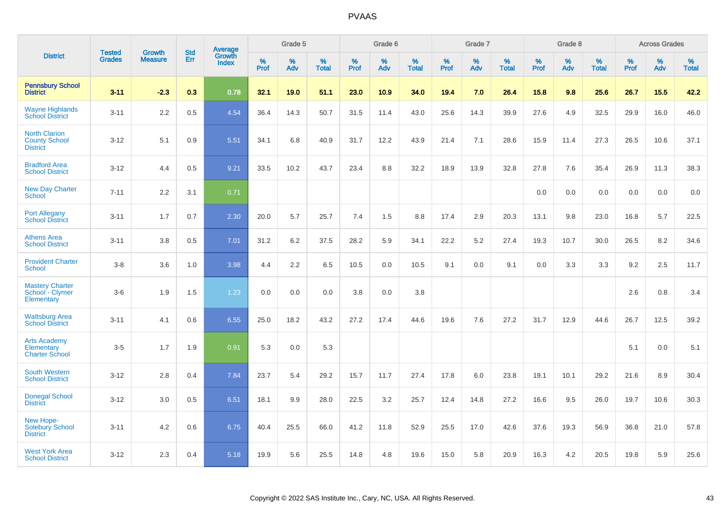|                                                                   |                                |                                 | <b>Std</b> | Average                |           | Grade 5  |                   |           | Grade 6  |                   |           | Grade 7  |                   |           | Grade 8  |                   |           | <b>Across Grades</b> |                   |
|-------------------------------------------------------------------|--------------------------------|---------------------------------|------------|------------------------|-----------|----------|-------------------|-----------|----------|-------------------|-----------|----------|-------------------|-----------|----------|-------------------|-----------|----------------------|-------------------|
| <b>District</b>                                                   | <b>Tested</b><br><b>Grades</b> | <b>Growth</b><br><b>Measure</b> | Err        | Growth<br><b>Index</b> | %<br>Prof | %<br>Adv | %<br><b>Total</b> | %<br>Prof | %<br>Adv | %<br><b>Total</b> | %<br>Prof | %<br>Adv | %<br><b>Total</b> | %<br>Prof | %<br>Adv | %<br><b>Total</b> | %<br>Prof | %<br>Adv             | %<br><b>Total</b> |
| <b>Pennsbury School</b><br><b>District</b>                        | $3 - 11$                       | $-2.3$                          | 0.3        | 0.78                   | 32.1      | 19.0     | 51.1              | 23.0      | 10.9     | 34.0              | 19.4      | 7.0      | 26.4              | 15.8      | 9.8      | 25.6              | 26.7      | 15.5                 | 42.2              |
| <b>Wayne Highlands</b><br><b>School District</b>                  | $3 - 11$                       | 2.2                             | 0.5        | 4.54                   | 36.4      | 14.3     | 50.7              | 31.5      | 11.4     | 43.0              | 25.6      | 14.3     | 39.9              | 27.6      | 4.9      | 32.5              | 29.9      | 16.0                 | 46.0              |
| <b>North Clarion</b><br><b>County School</b><br><b>District</b>   | $3-12$                         | 5.1                             | 0.9        | 5.51                   | 34.1      | 6.8      | 40.9              | 31.7      | 12.2     | 43.9              | 21.4      | 7.1      | 28.6              | 15.9      | 11.4     | 27.3              | 26.5      | 10.6                 | 37.1              |
| <b>Bradford Area</b><br><b>School District</b>                    | $3 - 12$                       | 4.4                             | 0.5        | 9.21                   | 33.5      | 10.2     | 43.7              | 23.4      | 8.8      | 32.2              | 18.9      | 13.9     | 32.8              | 27.8      | 7.6      | 35.4              | 26.9      | 11.3                 | 38.3              |
| <b>New Day Charter</b><br><b>School</b>                           | $7 - 11$                       | 2.2                             | 3.1        | 0.71                   |           |          |                   |           |          |                   |           |          |                   | 0.0       | 0.0      | 0.0               | 0.0       | 0.0                  | 0.0               |
| <b>Port Allegany</b><br><b>School District</b>                    | $3 - 11$                       | 1.7                             | 0.7        | 2.30                   | 20.0      | 5.7      | 25.7              | 7.4       | 1.5      | 8.8               | 17.4      | 2.9      | 20.3              | 13.1      | 9.8      | 23.0              | 16.8      | 5.7                  | 22.5              |
| <b>Athens Area</b><br><b>School District</b>                      | $3 - 11$                       | 3.8                             | 0.5        | 7.01                   | 31.2      | 6.2      | 37.5              | 28.2      | 5.9      | 34.1              | 22.2      | 5.2      | 27.4              | 19.3      | 10.7     | 30.0              | 26.5      | 8.2                  | 34.6              |
| <b>Provident Charter</b><br><b>School</b>                         | $3-8$                          | 3.6                             | 1.0        | 3.98                   | 4.4       | 2.2      | 6.5               | 10.5      | 0.0      | 10.5              | 9.1       | 0.0      | 9.1               | 0.0       | 3.3      | 3.3               | 9.2       | 2.5                  | 11.7              |
| <b>Mastery Charter</b><br>School - Clymer<br>Elementary           | $3-6$                          | 1.9                             | 1.5        | 1.23                   | 0.0       | 0.0      | 0.0               | 3.8       | 0.0      | 3.8               |           |          |                   |           |          |                   | 2.6       | 0.8                  | 3.4               |
| <b>Wattsburg Area</b><br><b>School District</b>                   | $3 - 11$                       | 4.1                             | 0.6        | 6.55                   | 25.0      | 18.2     | 43.2              | 27.2      | 17.4     | 44.6              | 19.6      | 7.6      | 27.2              | 31.7      | 12.9     | 44.6              | 26.7      | 12.5                 | 39.2              |
| <b>Arts Academy</b><br><b>Elementary</b><br><b>Charter School</b> | $3-5$                          | 1.7                             | 1.9        | 0.91                   | 5.3       | 0.0      | 5.3               |           |          |                   |           |          |                   |           |          |                   | 5.1       | 0.0                  | 5.1               |
| <b>South Western</b><br><b>School District</b>                    | $3 - 12$                       | 2.8                             | 0.4        | 7.84                   | 23.7      | 5.4      | 29.2              | 15.7      | 11.7     | 27.4              | 17.8      | 6.0      | 23.8              | 19.1      | 10.1     | 29.2              | 21.6      | 8.9                  | 30.4              |
| <b>Donegal School</b><br><b>District</b>                          | $3 - 12$                       | 3.0                             | 0.5        | 6.51                   | 18.1      | 9.9      | 28.0              | 22.5      | 3.2      | 25.7              | 12.4      | 14.8     | 27.2              | 16.6      | 9.5      | 26.0              | 19.7      | 10.6                 | 30.3              |
| New Hope-<br>Solebury School<br><b>District</b>                   | $3 - 11$                       | 4.2                             | 0.6        | 6.75                   | 40.4      | 25.5     | 66.0              | 41.2      | 11.8     | 52.9              | 25.5      | 17.0     | 42.6              | 37.6      | 19.3     | 56.9              | 36.8      | 21.0                 | 57.8              |
| <b>West York Area</b><br><b>School District</b>                   | $3 - 12$                       | 2.3                             | 0.4        | 5.18                   | 19.9      | 5.6      | 25.5              | 14.8      | 4.8      | 19.6              | 15.0      | 5.8      | 20.9              | 16.3      | 4.2      | 20.5              | 19.8      | 5.9                  | 25.6              |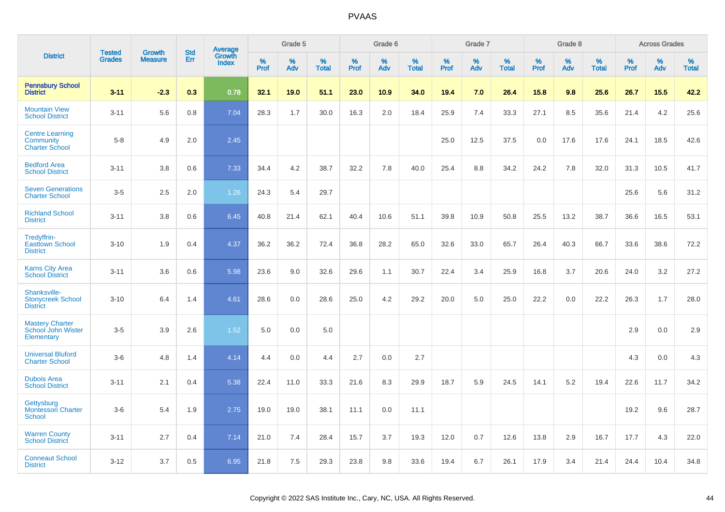|                                                              |                                |                                 | <b>Std</b> | Average                |                     | Grade 5  |                   |                     | Grade 6  |                   |                     | Grade 7  |                   |              | Grade 8  |                   |                     | <b>Across Grades</b> |                   |
|--------------------------------------------------------------|--------------------------------|---------------------------------|------------|------------------------|---------------------|----------|-------------------|---------------------|----------|-------------------|---------------------|----------|-------------------|--------------|----------|-------------------|---------------------|----------------------|-------------------|
| <b>District</b>                                              | <b>Tested</b><br><b>Grades</b> | <b>Growth</b><br><b>Measure</b> | Err        | Growth<br><b>Index</b> | $\%$<br><b>Prof</b> | %<br>Adv | %<br><b>Total</b> | $\%$<br><b>Prof</b> | %<br>Adv | %<br><b>Total</b> | $\%$<br><b>Prof</b> | %<br>Adv | %<br><b>Total</b> | $\%$<br>Prof | %<br>Adv | %<br><b>Total</b> | $\%$<br><b>Prof</b> | %<br>Adv             | %<br><b>Total</b> |
| <b>Pennsbury School</b><br><b>District</b>                   | $3 - 11$                       | $-2.3$                          | 0.3        | 0.78                   | 32.1                | 19.0     | 51.1              | 23.0                | 10.9     | 34.0              | 19.4                | 7.0      | 26.4              | 15.8         | 9.8      | 25.6              | 26.7                | 15.5                 | 42.2              |
| <b>Mountain View</b><br><b>School District</b>               | $3 - 11$                       | 5.6                             | 0.8        | 7.04                   | 28.3                | 1.7      | 30.0              | 16.3                | 2.0      | 18.4              | 25.9                | 7.4      | 33.3              | 27.1         | 8.5      | 35.6              | 21.4                | 4.2                  | 25.6              |
| <b>Centre Learning</b><br>Community<br><b>Charter School</b> | $5-8$                          | 4.9                             | 2.0        | 2.45                   |                     |          |                   |                     |          |                   | 25.0                | 12.5     | 37.5              | 0.0          | 17.6     | 17.6              | 24.1                | 18.5                 | 42.6              |
| <b>Bedford Area</b><br><b>School District</b>                | $3 - 11$                       | 3.8                             | 0.6        | 7.33                   | 34.4                | 4.2      | 38.7              | 32.2                | 7.8      | 40.0              | 25.4                | 8.8      | 34.2              | 24.2         | 7.8      | 32.0              | 31.3                | 10.5                 | 41.7              |
| <b>Seven Generations</b><br><b>Charter School</b>            | $3-5$                          | 2.5                             | 2.0        | 1.26                   | 24.3                | 5.4      | 29.7              |                     |          |                   |                     |          |                   |              |          |                   | 25.6                | 5.6                  | 31.2              |
| <b>Richland School</b><br><b>District</b>                    | $3 - 11$                       | $3.8\,$                         | 0.6        | 6.45                   | 40.8                | 21.4     | 62.1              | 40.4                | 10.6     | 51.1              | 39.8                | 10.9     | 50.8              | 25.5         | 13.2     | 38.7              | 36.6                | 16.5                 | 53.1              |
| Tredyffrin-<br><b>Easttown School</b><br><b>District</b>     | $3 - 10$                       | 1.9                             | 0.4        | 4.37                   | 36.2                | 36.2     | 72.4              | 36.8                | 28.2     | 65.0              | 32.6                | 33.0     | 65.7              | 26.4         | 40.3     | 66.7              | 33.6                | 38.6                 | 72.2              |
| <b>Karns City Area</b><br><b>School District</b>             | $3 - 11$                       | 3.6                             | 0.6        | 5.98                   | 23.6                | 9.0      | 32.6              | 29.6                | 1.1      | 30.7              | 22.4                | 3.4      | 25.9              | 16.8         | 3.7      | 20.6              | 24.0                | 3.2                  | 27.2              |
| Shanksville-<br><b>Stonycreek School</b><br><b>District</b>  | $3 - 10$                       | 6.4                             | 1.4        | 4.61                   | 28.6                | 0.0      | 28.6              | 25.0                | 4.2      | 29.2              | 20.0                | 5.0      | 25.0              | 22.2         | 0.0      | 22.2              | 26.3                | 1.7                  | 28.0              |
| <b>Mastery Charter</b><br>School John Wister<br>Elementary   | $3-5$                          | 3.9                             | 2.6        | 1.52                   | 5.0                 | 0.0      | 5.0               |                     |          |                   |                     |          |                   |              |          |                   | 2.9                 | 0.0                  | 2.9               |
| <b>Universal Bluford</b><br><b>Charter School</b>            | $3-6$                          | 4.8                             | 1.4        | 4.14                   | 4.4                 | 0.0      | 4.4               | 2.7                 | 0.0      | 2.7               |                     |          |                   |              |          |                   | 4.3                 | 0.0                  | 4.3               |
| <b>Dubois Area</b><br><b>School District</b>                 | $3 - 11$                       | 2.1                             | 0.4        | 5.38                   | 22.4                | 11.0     | 33.3              | 21.6                | 8.3      | 29.9              | 18.7                | 5.9      | 24.5              | 14.1         | 5.2      | 19.4              | 22.6                | 11.7                 | 34.2              |
| Gettysburg<br><b>Montessori Charter</b><br><b>School</b>     | $3-6$                          | 5.4                             | 1.9        | 2.75                   | 19.0                | 19.0     | 38.1              | 11.1                | 0.0      | 11.1              |                     |          |                   |              |          |                   | 19.2                | 9.6                  | 28.7              |
| <b>Warren County</b><br><b>School District</b>               | $3 - 11$                       | 2.7                             | 0.4        | 7.14                   | 21.0                | 7.4      | 28.4              | 15.7                | 3.7      | 19.3              | 12.0                | 0.7      | 12.6              | 13.8         | 2.9      | 16.7              | 17.7                | 4.3                  | 22.0              |
| <b>Conneaut School</b><br><b>District</b>                    | $3 - 12$                       | 3.7                             | 0.5        | 6.95                   | 21.8                | 7.5      | 29.3              | 23.8                | 9.8      | 33.6              | 19.4                | 6.7      | 26.1              | 17.9         | 3.4      | 21.4              | 24.4                | 10.4                 | 34.8              |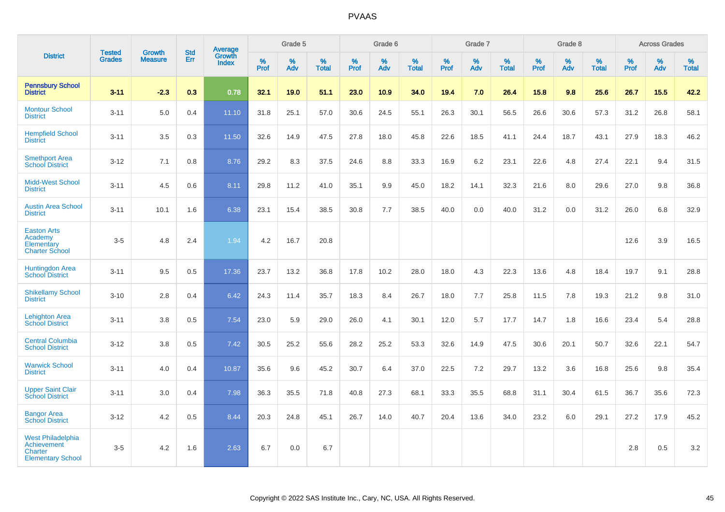|                                                                                |                                |                                 | <b>Std</b> | Average                |              | Grade 5  |                      |           | Grade 6  |                   |           | Grade 7  |                      |           | Grade 8  |                   |              | <b>Across Grades</b> |                   |
|--------------------------------------------------------------------------------|--------------------------------|---------------------------------|------------|------------------------|--------------|----------|----------------------|-----------|----------|-------------------|-----------|----------|----------------------|-----------|----------|-------------------|--------------|----------------------|-------------------|
| <b>District</b>                                                                | <b>Tested</b><br><b>Grades</b> | <b>Growth</b><br><b>Measure</b> | Err        | Growth<br><b>Index</b> | $\%$<br>Prof | %<br>Adv | $\%$<br><b>Total</b> | %<br>Prof | %<br>Adv | %<br><b>Total</b> | %<br>Prof | %<br>Adv | $\%$<br><b>Total</b> | %<br>Prof | %<br>Adv | %<br><b>Total</b> | $\%$<br>Prof | %<br>Adv             | %<br><b>Total</b> |
| <b>Pennsbury School</b><br><b>District</b>                                     | $3 - 11$                       | $-2.3$                          | 0.3        | 0.78                   | 32.1         | 19.0     | 51.1                 | 23.0      | 10.9     | 34.0              | 19.4      | 7.0      | 26.4                 | 15.8      | 9.8      | 25.6              | 26.7         | 15.5                 | 42.2              |
| <b>Montour School</b><br><b>District</b>                                       | $3 - 11$                       | 5.0                             | 0.4        | 11.10                  | 31.8         | 25.1     | 57.0                 | 30.6      | 24.5     | 55.1              | 26.3      | 30.1     | 56.5                 | 26.6      | 30.6     | 57.3              | 31.2         | 26.8                 | 58.1              |
| <b>Hempfield School</b><br><b>District</b>                                     | $3 - 11$                       | 3.5                             | 0.3        | 11.50                  | 32.6         | 14.9     | 47.5                 | 27.8      | 18.0     | 45.8              | 22.6      | 18.5     | 41.1                 | 24.4      | 18.7     | 43.1              | 27.9         | 18.3                 | 46.2              |
| <b>Smethport Area</b><br><b>School District</b>                                | $3 - 12$                       | 7.1                             | 0.8        | 8.76                   | 29.2         | 8.3      | 37.5                 | 24.6      | 8.8      | 33.3              | 16.9      | 6.2      | 23.1                 | 22.6      | 4.8      | 27.4              | 22.1         | 9.4                  | 31.5              |
| <b>Midd-West School</b><br><b>District</b>                                     | $3 - 11$                       | 4.5                             | 0.6        | 8.11                   | 29.8         | 11.2     | 41.0                 | 35.1      | 9.9      | 45.0              | 18.2      | 14.1     | 32.3                 | 21.6      | 8.0      | 29.6              | 27.0         | 9.8                  | 36.8              |
| <b>Austin Area School</b><br><b>District</b>                                   | $3 - 11$                       | 10.1                            | 1.6        | 6.38                   | 23.1         | 15.4     | 38.5                 | 30.8      | 7.7      | 38.5              | 40.0      | 0.0      | 40.0                 | 31.2      | 0.0      | 31.2              | 26.0         | 6.8                  | 32.9              |
| <b>Easton Arts</b><br>Academy<br>Elementary<br><b>Charter School</b>           | $3-5$                          | 4.8                             | 2.4        | 1.94                   | 4.2          | 16.7     | 20.8                 |           |          |                   |           |          |                      |           |          |                   | 12.6         | 3.9                  | 16.5              |
| <b>Huntingdon Area</b><br><b>School District</b>                               | $3 - 11$                       | 9.5                             | 0.5        | 17.36                  | 23.7         | 13.2     | 36.8                 | 17.8      | 10.2     | 28.0              | 18.0      | 4.3      | 22.3                 | 13.6      | 4.8      | 18.4              | 19.7         | 9.1                  | 28.8              |
| <b>Shikellamy School</b><br><b>District</b>                                    | $3 - 10$                       | 2.8                             | 0.4        | 6.42                   | 24.3         | 11.4     | 35.7                 | 18.3      | 8.4      | 26.7              | 18.0      | 7.7      | 25.8                 | 11.5      | 7.8      | 19.3              | 21.2         | 9.8                  | 31.0              |
| <b>Lehighton Area</b><br><b>School District</b>                                | $3 - 11$                       | 3.8                             | 0.5        | 7.54                   | 23.0         | 5.9      | 29.0                 | 26.0      | 4.1      | 30.1              | 12.0      | 5.7      | 17.7                 | 14.7      | 1.8      | 16.6              | 23.4         | 5.4                  | 28.8              |
| <b>Central Columbia</b><br><b>School District</b>                              | $3 - 12$                       | 3.8                             | 0.5        | 7.42                   | 30.5         | 25.2     | 55.6                 | 28.2      | 25.2     | 53.3              | 32.6      | 14.9     | 47.5                 | 30.6      | 20.1     | 50.7              | 32.6         | 22.1                 | 54.7              |
| <b>Warwick School</b><br><b>District</b>                                       | $3 - 11$                       | 4.0                             | 0.4        | 10.87                  | 35.6         | 9.6      | 45.2                 | 30.7      | 6.4      | 37.0              | 22.5      | 7.2      | 29.7                 | 13.2      | 3.6      | 16.8              | 25.6         | 9.8                  | 35.4              |
| <b>Upper Saint Clair</b><br><b>School District</b>                             | $3 - 11$                       | 3.0                             | 0.4        | 7.98                   | 36.3         | 35.5     | 71.8                 | 40.8      | 27.3     | 68.1              | 33.3      | 35.5     | 68.8                 | 31.1      | 30.4     | 61.5              | 36.7         | 35.6                 | 72.3              |
| <b>Bangor Area</b><br><b>School District</b>                                   | $3 - 12$                       | 4.2                             | 0.5        | 8.44                   | 20.3         | 24.8     | 45.1                 | 26.7      | 14.0     | 40.7              | 20.4      | 13.6     | 34.0                 | 23.2      | 6.0      | 29.1              | 27.2         | 17.9                 | 45.2              |
| <b>West Philadelphia</b><br>Achievement<br>Charter<br><b>Elementary School</b> | $3-5$                          | 4.2                             | 1.6        | 2.63                   | 6.7          | 0.0      | 6.7                  |           |          |                   |           |          |                      |           |          |                   | 2.8          | 0.5                  | $3.2\,$           |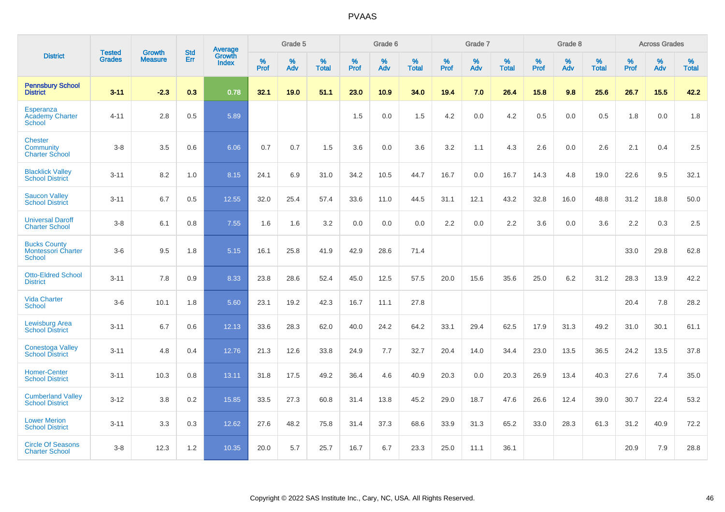|                                                                   | <b>Tested</b> | <b>Growth</b>  | <b>Std</b> | Average                       |           | Grade 5  |                   |           | Grade 6  |                   |           | Grade 7  |                   |           | Grade 8  |                   |           | <b>Across Grades</b> |                   |
|-------------------------------------------------------------------|---------------|----------------|------------|-------------------------------|-----------|----------|-------------------|-----------|----------|-------------------|-----------|----------|-------------------|-----------|----------|-------------------|-----------|----------------------|-------------------|
| <b>District</b>                                                   | <b>Grades</b> | <b>Measure</b> | Err        | <b>Growth</b><br><b>Index</b> | %<br>Prof | %<br>Adv | %<br><b>Total</b> | %<br>Prof | %<br>Adv | %<br><b>Total</b> | %<br>Prof | %<br>Adv | %<br><b>Total</b> | %<br>Prof | %<br>Adv | %<br><b>Total</b> | %<br>Prof | %<br>Adv             | %<br><b>Total</b> |
| <b>Pennsbury School</b><br><b>District</b>                        | $3 - 11$      | $-2.3$         | 0.3        | 0.78                          | 32.1      | 19.0     | 51.1              | 23.0      | 10.9     | 34.0              | 19.4      | 7.0      | 26.4              | 15.8      | 9.8      | 25.6              | 26.7      | 15.5                 | 42.2              |
| <b>Esperanza</b><br><b>Academy Charter</b><br><b>School</b>       | $4 - 11$      | 2.8            | 0.5        | 5.89                          |           |          |                   | 1.5       | 0.0      | 1.5               | 4.2       | 0.0      | 4.2               | 0.5       | 0.0      | 0.5               | 1.8       | 0.0                  | 1.8               |
| <b>Chester</b><br>Community<br><b>Charter School</b>              | $3 - 8$       | 3.5            | 0.6        | 6.06                          | 0.7       | 0.7      | 1.5               | 3.6       | 0.0      | 3.6               | 3.2       | 1.1      | 4.3               | 2.6       | 0.0      | 2.6               | 2.1       | 0.4                  | 2.5               |
| <b>Blacklick Valley</b><br><b>School District</b>                 | $3 - 11$      | 8.2            | 1.0        | 8.15                          | 24.1      | 6.9      | 31.0              | 34.2      | 10.5     | 44.7              | 16.7      | 0.0      | 16.7              | 14.3      | 4.8      | 19.0              | 22.6      | 9.5                  | 32.1              |
| <b>Saucon Valley</b><br><b>School District</b>                    | $3 - 11$      | 6.7            | 0.5        | 12.55                         | 32.0      | 25.4     | 57.4              | 33.6      | 11.0     | 44.5              | 31.1      | 12.1     | 43.2              | 32.8      | 16.0     | 48.8              | 31.2      | 18.8                 | 50.0              |
| <b>Universal Daroff</b><br><b>Charter School</b>                  | $3 - 8$       | 6.1            | 0.8        | 7.55                          | 1.6       | 1.6      | 3.2               | 0.0       | 0.0      | 0.0               | 2.2       | 0.0      | 2.2               | 3.6       | 0.0      | 3.6               | 2.2       | 0.3                  | 2.5               |
| <b>Bucks County</b><br><b>Montessori Charter</b><br><b>School</b> | $3-6$         | 9.5            | 1.8        | 5.15                          | 16.1      | 25.8     | 41.9              | 42.9      | 28.6     | 71.4              |           |          |                   |           |          |                   | 33.0      | 29.8                 | 62.8              |
| <b>Otto-Eldred School</b><br><b>District</b>                      | $3 - 11$      | 7.8            | 0.9        | 8.33                          | 23.8      | 28.6     | 52.4              | 45.0      | 12.5     | 57.5              | 20.0      | 15.6     | 35.6              | 25.0      | 6.2      | 31.2              | 28.3      | 13.9                 | 42.2              |
| <b>Vida Charter</b><br><b>School</b>                              | $3-6$         | 10.1           | 1.8        | 5.60                          | 23.1      | 19.2     | 42.3              | 16.7      | 11.1     | 27.8              |           |          |                   |           |          |                   | 20.4      | 7.8                  | 28.2              |
| <b>Lewisburg Area</b><br><b>School District</b>                   | $3 - 11$      | 6.7            | 0.6        | 12.13                         | 33.6      | 28.3     | 62.0              | 40.0      | 24.2     | 64.2              | 33.1      | 29.4     | 62.5              | 17.9      | 31.3     | 49.2              | 31.0      | 30.1                 | 61.1              |
| <b>Conestoga Valley</b><br><b>School District</b>                 | $3 - 11$      | 4.8            | 0.4        | 12.76                         | 21.3      | 12.6     | 33.8              | 24.9      | 7.7      | 32.7              | 20.4      | 14.0     | 34.4              | 23.0      | 13.5     | 36.5              | 24.2      | 13.5                 | 37.8              |
| <b>Homer-Center</b><br><b>School District</b>                     | $3 - 11$      | 10.3           | 0.8        | 13.11                         | 31.8      | 17.5     | 49.2              | 36.4      | 4.6      | 40.9              | 20.3      | 0.0      | 20.3              | 26.9      | 13.4     | 40.3              | 27.6      | 7.4                  | 35.0              |
| <b>Cumberland Valley</b><br><b>School District</b>                | $3 - 12$      | 3.8            | 0.2        | 15.85                         | 33.5      | 27.3     | 60.8              | 31.4      | 13.8     | 45.2              | 29.0      | 18.7     | 47.6              | 26.6      | 12.4     | 39.0              | 30.7      | 22.4                 | 53.2              |
| <b>Lower Merion</b><br><b>School District</b>                     | $3 - 11$      | 3.3            | 0.3        | 12.62                         | 27.6      | 48.2     | 75.8              | 31.4      | 37.3     | 68.6              | 33.9      | 31.3     | 65.2              | 33.0      | 28.3     | 61.3              | 31.2      | 40.9                 | 72.2              |
| <b>Circle Of Seasons</b><br><b>Charter School</b>                 | $3 - 8$       | 12.3           | 1.2        | 10.35                         | 20.0      | 5.7      | 25.7              | 16.7      | 6.7      | 23.3              | 25.0      | 11.1     | 36.1              |           |          |                   | 20.9      | 7.9                  | 28.8              |